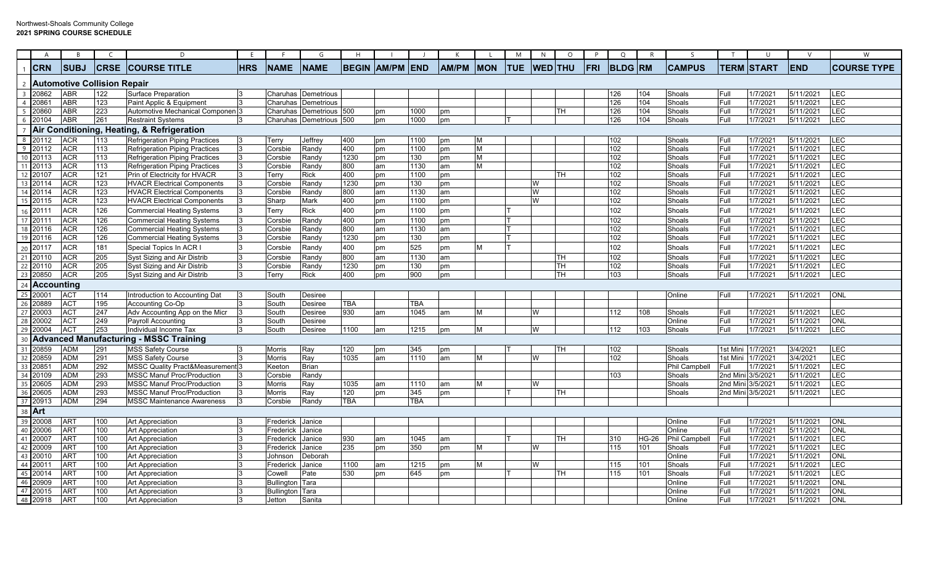## Northwest-Shoals Community College **2021 SPRING COURSE SCHEDULE**

|                 | A                     | B           | $\mathcal{C}$                      | D.                                            | E          | -F                | G                          | H            |              |            |              |             | M          | N              | $\circ$   | P          | Q              | R     | S.                   |                   | U                 |            | W                  |
|-----------------|-----------------------|-------------|------------------------------------|-----------------------------------------------|------------|-------------------|----------------------------|--------------|--------------|------------|--------------|-------------|------------|----------------|-----------|------------|----------------|-------|----------------------|-------------------|-------------------|------------|--------------------|
|                 | <b>CRN</b>            | <b>SUBJ</b> | <b>CRSE</b>                        | <b>ICOURSE TITLE</b>                          | <b>HRS</b> | <b>NAME</b>       | <b>NAME</b>                | <b>BEGIN</b> | <b>AM/PM</b> | <b>END</b> | <b>AM/PM</b> | <b>IMON</b> | <b>TUE</b> | <b>WED</b> THU |           | <b>FRI</b> | <b>BLDG RM</b> |       | <b>CAMPUS</b>        |                   | <b>TERM START</b> | <b>END</b> | <b>COURSE TYPE</b> |
| -2              |                       |             | <b>Automotive Collision Repair</b> |                                               |            |                   |                            |              |              |            |              |             |            |                |           |            |                |       |                      |                   |                   |            |                    |
| $\overline{3}$  | 20862                 | <b>ABR</b>  | 122                                | <b>Surface Preparation</b>                    |            |                   | Charuhas Demetrious        |              |              |            |              |             |            |                |           |            | 126            | 104   | Shoals               | Full              | 1/7/2021          | 5/11/2021  | <b>LEC</b>         |
| $\overline{4}$  | 20861                 | <b>ABR</b>  | 123                                | Paint Applic & Equipment                      |            |                   | <b>Charuhas Demetrious</b> |              |              |            |              |             |            |                |           |            | 126            | 104   | Shoals               | Full              | 1/7/2021          | 5/11/2021  | LEC                |
|                 | $5 \overline{)20860}$ | <b>ABR</b>  | 223                                | Automotive Mechanical Componen <sup>3</sup>   |            |                   | <b>Charuhas Demetrious</b> | 500          | pm           | 1000       | pm           |             |            |                | <b>TH</b> |            | 126            | 104   | Shoals               | Full              | 1/7/2021          | 5/11/2021  | LEC                |
| 6               | 20104                 | <b>ABR</b>  | 261                                | <b>Restraint Systems</b>                      |            |                   | Charuhas Demetrious        | 500          | pm           | 1000       | pm           |             |            |                |           |            | 126            | 104   | Shoals               | Full              | 1/7/2021          | 5/11/2021  | <b>LEC</b>         |
|                 |                       |             |                                    | Air Conditioning, Heating, & Refrigeration    |            |                   |                            |              |              |            |              |             |            |                |           |            |                |       |                      |                   |                   |            |                    |
| 8               | 20112                 | <b>ACR</b>  | 113                                | <b>Refrigeration Piping Practices</b>         |            | Terry             | Jeffrey                    | 400          | pm           | 1100       | pm           | M           |            |                |           |            | 102            |       | Shoals               | Full              | 1/7/2021          | 5/11/2021  | LEC                |
| $-9$            | 20112                 | <b>ACR</b>  | 113                                | <b>Refrigeration Piping Practices</b>         |            | Corsbie           | Randy                      | 400          | pm           | 1100       | pm           | M           |            |                |           |            | 102            |       | Shoals               | Full              | 1/7/2021          | 5/11/2021  | LEC                |
| 10              | 20113                 | <b>ACR</b>  | 113                                | <b>Refrigeration Piping Practices</b>         |            | Corsbie           | Randy                      | 1230         | pm           | 130        | pm           | M           |            |                |           |            | 102            |       | Shoals               | Full              | 1/7/2021          | 5/11/2021  | LEC                |
|                 | 11 20113              | <b>ACR</b>  | 113                                | Refrigeration Piping Practices                |            | Corsbie           | Randy                      | 800          | am           | 1130       | am           | M           |            |                |           |            | 102            |       | Shoals               | Full              | 1/7/2021          | 5/11/2021  | LEC                |
|                 | 12 20107              | <b>ACR</b>  | 121                                | Prin of Electricity for HVACR                 |            | Terry             | Rick                       | 400          | pm           | 1100       | pm           |             |            |                | TH.       |            | 102            |       | Shoals               | Full              | 1/7/2021          | 5/11/2021  | LEC                |
|                 | 13 20114              | <b>ACR</b>  | 123                                | <b>HVACR Electrical Components</b>            |            | Corsbie           | Randy                      | 1230         | pm           | 130        | pm           |             |            | W              |           |            | 102            |       | Shoals               | Full              | 1/7/2021          | 5/11/2021  | E                  |
| 14              | 20114                 | <b>ACR</b>  | 123                                | <b>HVACR Electrical Components</b>            |            | Corsbie           | Randy                      | 800          | am           | 1130       | am           |             |            | W              |           |            | 102            |       | Shoals               | Full              | 1/7/2021          | 5/11/2021  | LEC                |
| 15              | 20115                 | <b>ACR</b>  | 123                                | <b>HVACR Electrical Components</b>            |            | Sharp             | Mark                       | 400          | pm           | 1100       | рm           |             |            | W              |           |            | 102            |       | Shoals               | Full              | 1/7/2021          | 5/11/2021  | LEC                |
| 16              | 20111                 | <b>ACR</b>  | 126                                | <b>Commercial Heating Systems</b>             |            | Гerry             | Rick                       | 400          | pm           | 1100       | pш           |             |            |                |           |            | 102            |       | Shoals               | Full              | 1/7/2021          | 5/11/2021  | LEC                |
|                 | 17 20111              | <b>ACR</b>  | 126                                | <b>Commercial Heating Systems</b>             |            | Corsbie           | Randy                      | 400          | pm           | 1100       | pm           |             |            |                |           |            | 102            |       | Shoals               | Full              | 1/7/2021          | 5/11/2021  | LEC                |
| 18              | 20116                 | <b>ACR</b>  | 126                                | <b>Commercial Heating Systems</b>             |            | Corsbie           | Randy                      | 800          | am           | 1130       | am           |             |            |                |           |            | 102            |       | Shoals               | Full              | 1/7/2021          | 5/11/2021  | LEC                |
| 19              | 20116                 | <b>ACR</b>  | 126                                | <b>Commercial Heating Systems</b>             |            | Corsbie           | Randy                      | 1230         | pm           | 130        | pm           |             |            |                |           |            | 102            |       | Shoals               | Full              | 1/7/2021          | 5/11/2021  | LEC                |
| 20              | 20117                 | <b>ACR</b>  | 181                                | Special Topics In ACR I                       |            | Corsbie           | Randy                      | 400          | pm           | 525        | pm           | M           |            |                |           |            | 102            |       | Shoals               | Full              | 1/7/2021          | 5/11/2021  | LEC                |
|                 | 21 20110              | <b>ACR</b>  | 205                                | Syst Sizing and Air Distrib                   |            | Corsbie           | Randy                      | 800          | am           | 1130       | am           |             |            |                | lТH       |            | 102            |       | Shoals               | Full              | 1/7/2021          | 5/11/2021  | LEC                |
| 22              | 20110                 | <b>ACR</b>  | 205                                | Syst Sizing and Air Distrib                   | 3          | Corsbie           | Randy                      | 1230         | pm           | 130        | pm           |             |            |                | <b>TH</b> |            | 102            |       | Shoals               | Full              | 1/7/2021          | 5/11/2021  | LEC                |
| 23              | 20850                 | <b>ACR</b>  | 205                                | Syst Sizing and Air Distrib                   | 3          | Terry             | Rick                       | 400          | pm           | 900        | pm           |             |            |                | <b>TH</b> |            | 103            |       | Shoals               | Full              | 1/7/2021          | 5/11/2021  | LEC                |
| 24              | <b>Accounting</b>     |             |                                    |                                               |            |                   |                            |              |              |            |              |             |            |                |           |            |                |       |                      |                   |                   |            |                    |
| 25              | 20001                 | <b>ACT</b>  | 114                                | Introduction to Accounting Dat                |            | South             | Desiree                    |              |              |            |              |             |            |                |           |            |                |       | Online               | Full              | 1/7/2021          | 5/11/2021  | <b>ONL</b>         |
| 26              | 20889                 | <b>ACT</b>  | 195                                | Accounting Co-Op                              |            | South             | <b>Desiree</b>             | <b>TBA</b>   |              | <b>TBA</b> |              |             |            |                |           |            |                |       |                      |                   |                   |            |                    |
| 27              | 20003                 | <b>ACT</b>  | 247                                | Adv Accounting App on the Micr                |            | South             | Desiree                    | 930          | am           | 1045       | am           | M           |            | W              |           |            | 112            | 108   | Shoals               | Full              | 1/7/2021          | 5/11/2021  | LEC                |
| 28              | 20002                 | <b>ACT</b>  | 249                                | Pavroll Accounting                            |            | South             | Desiree                    |              |              |            |              |             |            |                |           |            |                |       | Online               | Full              | 1/7/2021          | 5/11/2021  | ONL                |
| 29              | 20004                 | <b>ACT</b>  | 253                                | Individual Income Tax                         |            | South             | <b>Desiree</b>             | 1100         | am           | 1215       | pm           | M           |            | W              |           |            | 112            | 103   | Shoals               | Full              | 1/7/2021          | 5/11/2021  | LEC                |
| 30              |                       |             |                                    | <b>Advanced Manufacturing - MSSC Training</b> |            |                   |                            |              |              |            |              |             |            |                |           |            |                |       |                      |                   |                   |            |                    |
|                 | 20859                 | <b>ADM</b>  | 291                                | <b>MSS Safety Course</b>                      |            | Morris            | Ray                        | 120          | pm           | 345        | om           |             |            |                | <b>TH</b> |            | 102            |       | Shoals               | 1st Mini          | 1/7/2021          | 3/4/2021   | LEC                |
| $\frac{31}{32}$ | 20859                 | <b>ADM</b>  | 291                                | <b>MSS Safety Course</b>                      |            | <b>Morris</b>     | Ray                        | 1035         | am           | 1110       | am           | M           |            | W              |           |            | 102            |       | Shoals               | 1st Mini          | 1/7/2021          | 3/4/2021   | LEC                |
| 33              | 20851                 | <b>ADM</b>  | 292                                | <b>MSSC Quality Pract&amp;Measurement 3</b>   |            | Keetor            | <b>Brian</b>               |              |              |            |              |             |            |                |           |            |                |       | <b>Phil Campbell</b> | Full              | 1/7/2021          | 5/11/2021  | LEC                |
| 34              | 20109                 | <b>ADM</b>  | 293                                | <b>MSSC Manuf Proc/Production</b>             |            | Corsbie           | Randy                      |              |              |            |              |             |            |                |           |            | 103            |       | Shoals               | 2nd Mini 3/5/2021 |                   | 5/11/2021  | LEC                |
|                 | 20605                 | <b>ADM</b>  | 293                                | <b>MSSC Manuf Proc/Production</b>             |            | <b>Morris</b>     | Ray                        | 1035         | am           | 1110       | am           | M           |            | W              |           |            |                |       | Shoals               | 2nd Mini 3/5/2021 |                   | 5/11/2021  | LEC                |
| $\frac{35}{36}$ | 20605                 | <b>ADM</b>  | 293                                | <b>MSSC Manuf Proc/Production</b>             |            | Morris            | Ray                        | 120          | pm           | 345        | pm           |             |            |                | TH        |            |                |       | Shoals               | 2nd Mini 3/5/2021 |                   | 5/11/2021  | LEC                |
|                 | 37 20913              | <b>ADM</b>  | 294                                | <b>MSSC Maintenance Awareness</b>             |            | Corsbie           | Randy                      | <b>TBA</b>   |              | <b>TBA</b> |              |             |            |                |           |            |                |       |                      |                   |                   |            |                    |
| 38              | Art                   |             |                                    |                                               |            |                   |                            |              |              |            |              |             |            |                |           |            |                |       |                      |                   |                   |            |                    |
|                 | 20008                 | <b>ART</b>  | 100                                | <b>Art Appreciation</b>                       |            | Frederick Janice  |                            |              |              |            |              |             |            |                |           |            |                |       | Online               | Full              | 1/7/2021          | 5/11/2021  | <b>ONL</b>         |
| $\frac{39}{40}$ | 20006                 | <b>ART</b>  | 100                                | <b>Art Appreciation</b>                       | 3          | Frederick         | Janice                     |              |              |            |              |             |            |                |           |            |                |       | Online               | Full              | 1/7/2021          | 5/11/2021  | <b>ONL</b>         |
|                 | 20007                 | <b>ART</b>  | 100                                | <b>Art Appreciation</b>                       |            | Frederick         | Janice                     | 930          | am           | 1045       | am           |             |            |                | TH.       |            | 310            | HG-26 | Phil Campbell        | Full              | 1/7/2021          | 5/11/2021  | <b>LEC</b>         |
| $\frac{41}{42}$ | 20009                 | <b>ART</b>  | 100                                | Art Appreciation                              |            | Frederick         | Janice                     | 235          | pm           | 350        | pm           | М           |            | W              |           |            | 115            | 101   | Shoals               | Full              | 1/7/2021          | 5/11/2021  | LEC                |
| 43              | 20010                 | <b>ART</b>  | 100                                | Art Appreciation                              |            | Johnson           | Deborah                    |              |              |            |              |             |            |                |           |            |                |       | Online               | Full              | 1/7/2021          | 5/11/2021  | <b>ONL</b>         |
|                 | 20011                 | <b>ART</b>  | 100                                | Art Appreciation                              |            | Frederick         | Janice                     | 1100         | am           | 1215       | оm           | M           |            | W              |           |            | 115            | 101   | Shoals               | Full              | 1/7/2021          | 5/11/2021  | LEC                |
| $\frac{44}{45}$ | 20014                 | <b>ART</b>  | 100                                | <b>Art Appreciation</b>                       |            | Cowell            | Pate                       | 530          | pm           | 645        | рm           |             |            |                | TH        |            | 115            | 101   | Shoals               | Full              | 1/7/2021          | 5/11/2021  | LEC                |
| 46              | 20909                 | <b>ART</b>  | 100                                | <b>Art Appreciation</b>                       |            | <b>Bullington</b> | Tara                       |              |              |            |              |             |            |                |           |            |                |       | Online               | Full              | 1/7/202           | 5/11/2021  | <b>ONL</b>         |
| 47              | 20015                 | <b>ART</b>  | 100                                | <b>Art Appreciation</b>                       |            | Bullington        | Tara                       |              |              |            |              |             |            |                |           |            |                |       | Online               | Full              | 1/7/2021          | 5/11/2021  | <b>ONL</b>         |
|                 | 48 20918              | <b>ART</b>  | 100                                | <b>Art Appreciation</b>                       | 3          | <b>Jetton</b>     | Sanita                     |              |              |            |              |             |            |                |           |            |                |       | Online               | Full              | 1/7/2021          | 5/11/2021  | <b>ONL</b>         |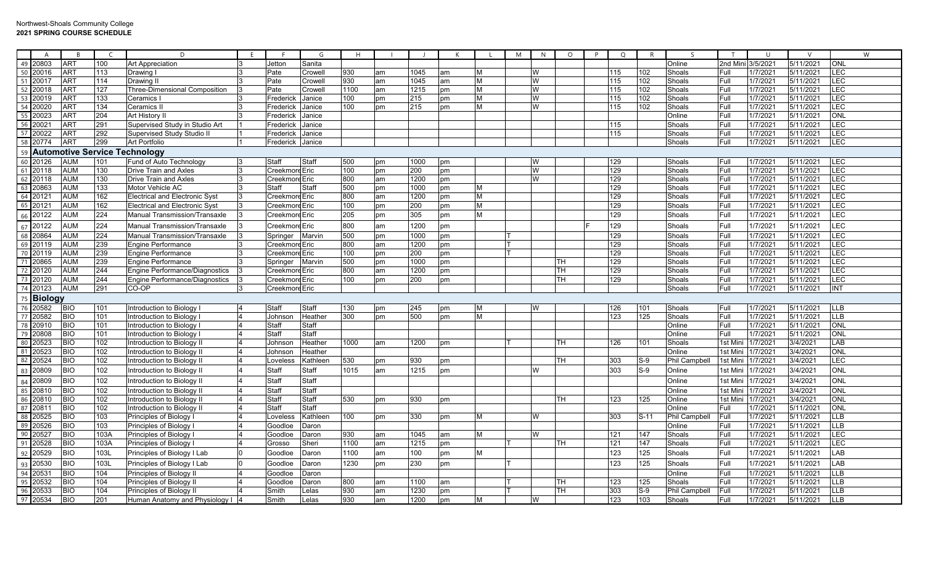|                 | $\mathsf{A}$                        | $\overline{R}$ |      | D.                                    | F. | -F               | G        | H    |    |      |    |   | M | N | $\Omega$ | P | $\Omega$ | R      | $\varsigma$          | T        | $\mathbf{H}$ | $\mathcal{U}$ | W          |
|-----------------|-------------------------------------|----------------|------|---------------------------------------|----|------------------|----------|------|----|------|----|---|---|---|----------|---|----------|--------|----------------------|----------|--------------|---------------|------------|
| 49              | 20803                               | <b>ART</b>     | 100  | Art Appreciation                      |    | Jetton           | Sanita   |      |    |      |    |   |   |   |          |   |          |        | Online               | 2nd Mini | 3/5/2021     | 5/11/2021     | <b>ONL</b> |
|                 |                                     | <b>ART</b>     | 113  | Drawing I                             |    | Pate             | Crowell  | 930  | am | 1045 | am | M |   | W |          |   | 115      | 102    | Shoals               | Full     | 1/7/2021     | 5/11/2021     | <b>LEC</b> |
|                 | $\frac{15}{50} \frac{20016}{20017}$ | <b>ART</b>     | 114  | Drawing I                             |    | Pate             | Crowell  | 930  | am | 1045 | am | M |   | W |          |   | 115      | 102    | Shoals               | Full     | 1/7/2021     | 5/11/2021     | <b>LEC</b> |
| 52              | 20018                               | <b>ART</b>     | 127  | <b>Three-Dimensional Composition</b>  |    | Pate             | Crowel   | 1100 | am | 1215 | рm | M |   | W |          |   | 115      | 102    | Shoals               | Full     | 1/7/2021     | 5/11/2021     | <b>LEC</b> |
| 53              | 20019                               | <b>ART</b>     | 133  | Ceramics                              |    | Frederick        | Janice   | 100  | pm | 215  | pm | M |   | W |          |   | 115      | 102    | Shoals               | Full     | 1/7/2021     | 5/11/2021     | <b>LEC</b> |
| 54              | 20020                               | <b>ART</b>     | 134  | Ceramics I                            |    | Frederick        | Janice   | 100  | pm | 215  | pm | M |   | W |          |   | 115      | 102    | Shoals               | Full     | 1/7/2021     | 5/11/2021     | LEC        |
| $\overline{55}$ | 20023                               | <b>ART</b>     | 204  | Art History I                         |    | Frederick        | Janice   |      |    |      |    |   |   |   |          |   |          |        | Online               | Full     | 1/7/2021     | 5/11/2021     | ONL        |
| 56              | 20021                               | <b>ART</b>     | 291  | Supervised Study in Studio Art        |    | Frederick        | Janice   |      |    |      |    |   |   |   |          |   | 115      |        | Shoals               | Full     | 1/7/2021     | 5/11/2021     | LEC        |
| 57              | 20022                               | <b>ART</b>     | 292  | Supervised Study Studio II            |    | Frederick        | Janice   |      |    |      |    |   |   |   |          |   | 115      |        | Shoals               | Full     | 1/7/2021     | 5/11/2021     | LEC        |
| 58              | 20774                               | <b>ART</b>     | 299  | <b>Art Portfolio</b>                  |    | Frederick Janice |          |      |    |      |    |   |   |   |          |   |          |        | Shoals               | Full     | 1/7/2021     | 5/11/2021     | <b>LEC</b> |
| 59              |                                     |                |      | <b>Automotive Service Technology</b>  |    |                  |          |      |    |      |    |   |   |   |          |   |          |        |                      |          |              |               |            |
| 60              | 20126                               | <b>AUM</b>     | 101  | Fund of Auto Technology               |    | Staff            | Staff    | 500  | pm | 1000 | pm |   |   | W |          |   | 129      |        | Shoals               | Full     | 1/7/2021     | 5/11/2021     | LEC        |
|                 | 61 20118                            | <b>AUM</b>     | 130  | <b>Drive Train and Axles</b>          |    | Creekmore Eric   |          | 100  | pm | 200  | pm |   |   | W |          |   | 129      |        | Shoals               | Full     | 1/7/2021     | 5/11/2021     | LEC        |
| 62              | 20118                               | <b>AUM</b>     | 130  | <b>Drive Train and Axles</b>          |    | Creekmore Eric   |          | 800  | am | 1200 | pm |   |   | W |          |   | 129      |        | Shoals               | Full     | 1/7/2021     | 5/11/2021     | LEC        |
| 63              | 20863                               | <b>AUM</b>     | 133  | Motor Vehicle AC                      |    | Staff            | Staff    | 500  | pm | 1000 | рm | M |   |   |          |   | 129      |        | Shoals               | Full     | 1/7/2021     | 5/11/2021     | LEC        |
| 64              | 20121                               | <b>AUM</b>     | 162  | <b>Electrical and Electronic Syst</b> |    | Creekmore Eric   |          | 800  | am | 1200 | pm | M |   |   |          |   | 129      |        | Shoals               | Full     | 1/7/2021     | 5/11/2021     | <b>LEC</b> |
| 65              | 20121                               | <b>AUM</b>     | 162  | <b>Electrical and Electronic Syst</b> |    | Creekmore Eric   |          | 100  | pm | 200  | pm | M |   |   |          |   | 129      |        | Shoals               | Full     | 1/7/2021     | 5/11/2021     | LEC        |
| 66              | 20122                               | <b>AUM</b>     | 224  | <b>Manual Transmission/Transaxle</b>  |    | Creekmore Eric   |          | 205  | pm | 305  | pm | M |   |   |          |   | 129      |        | Shoals               | Full     | 1/7/202      | 5/11/2021     | LEC        |
| 67              | 20122                               | <b>AUM</b>     | 224  | <b>Manual Transmission/Transaxle</b>  |    | Creekmore Eric   |          | 800  | am | 1200 | pm |   |   |   |          |   | 129      |        | Shoals               | Full     | 1/7/2021     | 5/11/2021     | LEC        |
| 68              | 20864                               | <b>AUM</b>     | 224  | <b>Manual Transmission/Transaxle</b>  |    | Springer         | Marvin   | 500  | pm | 1000 | pm |   |   |   |          |   | 129      |        | Shoals               | Full     | 1/7/2021     | 5/11/2021     | <b>LEC</b> |
| 69              | 20119                               | <b>AUM</b>     | 239  | Engine Performance                    |    | Creekmord Eric   |          | 800  | am | 1200 | pm |   |   |   |          |   | 129      |        | Shoals               | Full     | 1/7/2021     | 5/11/2021     | LEC        |
| 70              | 20119                               | <b>AUM</b>     | 239  | <b>Engine Performance</b>             |    | Creekmore Eric   |          | 100  | pm | 200  | pm |   |   |   |          |   | 129      |        | Shoals               | Full     | 1/7/2021     | 5/11/2021     | LEC        |
| 71              | 20865                               | <b>AUM</b>     | 239  | Engine Performance                    |    | Springer         | Marvin   | 500  | pm | 1000 | pm |   |   |   | TН       |   | 129      |        | Shoals               | Full     | 1/7/2021     | 5/11/2021     | LEC        |
| $\overline{72}$ | 20120                               | <b>AUM</b>     | 244  | Engine Performance/Diagnostics        |    | Creekmore Eric   |          | 800  | am | 1200 | рm |   |   |   | TН       |   | 129      |        | Shoals               | Full     | 1/7/2021     | 5/11/2021     | <b>LEC</b> |
| 73              | 20120                               | <b>AUM</b>     | 244  | Engine Performance/Diagnostics        |    | Creekmore Eric   |          | 100  | pm | 200  | pm |   |   |   | TH       |   | 129      |        | Shoals               | Full     | 1/7/2021     | 5/11/2021     | <b>LEC</b> |
| 74              | 20123                               | <b>AUM</b>     | 291  | CO-OP                                 |    | Creekmore Eric   |          |      |    |      |    |   |   |   |          |   |          |        | Shoals               | Full     | 1/7/202      | 5/11/2021     | <b>INT</b> |
|                 | 75 Biology                          |                |      |                                       |    |                  |          |      |    |      |    |   |   |   |          |   |          |        |                      |          |              |               |            |
| 76              | 20582                               | <b>BIO</b>     | 101  | Introduction to Biology I             |    | Staff            | Staff    | 130  | pm | 245  | pm | M |   |   |          |   | 126      | 101    | Shoals               | Full     | 1/7/2021     | 5/11/2021     | <b>LLB</b> |
| 77              | 20582                               | <b>BIO</b>     | 101  | Introduction to Biology I             |    | Johnson          | Heather  | 300  | pm | 500  | pm | M |   |   |          |   | 123      | 125    | Shoals               | Full     | 1/7/2021     | 5/11/2021     | <b>LLB</b> |
| 78              | 20910                               | <b>BIO</b>     | 101  | Introduction to Biology I             |    | Staff            | Staff    |      |    |      |    |   |   |   |          |   |          |        | Online               | Full     | 1/7/2021     | 5/11/2021     | ONL        |
| 79              | 20808                               | <b>BIO</b>     | 101  | Introduction to Biology I             |    | Staff            | Staff    |      |    |      |    |   |   |   |          |   |          |        | Online               | Full     | 1/7/2021     | 5/11/2021     | <b>ONI</b> |
| 80              | 20523                               | <b>BIO</b>     | 102  | Introduction to Biology II            |    | Johnson          | Heather  | 1000 | am | 1200 | pm |   |   |   | тн       |   | 126      | 101    | Shoals               | 1st Mini | 1/7/2021     | 3/4/2021      | LAB        |
| 81              | 20523                               | <b>BIO</b>     | 102  | Introduction to Biology II            |    | Johnson          | Heather  |      |    |      |    |   |   |   |          |   |          |        | Online               | 1st Mini | 1/7/2021     | 3/4/2021      | ONL        |
| 82              | 20524                               | <b>BIO</b>     | 102  | Introduction to Biology II            |    | Loveless         | Kathleen | 530  | pm | 930  | pm |   |   |   | TН       |   | 303      | $S-9$  | Phil Campbell        | 1st Mini | 1/7/2021     | 3/4/2021      | LEC        |
| 83              | 20809                               | <b>BIO</b>     | 102  | Introduction to Biology II            |    | Staff            | Staff    | 1015 | am | 1215 | pm |   |   | W |          |   | 303      | $S-9$  | Online               | 1st Mini | 1/7/2021     | 3/4/2021      | <b>ONL</b> |
| 84              | 20809                               | <b>BIO</b>     | 102  | Introduction to Biology II            |    | Staff            | Staff    |      |    |      |    |   |   |   |          |   |          |        | Online               | 1st Mini | 1/7/2021     | 3/4/2021      | <b>ONL</b> |
| 85              | 20810                               | <b>BIO</b>     | 102  | Introduction to Biology II            |    | Staff            | Staff    |      |    |      |    |   |   |   |          |   |          |        | <b>Online</b>        | 1st Mini | 1/7/2021     | 3/4/2021      | ONL        |
| 86              | 20810                               | <b>BIO</b>     | 102  | Introduction to Biology II            |    | Staff            | Staff    | 530  | pm | 930  | рm |   |   |   | TH       |   | 123      | 125    | <b>Online</b>        | 1st Mini | 1/7/2021     | 3/4/2021      | <b>ONL</b> |
| 87              | 20811                               | <b>BIO</b>     | 102  | Introduction to Biology II            |    | Staff            | Staff    |      |    |      |    |   |   |   |          |   |          |        | Online               | Full     | 1/7/2021     | 5/11/2021     | ONI        |
| 88              | 20525                               | <b>BIO</b>     | 103  | Principles of Biology                 |    | Loveless         | Kathleen | 100  | pm | 330  | pm | M |   | W |          |   | 303      | $S-11$ | <b>Phil Campbell</b> | Full     | 1/7/202      | 5/11/2021     | <b>LLB</b> |
| 89              | 20526                               | <b>BIO</b>     | 103  | Principles of Biology                 |    | Goodloe          | Daron    |      |    |      |    |   |   |   |          |   |          |        | Online               | Full     | 1/7/2021     | 5/11/2021     | LLB        |
| 90              | 20527                               | <b>BIO</b>     | 103A | Principles of Biology                 |    | Goodloe          | Daron    | 930  | am | 1045 | am | M |   | W |          |   | 121      | 147    | Shoals               | Full     | 1/7/2021     | 5/11/2021     | LEC        |
| 91              | 20528                               | <b>BIO</b>     | 103A | Principles of Biology                 |    | Grosso           | Sheri    | 1100 | am | 1215 | pm |   |   |   | TН       |   | 121      | 147    | Shoals               | Full     | 1/7/2021     | 5/11/2021     | LEC        |
| 92              | 20529                               | <b>BIO</b>     | 103L | Principles of Biology I Lab           |    | Goodloe          | Daron    | 1100 | am | 100  | pm | M |   |   |          |   | 123      | 125    | Shoals               | Full     | 1/7/2021     | 5/11/2021     | LAB        |
| 93              | 20530                               | <b>BIO</b>     | 103L | Principles of Biology I Lab           |    | Goodloe          | Daron    | 1230 | pm | 230  | pm |   |   |   |          |   | 123      | 125    | Shoals               | Full     | 1/7/2021     | 5/11/2021     | LAB        |
| 94              | 2053'                               | <b>BIO</b>     | 104  | Principles of Biology I               |    | Goodloe          | Daron    |      |    |      |    |   |   |   |          |   |          |        | Online               | Full     | 1/7/2021     | 5/11/2021     | <b>LLB</b> |
| 95              | 20532                               | <b>BIO</b>     | 104  | Principles of Biology I               |    | Goodloe          | Daron    | 800  | am | 1100 | am |   |   |   | TН       |   | 123      | 125    | Shoals               | Full     | 1/7/2021     | 5/11/2021     | LLB        |
| 96              | 20533                               | <b>BIO</b>     | 104  | Principles of Biology II              |    | Smith            | Lelas    | 930  | am | 1230 | pm |   |   |   | TН       |   | 303      | $S-9$  | Phil Campbell        | Full     | 1/7/2021     | 5/11/2021     | <b>LLB</b> |
|                 | 97 20534                            | <b>BIO</b>     | 201  | Human Anatomy and Physiology   4      |    | Smith            | Lelas    | 930  | am | 1200 | pm | M |   | W |          |   | 123      | 103    | Shoals               | Full     | 1/7/2021     | 5/11/2021     | <b>LLB</b> |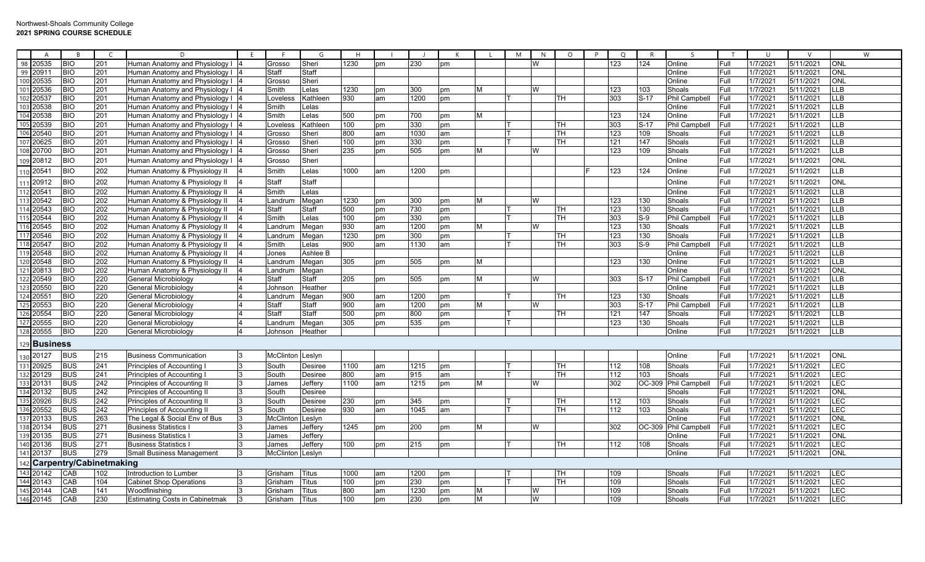|     | A                      | - B        | $\epsilon$              | D.                                                             | -F | - F                | G              | H    |          |            |          |   | M | N.       | $\circ$                  | P | $\circ$    | R      |                      | <b>T</b> | -11      | $\vee$    |            | W |
|-----|------------------------|------------|-------------------------|----------------------------------------------------------------|----|--------------------|----------------|------|----------|------------|----------|---|---|----------|--------------------------|---|------------|--------|----------------------|----------|----------|-----------|------------|---|
| 98  | 20535                  | <b>BIO</b> | 201                     | Human Anatomy and Physiology I                                 |    | Grosso             | Sheri          | 1230 | pm       | 230        | pm       |   |   | W        |                          |   | 123        | 124    | Online               | Full     | 1/7/2021 | 5/11/2021 | <b>ONL</b> |   |
| 99  | 20911                  | <b>BIO</b> | 201                     | Human Anatomy and Physiology I                                 |    | Staff              | Staff          |      |          |            |          |   |   |          |                          |   |            |        | Online               | Full     | 1/7/2021 | 5/11/2021 | ONL        |   |
|     | 100 20535              | <b>BIO</b> | 201                     | Human Anatomy and Physiology I                                 |    | Grosso             | Sheri          |      |          |            |          |   |   |          |                          |   |            |        | Online               | Full     | 1/7/2021 | 5/11/2021 | <b>ONL</b> |   |
|     | 101 20536              | <b>BIO</b> | 201                     | Human Anatomy and Physiology I                                 |    | Smith              | Lelas          | 1230 | pm       | 300        | pm       | м |   | W        |                          |   | 123        | 103    | Shoals               | Full     | 1/7/2021 | 5/11/2021 | <b>LLB</b> |   |
|     |                        | <b>BIO</b> | 201                     | Human Anatomy and Physiology I                                 |    | Loveles            | Kathleen       | 930  | am       | 1200       | pm       |   |   |          | TН                       |   | 303        | $S-17$ | <b>Phil Campbell</b> | Full     | 1/7/202  | 5/11/2021 | <b>LLB</b> |   |
|     | 102 20537              | <b>BIO</b> | 201                     | Human Anatomy and Physiology I                                 |    | Smith              | Lelas          |      |          |            |          |   |   |          |                          |   |            |        | Online               | Full     | 1/7/2021 | 5/11/2021 | LLB        |   |
|     |                        | <b>BIO</b> | 201                     | Human Anatomy and Physiology I                                 |    | Smith              | Lelas          | 500  | pm       | 700        | pm       | M |   |          |                          |   | 123        | 124    | Online               | Full     | 1/7/2021 | 5/11/2021 | <b>LLB</b> |   |
|     | 104 20538<br>105 20539 | <b>BIO</b> | 201                     | Human Anatomy and Physiology I                                 |    | Loveles            | Kathleen       | 100  | pm       | 330        | pm       |   |   |          | TН                       |   | 303        | $S-17$ | Phil Campbell        | Full     | 1/7/202  | 5/11/2021 | <b>LLB</b> |   |
|     | 106 20540              | <b>BIO</b> | 201                     | Human Anatomy and Physiology I                                 |    | Grosso             | Sheri          | 800  | am       | 1030       | am       |   |   |          | $\overline{\mathsf{TH}}$ |   | 123        | 109    | Shoals               | Full     | 1/7/2021 | 5/11/2021 | LLB        |   |
|     | 107 20625              | <b>BIO</b> | 201                     | Human Anatomy and Physiology I                                 |    | Grosso             | Sheri          | 100  | pm       | 330        | pm       |   |   |          | <b>TH</b>                |   | 121        | 147    | Shoals               | Full     | 1/7/2021 | 5/11/2021 | <b>LLB</b> |   |
|     | 108 20700              | <b>BIO</b> | 201                     | Human Anatomy and Physiology I                                 |    | Grosso             | Sheri          | 235  | pm       | 505        | pm       | М |   | W        |                          |   | 123        | 109    | Shoals               | Full     | 1/7/2021 | 5/11/2021 | <b>LLB</b> |   |
|     | 109 20812              | <b>BIO</b> | 201                     | Human Anatomy and Physiology I                                 |    | Grosso             | Sheri          |      |          |            |          |   |   |          |                          |   |            |        | Online               | Full     | 1/7/2021 | 5/11/2021 | ONL        |   |
|     | 110 20541              | <b>BIO</b> | 202                     | Human Anatomy & Physiology II                                  |    | Smith              | Lelas          | 1000 | am       | 1200       | pm       |   |   |          |                          |   | 123        | 124    | Online               | Full     | 1/7/2021 | 5/11/2021 | <b>LLB</b> |   |
|     | 111 20912              | <b>BIO</b> | 202                     | Human Anatomy & Physiology II                                  |    | Staff              | Staff          |      |          |            |          |   |   |          |                          |   |            |        | Online               | Full     | 1/7/2021 | 5/11/2021 | <b>ONL</b> |   |
|     | 112 2054               | <b>BIO</b> | 202                     | Human Anatomy & Physiology II                                  |    | Smith              | Lelas          |      |          |            |          |   |   |          |                          |   |            |        | Online               | Full     | 1/7/2021 | 5/11/2021 | ШB         |   |
|     | 113 20542              | <b>BIO</b> | 202                     |                                                                |    |                    |                | 1230 |          |            |          | М |   | W        |                          |   |            | 130    | Shoals               | Full     | 1/7/2021 | 5/11/2021 | LLB        |   |
|     | 114 20543              | <b>BIO</b> | 202                     | Human Anatomy & Physiology II                                  |    | Landrun            | Megan          | 500  | pm       | 300<br>730 | pm       |   |   |          | TН                       |   | 123<br>123 | 130    | Shoals               | Full     | 1/7/2021 | 5/11/2021 | <b>LLB</b> |   |
|     | 115 20544              | <b>BIO</b> | 202                     | Human Anatomy & Physiology II                                  |    | Staff<br>Smith     | Staff<br>Lelas | 100  | pm<br>pm | 330        | pm<br>pm |   |   |          | TН                       |   | 303        | $S-9$  | Phil Campbell        | Full     | 1/7/2021 | 5/11/2021 | <b>LLB</b> |   |
|     | 116 20545              | <b>BIO</b> | 202                     | Human Anatomy & Physiology II<br>Human Anatomy & Physiology II |    | Landrun            | Megan          | 930  | am       | 1200       | pm       | м |   | W        |                          |   | 123        | 130    | Shoals               | Full     | 1/7/2021 | 5/11/2021 | <b>LLB</b> |   |
|     | 117 20546              | <b>BIO</b> | 202                     | Human Anatomy & Physiology II                                  |    | Landrun            |                | 1230 |          | 300        |          |   |   |          | TН                       |   | 123        | 130    | Shoals               | Full     | 1/7/2021 | 5/11/2021 | <b>LLB</b> |   |
|     | 118 20547              | <b>BIO</b> | 202                     | Human Anatomy & Physiology II                                  |    | Smith              | Megan<br>Lelas | 900  | pm<br>am | 1130       | pm<br>am |   |   |          | <b>TH</b>                |   | 303        | $S-9$  | Phil Campbell        | Full     | 1/7/2021 | 5/11/2021 | <b>LLB</b> |   |
|     | 119 20548              | <b>BIO</b> | 202                     | Human Anatomy & Physiology II                                  |    | Jones              | Ashlee B       |      |          |            |          |   |   |          |                          |   |            |        | Online               | Full     | 1/7/202  | 5/11/2021 | LLB        |   |
|     | 120 20548              | <b>BIO</b> | 202                     | Human Anatomy & Physiology II                                  |    |                    | Megan          | 305  | pm       | 505        | pm       | M |   |          |                          |   | 123        | 130    | Online               | Full     | 1/7/2021 | 5/11/2021 | <b>LLB</b> |   |
|     | 121 20813              | <b>BIO</b> | 202                     | Human Anatomy & Physiology II                                  |    | Landrum<br>Landrum | Megan          |      |          |            |          |   |   |          |                          |   |            |        | Online               | Full     | 1/7/2021 | 5/11/2021 | <b>ONL</b> |   |
|     | 122 20549              | <b>BIO</b> | 220                     |                                                                |    | Staff              | Staff          | 205  |          | 505        | pm       | М |   | W        |                          |   | 303        | $S-17$ | Phil Campbell        | Full     | 1/7/202  | 5/11/2021 | <b>LLB</b> |   |
|     | 123 20550              | <b>BIO</b> | 220                     | General Microbiology<br>General Microbiology                   |    | Johnsor            | Heather        |      | pm       |            |          |   |   |          |                          |   |            |        | Online               | Full     | 1/7/2021 | 5/11/2021 | LLB        |   |
|     | 124 20551              | <b>BIO</b> | 220                     | General Microbiology                                           |    | .andrur            | Megan          | 900  | am       | 1200       | pm       |   |   |          | TН                       |   | 123        | 130    | Shoals               | Full     | 1/7/2021 | 5/11/2021 | LLB        |   |
|     | 125 20553              | <b>BIO</b> | 220                     | General Microbiology                                           |    | Staff              | Staff          | 900  | am       | 1200       | pm       | M |   | <b>W</b> |                          |   | 303        | $S-17$ | Phil Campbell        | Full     | 1/7/2021 | 5/11/2021 | LLB        |   |
|     | 126 20554              | <b>BIO</b> | 220                     | General Microbiology                                           |    | Staff              | Staff          | 500  | pm       | 800        | pm       |   |   |          | TН                       |   | 121        | 147    | Shoals               | Full     | 1/7/202  | 5/11/2021 | <b>LLB</b> |   |
|     | 127 20555              | <b>BIO</b> | 220                     | General Microbiology                                           |    | Landrum            | Megan          | 305  | pm       | 535        | pm       |   |   |          |                          |   | 123        | 130    | Shoals               | Full     | 1/7/2021 | 5/11/2021 | <b>LLB</b> |   |
|     | 128 20555              | <b>BIO</b> | 220                     | General Microbiology                                           |    | Johnson            | Heather        |      |          |            |          |   |   |          |                          |   |            |        | Online               | Full     | 1/7/2021 | 5/11/2021 | <b>LLB</b> |   |
|     |                        |            |                         |                                                                |    |                    |                |      |          |            |          |   |   |          |                          |   |            |        |                      |          |          |           |            |   |
| 129 | ⊦Business              |            |                         |                                                                |    |                    |                |      |          |            |          |   |   |          |                          |   |            |        |                      |          |          |           |            |   |
|     | 130 20127              | <b>BUS</b> | 215                     | <b>Business Communication</b>                                  |    | McClinton Leslyn   |                |      |          |            |          |   |   |          |                          |   |            |        | Online               | Full     | 1/7/2021 | 5/11/2021 | <b>ONL</b> |   |
|     | 131 20925              | <b>BUS</b> | 241                     | Principles of Accounting I                                     |    | South              | <b>Desiree</b> | 1100 | am       | 1215       | pm       |   |   |          | TН                       |   | 112        | 108    | Shoals               | Full     | 1/7/2021 | 5/11/2021 | LEC        |   |
|     | 132 20129              | <b>BUS</b> | 241                     | Principles of Accounting I                                     | 3  | South              | Desiree        | 800  | am       | 915        | am       |   |   |          | TН                       |   | 112        | 103    | Shoals               | Full     | 1/7/2021 | 5/11/2021 | LEC        |   |
|     | 133 20131              | <b>BUS</b> | 242                     | Principles of Accounting II                                    |    | James              | Jeffery        | 1100 | am       | 1215       | pm       | м |   | W        |                          |   | 302        | OC-309 | Phil Campbell        | Full     | 1/7/2021 | 5/11/2021 | LEC        |   |
|     | 134 20132              | <b>BUS</b> | 242                     | Principles of Accounting I                                     |    | South              | <b>Desiree</b> |      |          |            |          |   |   |          |                          |   |            |        | Shoals               | Full     | 1/7/202  | 5/11/2021 | ONL        |   |
|     |                        | <b>BUS</b> | 242                     | Principles of Accounting II                                    |    | South              | Desiree        | 230  | pm       | 345        | pm       |   |   |          | TН                       |   | 112        | 103    | Shoals               | Full     | 1/7/2021 | 5/11/2021 | LEC        |   |
|     | 136 20552              | <b>BUS</b> | 242                     | Principles of Accounting II                                    |    | South              | Desiree        | 930  | am       | 1045       | am       |   |   |          | TН                       |   | 112        | 103    | Shoals               | Full     | 1/7/2021 | 5/11/2021 | <b>LEC</b> |   |
|     | 137 20133              | <b>BUS</b> | 263                     | The Legal & Social Env of Bus                                  |    | McClinto           | Leslyn         |      |          |            |          |   |   |          |                          |   |            |        | Online               | Full     | 1/7/2021 | 5/11/2021 | ONL        |   |
|     | 138 20134              | <b>BUS</b> | 271                     | <b>Business Statistics</b>                                     |    | James              | Jeffery        | 1245 | pm       | 200        | pm       | м |   | W        |                          |   | 302        | OC-309 | Phil Campbell        | Full     | 1/7/2021 | 5/11/2021 | LEC        |   |
|     | 139 20135              | <b>BUS</b> | 271                     | <b>Business Statistics</b>                                     |    | James              | Jeffery        |      |          |            |          |   |   |          |                          |   |            |        | Online               | Full     | 1/7/202  | 5/11/2021 | <b>NO</b>  |   |
|     | 140 20136              | <b>BUS</b> | 271                     | <b>Business Statistics</b>                                     |    | James              | Jeffery        | 100  | pm       | 215        | pm       |   |   |          | TН                       |   | 112        | 108    | Shoals               | Full     | 1/7/202  | 5/11/2021 | LEC        |   |
|     | 141 20137              | <b>BUS</b> | 279                     | <b>Small Business Management</b>                               |    | McClinton Leslyn   |                |      |          |            |          |   |   |          |                          |   |            |        | Online               | Full     | 1/7/2021 | 5/11/2021 | ONL        |   |
| 142 |                        |            | Carpentry/Cabinetmaking |                                                                |    |                    |                |      |          |            |          |   |   |          |                          |   |            |        |                      |          |          |           |            |   |
|     | 143 20142              | CAB        | 102                     | Introduction to Lumber                                         |    | Grisham            | Titus          | 1000 | am       | 1200       | pm       |   |   |          | <b>TH</b>                |   | 109        |        | Shoals               | Full     | 1/7/2021 | 5/11/2021 | <b>LEC</b> |   |
|     | $\overline{144}$ 20143 | CAB        | 104                     | <b>Cabinet Shop Operations</b>                                 |    | Grisham            | Titus          | 100  | pm       | 230        | pm       |   |   |          | <b>TH</b>                |   | 109        |        | Shoals               | Full     | 1/7/2021 | 5/11/2021 | LEC        |   |
|     | 145 20144              | CAB        | 141                     | Woodfinishing                                                  |    | Grisham            | Titus          | 800  | am       | 1230       | pm       | м |   | W        |                          |   | 109        |        | Shoals               | Full     | 1/7/202  | 5/11/2021 | <b>LEC</b> |   |
|     | 146 20145              | CAB        | 230                     | <b>Estimating Costs in Cabinetmak</b>                          |    | Grisham            | <b>Titus</b>   | 100  | pm       | 230        | pm       | М |   | W        |                          |   | 109        |        | Shoals               | Full     | 1/7/2021 | 5/11/2021 | <b>LEC</b> |   |
|     |                        |            |                         |                                                                |    |                    |                |      |          |            |          |   |   |          |                          |   |            |        |                      |          |          |           |            |   |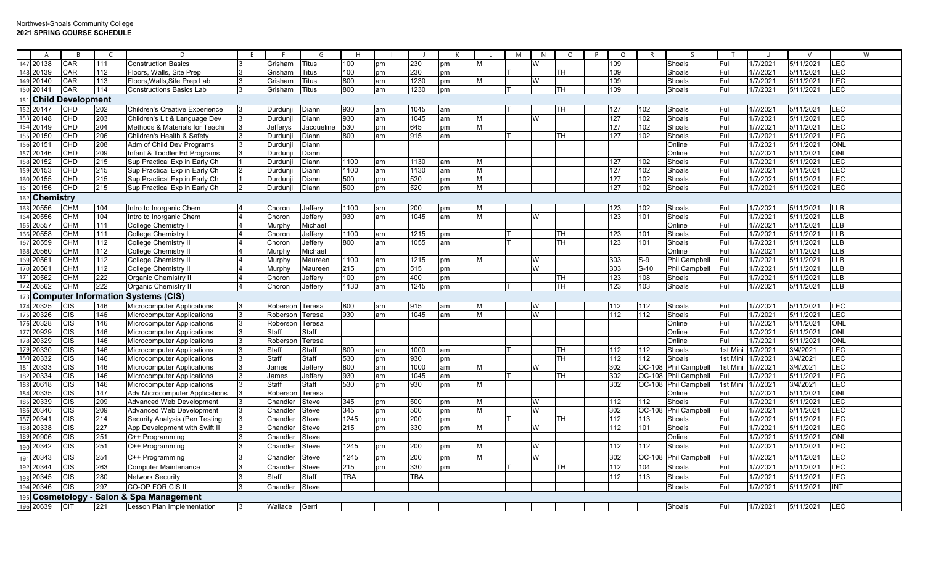|     | A               | <b>R</b>              |                  | D                                      | E  | - F           | G            | H                |    |            |    |   | M | N | $\circ$   | $\circ$<br>P     | $\mathsf{R}$ | $\varsigma$          | T        | $\cup$   | $\vee$    |                           | W |
|-----|-----------------|-----------------------|------------------|----------------------------------------|----|---------------|--------------|------------------|----|------------|----|---|---|---|-----------|------------------|--------------|----------------------|----------|----------|-----------|---------------------------|---|
|     | 147 20138       | CAR                   | 111              | <b>Construction Basics</b>             |    | Grisham       | Titus        | 100              | pm | 230        | pm | м |   | w |           | 109              |              | Shoals               | Full     | 1/7/2021 | 5/11/2021 | LEC                       |   |
|     | 48 20139        | CAR                   | 112              | Floors, Walls, Site Prep               |    | Grisham       | Titus        | 100              | pm | 230        | pm |   |   |   | <b>TH</b> | 109              |              | Shoals               | Full     | 1/7/2021 | 5/11/2021 | <b>LEC</b>                |   |
|     | 149 20140       | CAR                   | 113              | Floors, Walls, Site Prep Lab           |    | Grisham       | Titus        | 800              | am | 1230       | pm | м |   | W |           | 109              |              | Shoals               | Full     | 1/7/2021 | 5/11/2021 | <b>LEC</b>                |   |
|     | 150 20141       | CAR                   | 114              | <b>Constructions Basics Lab</b>        |    | Grisham       | <b>Titus</b> | 800              | am | 1230       | pm |   |   |   | TН        | 109              |              | Shoals               | Full     | 1/7/2021 | 5/11/2021 | <b>LEC</b>                |   |
|     |                 | 151 Child Development |                  |                                        |    |               |              |                  |    |            |    |   |   |   |           |                  |              |                      |          |          |           |                           |   |
|     | 152 20147       | <b>CHD</b>            | 202              | <b>Children's Creative Experience</b>  |    | Durdunj       | Diann        | 930              | am | 1045       | am |   |   |   | TН        | 127              | 102          | Shoals               | Full     | 1/7/2021 | 5/11/2021 | LEC                       |   |
|     | 53 20148        | CHD                   | 203              | Children's Lit & Language Dev          |    | Durdunj       | Diann        | $\overline{930}$ | am | 1045       | am | М |   | W |           | 127              | 102          | Shoals               | Full     | 1/7/202  | 5/11/2021 | <b>LEC</b>                |   |
|     | 154 20149       | <b>CHD</b>            | 204              | Methods & Materials for Teachi         |    | Jefferys      | Jacqueline   | 530              | pm | 645        | pm | M |   |   |           | 127              | 102          | Shoals               | Full     | 1/7/2021 | 5/11/2021 | LEC                       |   |
|     | 155 20150       | CHD                   | 206              | Children's Health & Safety             |    | Durduni       | Diann        | 800              | am | 915        | am |   |   |   | <b>TH</b> | 127              | 102          | Shoals               | Full     | 1/7/2021 | 5/11/2021 | <b>LEC</b>                |   |
|     | 156 20151       | <b>CHD</b>            | 208              | Adm of Child Dev Programs              |    | Durdunj       | Diann        |                  |    |            |    |   |   |   |           |                  |              | Online               | Full     | 1/7/2021 | 5/11/2021 | ONL                       |   |
|     | 157 20146       | CHD                   | 209              | Infant & Toddler Ed Programs           |    | Durduni       | Diann        |                  |    |            |    |   |   |   |           |                  |              | Online               | Full     | 1/7/2021 | 5/11/2021 | <b>ONL</b>                |   |
|     | 158 20152       | CHD                   | 215              | Sup Practical Exp in Early Ch          |    | Durduni       | Diann        | 1100             | am | 1130       | am | М |   |   |           | 127              | 102          | Shoals               | Full     | 1/7/2021 | 5/11/2021 | <b>LEC</b>                |   |
| 159 | 20153           | CHD                   | 215              | Sup Practical Exp in Early Ch          |    | Durdunj       | Diann        | 1100             | am | 1130       | am | M |   |   |           | 127              | 102          | Shoals               | Full     | 1/7/2021 | 5/11/2021 | LEC                       |   |
|     | 160 20155       | CHD                   | 215              | Sup Practical Exp in Early Ch          |    | Durdunj       | Diann        | 500              | pm | 520        | pm | M |   |   |           | 127              | 102          | Shoals               | Full     | 1/7/2021 | 5/11/2021 | LEC                       |   |
|     | 161 20156       | CHD                   | 215              | Sup Practical Exp in Early Ch          |    | Durduni       | Diann        | 500              | pm | 520        | pm | M |   |   |           | 127              | 102          | Shoals               | Full     | 1/7/2021 | 5/11/2021 | LEC                       |   |
| 62  | Chemistry       |                       |                  |                                        |    |               |              |                  |    |            |    |   |   |   |           |                  |              |                      |          |          |           |                           |   |
|     | 163 20556       | <b>CHM</b>            | 104              | ntro to Inorganic Chem                 |    | Choron        | Jeffery      | 1100             | am | 200        | pm | М |   |   |           | 123              | 102          | Shoals               | Full     | 1/7/2021 | 5/11/2021 | ШB                        |   |
|     | 164 20556       | <b>CHM</b>            | 104              | Intro to Inorganic Chem                |    | Choron        | Jeffery      | 930              | am | 1045       | am | M |   | W |           | 123              | 101          | Shoals               | Full     | 1/7/2021 | 5/11/2021 | <b>LLB</b>                |   |
| 165 | 20557           | <b>CHM</b>            | 111              | College Chemistry                      |    | <b>Murphy</b> | Michae       |                  |    |            |    |   |   |   |           |                  |              | Online               | Full     | 1/7/2021 | 5/11/2021 | <b>LLB</b>                |   |
|     | 166 20558       | <b>CHM</b>            | 111              | College Chemistry I                    |    | Choron        | Jeffery      | 1100             | am | 1215       | pm |   |   |   | TН        | 123              | 101          | Shoals               | Full     | 1/7/2021 | 5/11/2021 | <b>LLB</b>                |   |
|     | 167 20559       | <b>CHM</b>            | 112              | College Chemistry II                   |    | Choron        | Jeffery      | 800              | am | 1055       | am |   |   |   | TН        | 123              | 101          | Shoals               | Full     | 1/7/2021 | 5/11/2021 | <b>LLB</b>                |   |
|     | 168 20560       | <b>CHM</b>            | 112              | College Chemistry II                   |    | Murphy        | Michael      |                  |    |            |    |   |   |   |           |                  |              | Online               | Full     | 1/7/2021 | 5/11/2021 | <b>LLB</b>                |   |
|     | 169 20561       | <b>CHM</b>            | 112              | <b>College Chemistry II</b>            |    | Murphy        | Maureen      | 1100             | am | 1215       | pm | M |   | W |           | 303              | $S-9$        | Phil Campbell        | Full     | 1/7/2021 | 5/11/2021 | <b>LLB</b>                |   |
|     | 170 20561       | CHM                   | 112              | College Chemistry II                   |    | <b>Murphy</b> | Maureen      | 215              | pm | 515        | pm |   |   | W |           | 303              | $S-10$       | Phil Campbell        | Full     | 1/7/2021 | 5/11/2021 | $\overline{\mathsf{LLB}}$ |   |
|     | 171 20562       | <b>CHM</b>            | 222              | Organic Chemistry II                   |    | Choron        | Jeffery      | 100              | pm | 400        | pm |   |   |   | TН        | 123              | 108          | Shoals               | Full     | 1/7/2021 | 5/11/2021 | <b>LLB</b>                |   |
|     | 172 20562       | <b>CHM</b>            | 222              | <b>Organic Chemistry II</b>            |    | Choron        | Jeffery      | 1130             | am | 1245       | pm |   |   |   | <b>TH</b> | 123              | 103          | Shoals               | Full     | 1/7/2021 | 5/11/2021 | <b>LLB</b>                |   |
|     |                 |                       |                  | 173 Computer Information Systems (CIS) |    |               |              |                  |    |            |    |   |   |   |           |                  |              |                      |          |          |           |                           |   |
|     | 174 20325       | <b>CIS</b>            | 146              | Microcomputer Applications             |    | Roberson      | Teresa       | 800              | am | 915        | am | M |   |   |           | 112              | 112          | Shoals               | Full     | 1/7/2021 | 5/11/2021 | LEC                       |   |
|     | 175 20326       | CIS                   | 146              | <b>Microcomputer Applications</b>      |    | Roberson      | Гeresa       | 930              | am | 1045       | am | M |   | W |           | 112              | 112          | Shoals               | Full     | 1/7/2021 | 5/11/2021 | LEC                       |   |
|     | 176 20328       | CIS                   | 146              | <b>Microcomputer Applications</b>      |    | Roberson      | Teresa       |                  |    |            |    |   |   |   |           |                  |              | Online               | Full     | 1/7/2021 | 5/11/2021 | <b>ONL</b>                |   |
|     | 177 209 29      | CIS                   | 146              | <b>Microcomputer Applications</b>      |    | Staff         | Staff        |                  |    |            |    |   |   |   |           |                  |              | Online               | Full     | 1/7/2021 | 5/11/2021 | ONL                       |   |
|     | 178 20329       | <b>CIS</b>            | 146              | <b>Microcomputer Applications</b>      |    | Roberson      | Teresa       |                  |    |            |    |   |   |   |           |                  |              | Online               | Full     | 1/7/2021 | 5/11/2021 | ONL                       |   |
|     | 179 20330       | $\overline{CIS}$      | 146              | Microcomputer Applications             |    | Staff         | Staff        | 800              | am | 1000       | am |   |   |   | TH        | 112              | 112          | Shoals               | 1st Mini | 1/7/2021 | 3/4/2021  | LEC                       |   |
|     | 180 20332       | <b>CIS</b>            | 146              | Microcomputer Applications             |    | Staff         | Staff        | 530              | pm | 930        | pm |   |   |   | TН        | 112              | 112          | Shoals               | 1st Mini | 1/7/2021 | 3/4/2021  | LEC                       |   |
|     | 181 20333       | <b>CIS</b>            | 146              | <b>Microcomputer Applications</b>      |    | James         | Jeffery      | 800              | am | 1000       | am | м |   | W |           | 302              |              | OC-108 Phil Campbell | 1st Mini | 1/7/2021 | 3/4/2021  | LEC                       |   |
|     | 182 20334       | CIS                   | 146              | <b>Microcomputer Applications</b>      |    | James         | Jeffery      | 930              | am | 1045       | am |   |   |   | TН        | 302              |              | OC-108 Phil Campbell | Full     | 1/7/2021 | 5/11/2021 | <b>LEC</b>                |   |
|     | 183 20618       | CIS                   | 146              | <b>Microcomputer Applications</b>      |    | Staff         | Staff        | 530              | pm | 930        | pm | M |   |   |           | 302              |              | OC-108 Phil Campbell | 1st Min  | 1/7/2021 | 3/4/2021  | <b>LEC</b>                |   |
|     | 184 20335       | <b>CIS</b>            | 147              | <b>Adv Microcomputer Applications</b>  |    | Robersor      | Teresa       |                  |    |            |    |   |   |   |           |                  |              | Online               | Full     | 1/7/2021 | 5/11/2021 | ONL                       |   |
|     | 185 20339       | CIS                   | 209              | <b>Advanced Web Development</b>        |    | Chandler      | Steve        | 345              | pm | 500        | pm | м |   | W |           | 112              | 112          | Shoals               | Full     | 1/7/2021 | 5/11/2021 | LEC                       |   |
|     | 186 20340       | CIS                   | 209              | Advanced Web Development               |    | Chandler      | Steve        | $\overline{345}$ | pm | 500        | pm | M |   | W |           | $\overline{302}$ | $OC-10$      | <b>Phil Campbell</b> | Full     | 1/7/2021 | 5/11/2021 | LEC                       |   |
|     | 187 20341       | <b>CIS</b>            | $\overline{214}$ | Security Analysis (Pen Testing         |    | Chandler      | Steve        | 1245             | pm | 200        | pm |   |   |   | TН        | 112              | 113          | Shoals               | Full     | 1/7/2021 | 5/11/2021 | LEC                       |   |
|     | 188 20338       | <b>CIS</b>            | 227              | App Development with Swift II          |    | Chandler      | Steve        | 215              | pm | 330        | pm | M |   | W |           | 112              | 101          | Shoals               | Full     | 1/7/2021 | 5/11/2021 | LEC                       |   |
| 189 | 20906           | <b>CIS</b>            | 251              | C++ Programming                        |    | Chandler      | Steve        |                  |    |            |    |   |   |   |           |                  |              | Online               | Full     | 1/7/2021 | 5/11/2021 | ONL                       |   |
| 90  | 20342           | <b>CIS</b>            | 251              | C++ Programming                        |    | Chandleı      | Steve        | 1245             | pm | 200        | pm | м |   | W |           | 112              | 112          | Shoals               | Full     | 1/7/2021 | 5/11/2021 | LEC                       |   |
|     | 191 20343       | <b>CIS</b>            | 251              | C++ Programming                        |    | Chandleı      | Steve        | 1245             | pm | 200        | pm | M |   | W |           | 302              | OC-10        | <b>Phil Campbell</b> | Full     | 1/7/2021 | 5/11/2021 | LEC                       |   |
|     | 192 20344       | <b>CIS</b>            | 263              | <b>Computer Maintenance</b>            |    | Chandler      | Steve        | 215              | pm | 330        | pm |   |   |   | TН        | 112              | 104          | Shoals               | Full     | 1/7/2021 | 5/11/2021 | LEC                       |   |
| 93  | 20345           | <b>CIS</b>            | 280              | <b>Network Security</b>                |    | Staff         | Staff        | TBA              |    | <b>TBA</b> |    |   |   |   |           | 112              | 113          | Shoals               | Full     | 1/7/2021 | 5/11/2021 | LEC                       |   |
|     | 194 20346       | <b>CIS</b>            | 297              | CO-OP FOR CIS II                       |    | Chandler      | Steve        |                  |    |            |    |   |   |   |           |                  |              | Shoals               | Full     | 1/7/2021 | 5/11/2021 | <b>INT</b>                |   |
|     | 195 Cosmetology |                       |                  | <b>Salon &amp; Spa Management</b>      |    |               |              |                  |    |            |    |   |   |   |           |                  |              |                      |          |          |           |                           |   |
|     | 196 20639       | C <sub>I</sub>        | 221              | Lesson Plan Implementation             | 13 | Wallace       |              |                  |    |            |    |   |   |   |           |                  |              | Shoals               | Full     | 1/7/2021 | 5/11/2021 | <b>LEC</b>                |   |
|     |                 |                       |                  |                                        |    |               | Gerri        |                  |    |            |    |   |   |   |           |                  |              |                      |          |          |           |                           |   |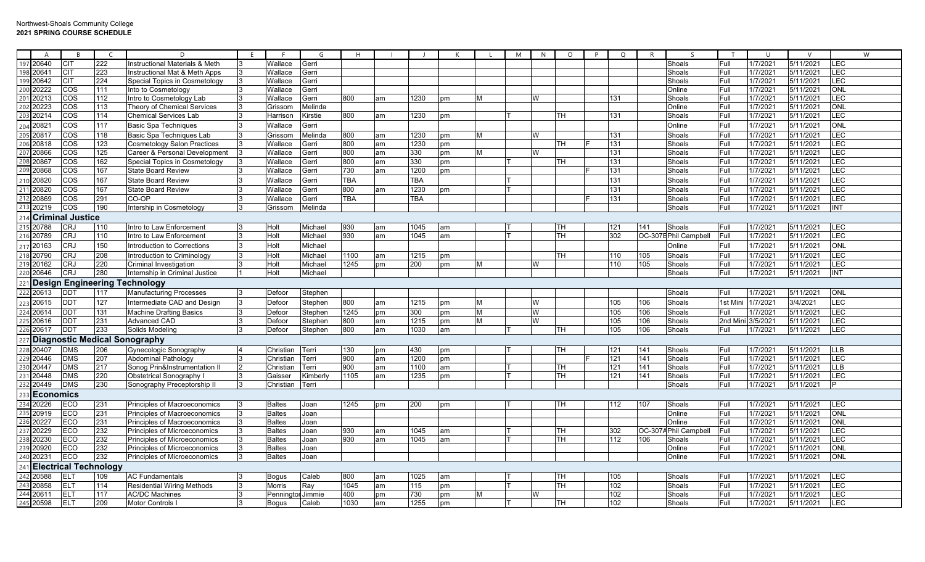|            | A                | $\overline{B}$               | $\mathsf{C}$ | D                                    | E | E             | G          | H          |    |      | $\mathsf{K}$ |   | M | N | $\circ$   | P | $\circ$ | $\mathsf{R}$ | $\varsigma$           | T        | $\cup$   | $\vee$    | W                       |
|------------|------------------|------------------------------|--------------|--------------------------------------|---|---------------|------------|------------|----|------|--------------|---|---|---|-----------|---|---------|--------------|-----------------------|----------|----------|-----------|-------------------------|
|            | 197 20640        | <b>CIT</b>                   | 222          | Instructional Materials & Meth       |   | Wallace       | Gerri      |            |    |      |              |   |   |   |           |   |         |              | Shoals                | Full     | 1/7/202  | 5/11/2021 | <b>LEC</b>              |
|            | 198 20641        | <b>CIT</b>                   | 223          | Instructional Mat & Meth Apps        |   | Wallace       | Gerri      |            |    |      |              |   |   |   |           |   |         |              | Shoals                | Full     | 1/7/2021 | 5/11/2021 | <b>LEC</b>              |
|            | 199 20642        | <b>CIT</b>                   | 224          | Special Topics in Cosmetology        |   | Wallace       | Gerri      |            |    |      |              |   |   |   |           |   |         |              | Shoals                | Full     | 1/7/202  | 5/11/2021 | LEC                     |
| 200        | 20222            | COS                          | 111          | Into to Cosmetology                  |   | Wallace       | Gerri      |            |    |      |              |   |   |   |           |   |         |              | Online                | Full     | 1/7/202  | 5/11/2021 | <b>ONL</b>              |
| 201<br>202 | 20213            | COS                          | 112          | Intro to Cosmetology Lab             |   | Wallace       | Gerri      | 800        | am | 1230 | pm           | M |   | W |           |   | 131     |              | Shoals                | Full     | 1/7/2021 | 5/11/2021 | LEC                     |
|            | 20223            | COS                          | 113          | <b>Theory of Chemical Services</b>   |   | Grissom       | Melinda    |            |    |      |              |   |   |   |           |   |         |              | Online                | Full     | 1/7/2021 | 5/11/2021 | <b>ONL</b>              |
| 203        | 20214            | COS                          | 114          | <b>Chemical Services Lab</b>         |   | Harrison      | Kirstie    | 800        | am | 1230 | pm           |   |   |   | <b>TH</b> |   | 131     |              | Shoals                | Full     | 1/7/2021 | 5/11/2021 | LEC                     |
| 204        | 20821            | COS                          | 117          | <b>Basic Spa Techniques</b>          |   | Wallace       | Gerri      |            |    |      |              |   |   |   |           |   |         |              | Online                | Full     | 1/7/2021 | 5/11/2021 | <b>ONL</b>              |
| 205        | 20817            | $\overline{\cos}$            | 118          | Basic Spa Techniques Lab             |   | Grissom       | Melinda    | 800        | am | 1230 | pm           | M |   | W |           |   | 131     |              | Shoals                | Full     | 1/7/202  | 5/11/2021 | E                       |
| 206        | 20818            | COS                          | 123          | <b>Cosmetology Salon Practices</b>   |   | Wallace       | Gerri      | 800        | am | 1230 | pm           |   |   |   | TН        |   | 131     |              | Shoals                | Full     | 1/7/202' | 5/11/2021 | LEC                     |
|            | 207 20866        | COS                          | 125          | Career & Personal Development        |   | Wallace       | Gerri      | 800        | am | 330  | pm           | м |   | W |           |   | 131     |              | Shoals                | Full     | 1/7/2021 | 5/11/2021 | E                       |
| 208        | 20867            | COS                          | 162          | Special Topics in Cosmetology        |   | Wallace       | Gerri      | 800        | am | 330  | pm           |   |   |   | TН        |   | 131     |              | Shoals                | Full     | 1/7/202  | 5/11/2021 | LEC                     |
| 209        | 20868            | COS                          | 167          | <b>State Board Review</b>            |   | Wallace       | Gerri      | 730        | am | 1200 | pm           |   |   |   |           |   | 131     |              | Shoals                | Full     | 1/7/202  | 5/11/2021 | LEC                     |
| 210        | 20820            | COS                          | 167          | <b>State Board Review</b>            |   | Wallace       | Gerri      | <b>TBA</b> |    | TBA  |              |   |   |   |           |   | 131     |              | Shoals                | Full     | 1/7/202  | 5/11/2021 | LEC                     |
| 211        | 20820            | COS                          | 167          | <b>State Board Review</b>            |   | Wallace       | Gerri      | 800        | am | 1230 | pm           |   |   |   |           |   | 131     |              | Shoals                | Full     | 1/7/202  | 5/11/2021 | LEC                     |
|            | 212 20869        | COS                          | 291          | CO-OP                                |   | Wallace       | Gerri      | <b>TBA</b> |    | ГВА  |              |   |   |   |           |   | 131     |              | Shoals                | Full     | 1/7/202  | 5/11/2021 | LEC                     |
|            | 20219            | COS                          | 190          | Intership in Cosmetology             |   | Grissom       | Melinda    |            |    |      |              |   |   |   |           |   |         |              | Shoals                | Full     | 1/7/2021 | 5/11/2021 | <b>INT</b>              |
| 214        |                  | <b>Criminal Justice</b>      |              |                                      |   |               |            |            |    |      |              |   |   |   |           |   |         |              |                       |          |          |           |                         |
| 215        | 20788            | <b>CRJ</b>                   | 110          | Intro to Law Enforcement             |   | Holt          | Michael    | 930        | am | 1045 | am           |   |   |   | <b>TH</b> |   | 121     | 141          | Shoals                | Full     | 1/7/202' | 5/11/2021 | LEC                     |
|            | 216 20789        | <b>CRJ</b>                   | 110          | Intro to Law Enforcement             |   | Holt          | Michael    | 930        | am | 1045 | am           |   |   |   | <b>TH</b> |   | 302     |              | OC-307EPhil Campbell  | Full     | 1/7/2021 | 5/11/2021 | LEC                     |
| 217        | 20163            | <b>CRJ</b>                   | 150          | Introduction to Corrections          | 3 | Holt          | Michael    |            |    |      |              |   |   |   |           |   |         |              | Online                | Full     | 1/7/202  | 5/11/2021 | ONL                     |
| 218        | 20790            | <b>CRJ</b>                   | 208          | Introduction to Criminology          |   | Holt          | Michael    | 1100       | am | 1215 | pm           |   |   |   | <b>TH</b> |   | 110     | 105          | Shoals                | Full     | 1/7/2021 | 5/11/2021 | <b>LEC</b>              |
|            | 20162            | <b>CRJ</b>                   | 220          | <b>Criminal Investigation</b>        |   | Holt          | Michael    | 1245       | pm | 200  | pm           | м |   | W |           |   | 110     | 105          | Shoals                | Full     | 1/7/2021 | 5/11/2021 | LEC                     |
| 220        | 20646            | <b>CRJ</b>                   | 280          | Internship in Criminal Justice       |   | Holt          | Michael    |            |    |      |              |   |   |   |           |   |         |              | Shoals                | Full     | 1/7/2021 | 5/11/2021 | $\overline{\text{INT}}$ |
| 221        |                  | <b>Design Engineering</b>    |              | <b>Technology</b>                    |   |               |            |            |    |      |              |   |   |   |           |   |         |              |                       |          |          |           |                         |
| 222        | 20613            | DD <sub>1</sub>              | 117          | <b>Manufacturing Processes</b>       |   | Defoor        | Stephen    |            |    |      |              |   |   |   |           |   |         |              | Shoals                | Full     | 1/7/2021 | 5/11/2021 | <b>ONL</b>              |
| 223        | 20615            | DD <sub>1</sub>              | 127          | Intermediate CAD and Design          |   | Defoor        | Stephen    | 800        | am | 1215 | pm           | M |   | W |           |   | 105     | 106          | Shoals                | 1st Min  | 1/7/2021 | 3/4/2021  | LEC                     |
| 224        | 20614            | DD <sub>1</sub>              | 131          | <b>Machine Drafting Basics</b>       |   | Defoor        | Stephen    | 1245       | pm | 300  | pm           | M |   | W |           |   | 105     | 106          | Shoals                | Full     | 1/7/202  | 5/11/2021 | LEC                     |
|            | 20616            | D <sub>D</sub>               | 231          | <b>Advanced CAD</b>                  |   | Defoor        | Stephen    | 800        | am | 1215 | pm           | М |   | W |           |   | 105     | 106          | Shoals                | 2nd Mini | 3/5/2021 | 5/11/2021 | LEC                     |
|            | 226 20617        | DD <sub>1</sub>              | 233          | Solids Modeling                      |   | Defoor        | Stephen    | 800        | am | 1030 | am           |   |   |   | <b>TH</b> |   | 105     | 106          | Shoals                | Full     | 1/7/2021 | 5/11/2021 | LEC                     |
| 227        |                  |                              |              | <b>Diagnostic Medical Sonography</b> |   |               |            |            |    |      |              |   |   |   |           |   |         |              |                       |          |          |           |                         |
| 228        | 20407            | <b>DMS</b>                   | 206          | Gynecologic Sonography               |   | Christian     | Terri      | 130        | pm | 430  | pm           |   |   |   | TН        |   | 121     | 141          | Shoals                | Full     | 1/7/2021 | 5/11/2021 | <b>LLB</b>              |
| 229        | 20446            | <b>DMS</b>                   | 207          | <b>Abdominal Pathology</b>           |   | Christian     | Terri      | 900        | am | 1200 | pm           |   |   |   |           |   | 121     | 141          | Shoals                | Full     | 1/7/2021 | 5/11/2021 | $E$ C                   |
| 230        | 20447            | <b>DMS</b>                   | 217          | Sonog Prin&Instrumentation II        |   | Christiar     | Terri      | 900        | am | 1100 | am           |   |   |   | TH        |   | 121     | 141          | Shoals                | Full     | 1/7/202  | 5/11/2021 | <b>LLB</b>              |
| 231        | 20448            | <b>DMS</b>                   | 220          | <b>Obstetrical Sonography I</b>      |   | Gaisser       | Kimberly   | 1105       | am | 1235 | pm           |   |   |   | TH        |   | 121     | 141          | Shoals                | Full     | 1/7/2021 | 5/11/2021 | E                       |
|            | 232 20449        | <b>DMS</b>                   | 230          | Sonography Preceptorship II          |   | Christian     | Terri      |            |    |      |              |   |   |   |           |   |         |              | Shoals                | Full     | 1/7/2021 | 5/11/2021 | D                       |
| 233        | <b>Economics</b> |                              |              |                                      |   |               |            |            |    |      |              |   |   |   |           |   |         |              |                       |          |          |           |                         |
| 234        | 20226            | ECO                          | 231          | Principles of Macroeconomics         |   | <b>Baltes</b> | Joan       | 1245       | pm | 200  | рm           |   |   |   | TН        |   | 112     | 107          | Shoals                | Full     | 1/7/2021 | 5/11/2021 | <b>LEC</b>              |
|            | 20919            | ECO                          | 231          | Principles of Macroeconomics         |   | <b>Baltes</b> | Joan       |            |    |      |              |   |   |   |           |   |         |              | Online                | Full     | 1/7/2021 | 5/11/2021 | <b>ONL</b>              |
|            | 236 20227        | ECO                          | 231          | Principles of Macroeconomics         |   | <b>Baltes</b> | Joan       |            |    |      |              |   |   |   |           |   |         |              | Online                | Full     | 1/7/202  | 5/11/2021 | ONL                     |
| 237        | 20229            | ECO                          | 232          | Principles of Microeconomics         |   | <b>Baltes</b> | Joan       | 930        | am | 1045 | am           |   |   |   | <b>TH</b> |   | 302     |              | OC-307A Phil Campbell | Full     | 1/7/2021 | 5/11/2021 | E                       |
| 238        | 20230            | ECO                          | 232          | Principles of Microeconomics         |   | <b>Baltes</b> | Joan       | 930        | am | 1045 | am           |   |   |   | TН        |   | 112     | 106          | Shoals                | Full     | 1/7/202  | 5/11/2021 | LEC                     |
| 239        | 20920            | ECO                          | 232          | Principles of Microeconomics         |   | <b>Baltes</b> | Joan       |            |    |      |              |   |   |   |           |   |         |              | Online                | Full     | 1/7/202  | 5/11/2021 | <b>ONL</b>              |
|            | 20231            | ECO                          | 232          | Principles of Microeconomics         |   | <b>Baltes</b> | Joan       |            |    |      |              |   |   |   |           |   |         |              | Online                | Full     | 1/7/2021 | 5/11/2021 | <b>ONL</b>              |
| 241        |                  | <b>Electrical Technology</b> |              |                                      |   |               |            |            |    |      |              |   |   |   |           |   |         |              |                       |          |          |           |                         |
|            | 242 20588        | <b>ELT</b>                   | 109          | <b>AC Fundamentals</b>               |   | <b>Bogus</b>  | Caleb      | 800        | am | 1025 | am           |   |   |   | TН        |   | 105     |              | Shoals                | Full     | 1/7/202' | 5/11/2021 | LEC                     |
| 243        | 20858            | <b>ELT</b>                   | 114          | <b>Residential Wiring Methods</b>    |   | Morris        | Ray        | 1045       | am | 115  | pm           |   |   |   | TН        |   | 102     |              | Shoals                | Full     | 1/7/202  | 5/11/2021 | <b>LEC</b>              |
| 244        | 20611            | <b>ELT</b>                   | 117          | <b>AC/DC Machines</b>                |   | Penninc       | tor Jimmie | 400        | pm | 730  | pm           | M |   | W |           |   | 102     |              | Shoals                | Full     | 1/7/202  | 5/11/2021 | <b>LEC</b>              |
|            | 245 20598        | <b>ELT</b>                   | 209          | Motor Controls                       |   | <b>Boqus</b>  | Caleb      | 1030       | am | 1255 | pm           |   |   |   | <b>TH</b> |   | 102     |              | Shoals                | Full     | 1/7/2021 | 5/11/2021 | LEC                     |
|            |                  |                              |              |                                      |   |               |            |            |    |      |              |   |   |   |           |   |         |              |                       |          |          |           |                         |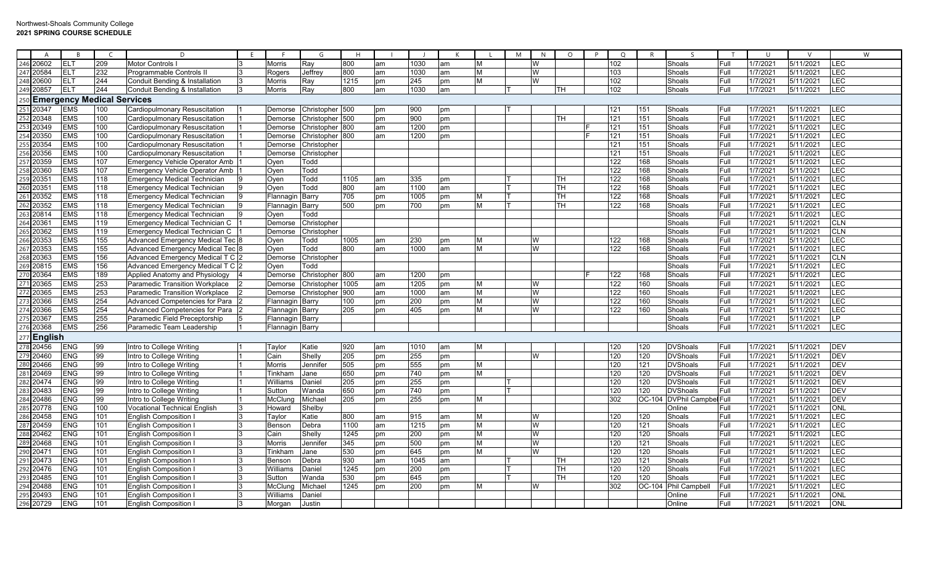|                   | $\overline{A}$                                          | $\overline{B}$           | $\epsilon$                        | D                                          | E |                  | G                       | H           |          |             |          |        | M | N      | $\circ$ | P | $\circ$    | $\mathsf{R}$ | $\varsigma$                | T            | $\cup$               | $\mathsf{V}$           | W                        |
|-------------------|---------------------------------------------------------|--------------------------|-----------------------------------|--------------------------------------------|---|------------------|-------------------------|-------------|----------|-------------|----------|--------|---|--------|---------|---|------------|--------------|----------------------------|--------------|----------------------|------------------------|--------------------------|
| 246               | 20602                                                   | ELT                      | 209                               | Motor Controls I                           |   | Morris           | Ray                     | 800         | am       | 1030        | am       | M      |   | W      |         |   | 102        |              | Shoals                     | Full         | 1/7/2021             | 5/11/2021              | LEC                      |
|                   | 20584                                                   | <b>ELT</b>               | 232                               | Programmable Controls II                   |   | Rogers           | Jeffrey                 | 800         | am       | 1030        | am       | M      |   | W      |         |   | 103        |              | Shoals                     | Full         | 1/7/2021             | 5/11/2021              | LEC                      |
|                   | 248 20600                                               | ELT                      | 244                               | Conduit Bending & Installation             |   | <b>Morris</b>    | Ray                     | 1215        | pm       | 245         | pm       | M      |   | W      |         |   | 102        |              | Shoals                     | Full         | 1/7/2021             | 5/11/2021              | LEC                      |
|                   | 249 20857                                               | ELT                      | 244                               | Conduit Bending & Installation             |   | <b>Morris</b>    | Ray                     | 800         | am       | 1030        | am       |        |   |        | TH      |   | 102        |              | Shoals                     | Full         | 1/7/2021             | 5/11/2021              | LEC                      |
| 250               |                                                         |                          | <b>Emergency Medical Services</b> |                                            |   |                  |                         |             |          |             |          |        |   |        |         |   |            |              |                            |              |                      |                        |                          |
|                   | 20347                                                   | <b>EMS</b>               | 100                               | <b>Cardiopulmonary Resuscitation</b>       |   | Demorse          | Christopher 500         |             | pm       | 900         | pm       |        |   |        |         |   | 121        | 151          | Shoals                     | Full         | 1/7/2021             | 5/11/2021              | LEC                      |
| 252               | 20348                                                   | <b>EMS</b>               | 100                               | <b>Cardiopulmonary Resuscitation</b>       |   | Demorse          | Christopher 500         |             | pm       | 900         | pm       |        |   |        | TН      |   | 121        | 151          | Shoals                     | Full         | 1/7/2021             | 5/11/2021              | LEC                      |
|                   | 20349                                                   | <b>EMS</b>               | 100                               | Cardiopulmonary Resuscitation              |   | Demorse          | Christopher 800         |             | am       | 1200        | pm       |        |   |        |         |   | 121        | 151          | Shoals                     | Full         | 1/7/2021             | 5/11/2021              | LEC                      |
|                   | 20350                                                   | <b>EMS</b>               | 100                               | Cardiopulmonary Resuscitation              |   | Demorse          | Christopher             | 800         | am       | 1200        | pm       |        |   |        |         |   | 121        | 151          | Shoals                     | Full         | 1/7/2021             | 5/11/2021              | LEC                      |
|                   | 20354                                                   | <b>EMS</b>               | 100                               | <b>Cardiopulmonary Resuscitation</b>       |   | Demorse          | Christopher             |             |          |             |          |        |   |        |         |   | 121        | 151          | Shoals                     | Full         | 1/7/2021             | 5/11/2021              | <b>LEC</b>               |
| 256<br>257        | 20356                                                   | <b>EMS</b>               | 100                               | Cardiopulmonary Resuscitation              |   | Demorse          | Christopher             |             |          |             |          |        |   |        |         |   | 121        | 151          | Shoals                     | Full         | 1/7/2021             | 5/11/2021              | LEC                      |
|                   | 20359                                                   | <b>EMS</b>               | 107                               | <b>Emergency Vehicle Operator Amb</b>      |   | Oyen             | Todd                    |             |          |             |          |        |   |        |         |   | 122        | 168          | Shoals                     | Full         | 1/7/2021             | 5/11/2021              | LEC                      |
|                   | 20360                                                   | <b>EMS</b>               | 107                               | <b>Emergency Vehicle Operator Amb</b>      |   | Oyen             | Todd                    |             |          |             |          |        |   |        |         |   | 122        | 168          | Shoals                     | Full         | 1/7/2021             | 5/11/2021              | <b>LEC</b>               |
| 258<br>259<br>260 | 20351                                                   | <b>EMS</b>               | 118                               | <b>Emergency Medical Technician</b>        |   | Oyen             | Todd                    | 1105        | am       | 335         | pm       |        |   |        | TН      |   | 122        | 168          | Shoals                     | Full         | 1/7/2021             | 5/11/2021              | LEC                      |
|                   | 20351                                                   | <b>EMS</b>               | 118                               | <b>Emergency Medical Technician</b>        |   | Oyen             | Todd                    | 800         | am       | 1100        | am       |        |   |        | TН      |   | 122        | 168          | Shoals                     | Full         | 1/7/2021             | 5/11/2021              | LEC                      |
| $\frac{261}{262}$ | 20352                                                   | <b>EMS</b>               | 118                               | <b>Emergency Medical Technician</b>        |   | Flannagin Barry  |                         | 705         | pm       | 1005        | pm       | M      |   |        | TH.     |   | 122        | 168          | Shoals                     | Full         | 1/7/2021             | 5/11/2021              | LEC                      |
|                   | 20352                                                   | <b>EMS</b>               | 118                               | <b>Emergency Medical Technician</b>        |   | Flannagin Barry  |                         | 500         | pm       | 700         | pm       | M      |   |        | TH      |   | 122        | 168          | Shoals                     | Full         | 1/7/2021             | 5/11/2021              | LEC                      |
|                   | 20814                                                   | <b>EMS</b>               | 118                               | <b>Emergency Medical Technician</b>        |   | Oyen             | Todd                    |             |          |             |          |        |   |        |         |   |            |              | Shoals                     | Full         | 1/7/2021             | 5/11/2021              | LEC                      |
| $\frac{264}{265}$ | 20361                                                   | <b>EMS</b>               | 119                               | <b>Emergency Medical Technician C</b>      |   | Demorse          | Christopher             |             |          |             |          |        |   |        |         |   |            |              | Shoals                     | Full         | 1/7/2021             | 5/11/2021              | <b>CLN</b>               |
|                   | 20362                                                   | <b>EMS</b>               | 119                               | Emergency Medical Technician C             |   |                  | Demorse Christopher     |             |          |             |          |        |   |        |         |   |            |              | Shoals                     | Full         | 1/7/2021             | 5/11/2021              | <b>CLN</b>               |
|                   | 266 20353<br>267 20353                                  | <b>EMS</b>               | 155                               | Advanced Emergency Medical Tec             |   | Oyen             | Todd                    | 1005        | am       | 230         | pm       | M      |   | W      |         |   | 122        | 168          | Shoals                     | Full         | 1/7/2021             | 5/11/2021              | <b>LEC</b>               |
|                   |                                                         | <b>EMS</b>               | 155                               | Advanced Emergency Medical Tec 8           |   | Oyen             | Todd                    | 800         | am       | 1000        | am       | M      |   | W      |         |   | 122        | 168          | Shoals                     | Full         | 1/7/2021             | 5/11/2021              | LEC                      |
|                   |                                                         | <b>EMS</b>               | 156                               | Advanced Emergency Medical T C 2           |   | Demorse          | Christopher             |             |          |             |          |        |   |        |         |   |            |              | Shoals                     | Full         | 1/7/2021             | 5/11/2021              | CLN                      |
|                   |                                                         | <b>EMS</b>               | 156                               | Advanced Emergency Medical T C 2           |   | Oyen             | Todd                    |             |          |             |          |        |   |        |         |   |            |              | Shoals                     | Full         | 1/7/2021             | 5/11/2021              | LEC                      |
|                   | 267<br>268 20363<br>269 20815<br>270 20364<br>271 20365 | <b>EMS</b>               | 189                               | Applied Anatomy and Physiology             |   |                  | Demorse Christopher 800 |             | am       | 1200        | pm       |        |   |        |         |   | 122        | 168          | Shoals                     | Full         | 1/7/2021             | 5/11/2021              | <b>LEC</b>               |
|                   |                                                         | <b>EMS</b>               | 253                               | <b>Paramedic Transition Workplace</b>      |   | Demorse          | Christopher             | 1005        | am       | 1205        | pm       | M      |   | W      |         |   | 122        | 160          | Shoals                     | Full         | 1/7/2021             | 5/11/2021              | LEC                      |
| 272<br>273        | 20365                                                   | <b>EMS</b>               | 253                               | <b>Paramedic Transition Workplace</b>      |   | Demorse          | Christopher             | 900         | am       | 1000        | am       | M      |   | W      |         |   | 122        | 160          | Shoals                     | Full         | 1/7/2021             | 5/11/2021              | LEC                      |
|                   | 20366                                                   | <b>EMS</b>               | 254                               | Advanced Competencies for Para             |   | Flannagin Barry  |                         | 100         | pm       | 200         | pm       | M      |   | W      |         |   | 122        | 160          | Shoals                     | Full         | 1/7/2021             | 5/11/2021              | LEC                      |
|                   | 274 20366<br>275 20367                                  | <b>EMS</b>               | 254                               | Advanced Competencies for Para             |   | Flannagin IBarrv |                         | 205         | pm       | 405         | pm       | M      |   | W      |         |   | 122        | 160          | Shoals                     | Full         | 1/7/2021             | 5/11/2021              | LEC                      |
|                   |                                                         | <b>EMS</b>               | 255                               | Paramedic Field Preceptorship              |   | Flannagin Barry  |                         |             |          |             |          |        |   |        |         |   |            |              | Shoals                     | Full         | 1/7/2021             | 5/11/2021              | LP.                      |
| 276               | 20368                                                   | <b>EMS</b>               | 256                               | Paramedic Team Leadership                  |   | Flannagin Barry  |                         |             |          |             |          |        |   |        |         |   |            |              | Shoals                     | Full         | 1/7/2021             | 5/11/2021              | LEC                      |
|                   | $277$ English                                           |                          |                                   |                                            |   |                  |                         |             |          |             |          |        |   |        |         |   |            |              |                            |              |                      |                        |                          |
|                   | 278 20456                                               | <b>ENG</b>               | 99                                | Intro to College Writing                   |   | Taylor           | Katie                   | 920         | am       | 1010        | am       | M      |   |        |         |   | 120        | 120          | <b>DVShoals</b>            | Full         | 1/7/2021             | 5/11/2021              | <b>DEV</b>               |
|                   |                                                         | <b>ENG</b>               | 99                                | Intro to College Writing                   |   | Cain             | Shelly                  | 205         | pm       | 255         | pm       |        |   | W      |         |   | 120        | 120          | <b>DVShoals</b>            | Full         | 1/7/2021             | 5/11/2021              | <b>DEV</b>               |
| 280<br>281        | 20466                                                   | <b>ENG</b>               | 99                                | Intro to College Writing                   |   | Morris           | Jennifer                | 505         | pm       | 555         | pm       | M      |   |        |         |   | 120        | 121          | <b>DVShoals</b>            | Full         | 1/7/2021             | 5/11/2021              | <b>DEV</b>               |
|                   | 20469                                                   | <b>ENG</b>               | 99                                | Intro to College Writing                   |   | Tinkham          | Jane                    | 650         | pm       | 740         | pm       | M      |   |        |         |   | 120        | 120          | <b>DVShoals</b>            | Full         | 1/7/2021             | 5/11/2021              | <b>DEV</b>               |
|                   | 282 20474<br>283 20483<br>284 20486                     | <b>ENG</b>               | 99                                | Intro to College Writing                   |   | Williams         | Daniel                  | 205         | pm       | 255         | pm       |        |   |        |         |   | 120        | 120          | <b>DVShoals</b>            | Full         | 1/7/2021             | 5/11/2021              | <b>DEV</b>               |
|                   |                                                         | <b>ENG</b>               | 99                                | Intro to College Writing                   |   | Sutton           | Wanda                   | 650         | pm       | 740         | pm       |        |   |        |         |   | 120        | 120          | <b>DVShoals</b>            | Full         | 1/7/2021             | 5/11/2021              | DEV                      |
|                   |                                                         | <b>ENG</b>               | 99                                | Intro to College Writing                   |   | McClund          | Michael                 | 205         | pm       | 255         | pm       | M      |   |        |         |   | 302        | OC-104       | <b>DVPhil Campbel Full</b> |              | 1/7/2021             | 5/11/2021              | DEV                      |
| 285<br>286        | 20778                                                   | <b>ENG</b>               | 100                               | <b>Vocational Technical English</b>        |   | Howard           | Shelby                  | 800         |          |             |          |        |   |        |         |   | 120        | 120          | Online                     | Full         | 1/7/2021             | 5/11/2021              | <b>ONL</b><br><b>LEC</b> |
|                   | 20458                                                   | <b>ENG</b>               | 101                               | <b>English Composition I</b>               |   | Taylor           | Katie                   |             | am       | 915         | am       | M      |   | W<br>W |         |   |            |              | Shoals                     | Full         | 1/7/2021             | 5/11/2021              |                          |
| 288               | 20459<br>20462                                          | <b>ENG</b><br><b>ENG</b> | 101<br>101                        | English Composition<br>English Composition |   | Bensor<br>Cain   | Debra<br>Shelly         | 1100        | am<br>pm | 1215<br>200 | pm       | M<br>M |   | W      |         |   | 120<br>120 | 121<br>120   | Shoals<br>Shoals           | Full<br>Full | 1/7/2021<br>1/7/2021 | 5/11/2021<br>5/11/2021 | <b>LEC</b><br>LEC        |
| 289               | 20468                                                   | <b>ENG</b>               | 101                               | English Composition                        |   | Morris           | Jennifer                | 1245<br>345 | pm       | 500         | pm       | M      |   | W      |         |   | 120        | 121          | Shoals                     | Full         | 1/7/2021             | 5/11/2021              | <b>LEC</b>               |
|                   | 20471                                                   | <b>ENG</b>               | 101                               | <b>English Composition I</b>               |   | Tinkham          | Jane                    | 530         | pm       | 645         | pm       | M      |   | W      |         |   | 120        | 120          | Shoals                     | Full         | 1/7/2021             | 5/11/2021              | LEC                      |
| 290<br>291        | 20473                                                   | <b>ENG</b>               | 101                               | <b>English Composition I</b>               |   | Benson           | Debra                   | 930         | am       | 1045        | pm<br>am |        |   |        | TH      |   | 120        | 121          | Shoals                     | Full         | 1/7/2021             | 5/11/2021              | LEC                      |
|                   | 20476                                                   | <b>ENG</b>               | 101                               | <b>English Composition I</b>               |   | Williams         | Daniel                  | 1245        | pm       | 200         | pm       |        |   |        | TН      |   | 120        | 120          | Shoals                     | Full         | 1/7/2021             | 5/11/2021              | LEC                      |
| 293               | 20485                                                   | <b>ENG</b>               | 101                               | English Composition                        |   | Sutton           | Wanda                   | 530         | pm       | 645         | рm       |        |   |        | TH      |   | 120        | 120          | Shoals                     | Full         | 1/7/2021             | 5/11/2021              | <b>LEC</b>               |
|                   | 294 20488                                               | <b>ENG</b>               | 101                               | English Composition                        |   | McCluna          | Michael                 | 1245        | pm       | 200         | pm       | M      |   | W      |         |   | 302        | OC-104       | Phil Campbell              | Full         | 1/7/2021             | 5/11/2021              | <b>LEC</b>               |
|                   | 295 20493                                               | <b>ENG</b>               | 101                               | <b>English Composition I</b>               |   | Williams         | Daniel                  |             |          |             |          |        |   |        |         |   |            |              | Online                     | Full         | 1/7/2021             | 5/11/2021              | <b>ONL</b>               |
|                   | 296 20729                                               | <b>ENG</b>               | 101                               | English Composition                        |   | Morgan           | Justin                  |             |          |             |          |        |   |        |         |   |            |              | Online                     | Full         | 1/7/2021             | 5/11/2021              | ONL                      |
|                   |                                                         |                          |                                   |                                            |   |                  |                         |             |          |             |          |        |   |        |         |   |            |              |                            |              |                      |                        |                          |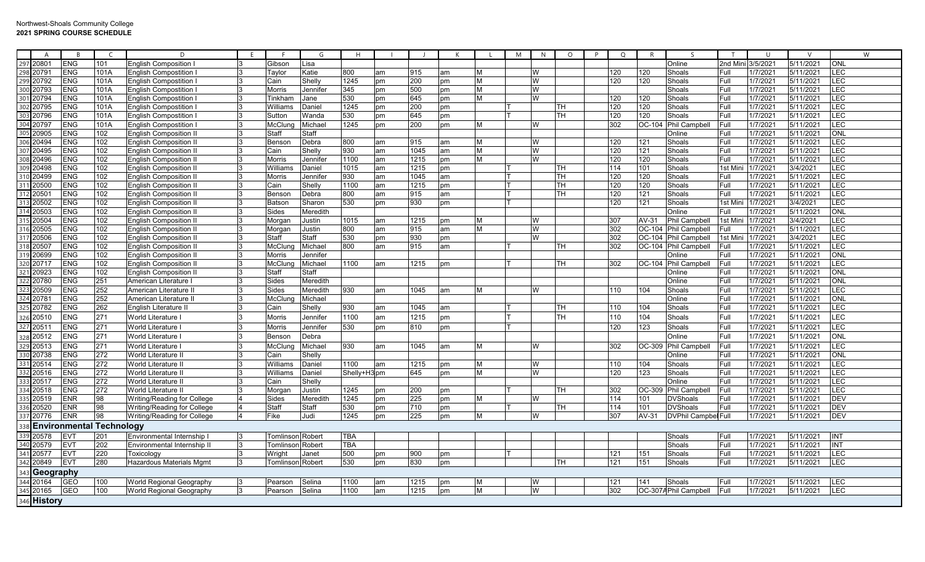| A                      | <b>R</b>                        |      | D                                                    |    |                         | G        | H            |    |      |    |   | M | N | $\circ$   | P | $\circ$ | R      |                                 |         | U        |           |            | W |
|------------------------|---------------------------------|------|------------------------------------------------------|----|-------------------------|----------|--------------|----|------|----|---|---|---|-----------|---|---------|--------|---------------------------------|---------|----------|-----------|------------|---|
| 297 20801<br>298 20791 | <b>ENG</b>                      | 101  | <b>English Composition</b>                           |    | Gibson                  | Lisa     |              |    |      |    |   |   |   |           |   |         |        | Online                          | 2nd Mir | 3/5/202  | 5/11/2021 | <b>ONL</b> |   |
|                        | <b>ENG</b>                      | 101A | <b>English Compostition</b>                          |    | Taylor                  | Katie    | 800          | am | 915  | am | M |   | W |           |   | 120     | 120    | Shoals                          | Full    | 1/7/2021 | 5/11/2021 | LEC        |   |
| 299 20792              | <b>ENG</b>                      | 101A | <b>English Compostition</b>                          |    | Cain                    | Shelly   | 1245         | pm | 200  | pm | M |   | W |           |   | 120     | 120    | Shoals                          | Full    | 1/7/2021 | 5/11/2021 | LEC        |   |
| 300 20793              | <b>ENG</b>                      | 101A | <b>English Compostition</b>                          |    | Morris                  | Jennifeı | 345          | pm | 500  | pm | M |   | W |           |   |         |        | Shoals                          | Full    | 1/7/2021 | 5/11/2021 | LEC        |   |
| 301<br>20794           | <b>ENG</b>                      | 101A | <b>English Compostition I</b>                        |    | Tinkham                 | Jane     | 530          | pm | 645  | pm | M |   | W |           |   | 120     | 120    | Shoals                          | Full    | 1/7/202  | 5/11/2021 | <b>LEC</b> |   |
| 302<br>20795           | <b>ENG</b>                      | 101A | <b>English Compostition</b>                          |    | Williams                | Daniel   | 1245         | pm | 200  | pm |   |   |   | ΓН        |   | 120     | 120    | Shoals                          | Full    | 1/7/202  | 5/11/2021 | LEC        |   |
| 303<br>20796           | <b>ENG</b>                      | 101A | <b>English Compostition</b>                          |    | Sutton                  | Wanda    | 530          | рm | 645  | pm |   |   |   | ГH        |   | 120     | 120    | Shoals                          | Full    | 1/7/2021 | 5/11/2021 | LEC        |   |
| 304<br>20797           | <b>ENG</b>                      | 101A | <b>English Compostition</b>                          |    | McClun                  | Michael  | 1245         | pm | 200  | pm | M |   | W |           |   | 302     | OC-10  | <b>Phil Campbell</b>            | Full    | 1/7/2021 | 5/11/2021 | LEC        |   |
| 305<br>20905           | <b>ENG</b>                      | 102  | <b>English Composition I</b>                         |    | Staff                   | Staff    |              |    |      |    |   |   |   |           |   |         |        | Online                          | Full    | 1/7/2021 | 5/11/2021 | <b>ONL</b> |   |
| 306 20494              | <b>ENG</b>                      | 102  | <b>English Composition I</b>                         |    | Bensor                  | Debra    | 800          | am | 915  | am | M |   | W |           |   | 120     | 121    | Shoals                          | Full    | 1/7/2021 | 5/11/2021 | LEC        |   |
| 307<br>20495           | <b>ENG</b>                      | 102  | <b>English Composition I</b>                         |    | Cain                    | Shelly   | 930          | am | 1045 | am | M |   | W |           |   | 120     | 121    | Shoals                          | Full    | 1/7/2021 | 5/11/2021 | LEC        |   |
| 308<br>20496           | <b>ENG</b>                      | 102  | <b>English Composition I</b>                         |    | <b>Morris</b>           | Jennifeı | 1100         | am | 1215 | pm | M |   | W |           |   | 120     | 120    | Shoals                          | Full    | 1/7/202  | 5/11/2021 | LEC        |   |
| 309<br>20498           | <b>ENG</b>                      | 102  | <b>English Composition I</b>                         |    | Williams                | Daniel   | 1015         | am | 1215 | pm |   |   |   | ΓН        |   | 114     | 101    | Shoals                          | 1st Mir | 1/7/2021 | 3/4/2021  | LEC        |   |
| 20499                  | <b>ENG</b>                      | 102  | <b>English Composition I</b>                         | 3  | <b>Morris</b>           | Jennifeı | 930          | am | 1045 | am |   |   |   | <b>TH</b> |   | 120     | 120    | Shoals                          | Full    | 1/7/2021 | 5/11/2021 | LEC        |   |
| 311<br>20500           | <b>ENG</b>                      | 102  | <b>English Composition I</b>                         |    | Cain                    | Shelly   | 1100         | am | 1215 | pm |   |   |   | TH        |   | 120     | 120    | Shoals                          | Full    | 1/7/202  | 5/11/2021 | LEC        |   |
| 312 20501              | <b>ENG</b>                      | 102  | <b>English Composition I</b>                         |    | <b>Bensor</b>           | Debra    | 800          | am | 915  | am |   |   |   | TН        |   | 120     | 121    | Shoals                          | Full    | 1/7/2021 | 5/11/2021 | <b>LEC</b> |   |
| 313 20502              | <b>ENG</b>                      | 102  | <b>English Composition I</b>                         |    | Batson                  | Sharon   | 530          | pm | 930  | pm |   |   |   |           |   | 120     | 121    | Shoals                          | 1st Min | 1/7/2021 | 3/4/2021  | <b>LEC</b> |   |
| 314<br>20503           | <b>ENG</b>                      | 102  | <b>English Composition I</b>                         |    | Sides                   | Meredith |              |    |      |    |   |   |   |           |   |         |        | Online                          | Full    | 1/7/202  | 5/11/2021 | ONL        |   |
| 20504                  | <b>ENG</b>                      | 102  | <b>English Composition I</b>                         |    | Morgar                  | Justin   | 1015         | am | 1215 | pm | M |   | W |           |   | 307     | AV-31  | <b>Phil Campbell</b>            | 1st Min | 1/7/202  | 3/4/2021  | LEC        |   |
| 316<br>20505           | <b>ENG</b>                      | 102  | <b>English Composition I</b>                         |    | Morgar                  | Justin   | 800          | am | 915  | am | M |   | W |           |   | 302     | OC-104 | <b>Phil Campbell</b>            | Full    | 1/7/202  | 5/11/2021 | LEC        |   |
| 317<br>20506           | <b>ENG</b>                      | 102  | <b>English Composition I</b>                         |    | Staff                   | Staff    | 530          | pm | 930  | pm |   |   | W |           |   | 302     | OC-104 | Phil Campbell                   | 1st Min | 1/7/2021 | 3/4/2021  | LEC        |   |
| 318 20507              | <b>ENG</b>                      | 102  | English Composition                                  |    | <b>McCluno</b>          | Michae   | 800          | am | 915  | am |   |   |   | TН        |   | 302     | OC-104 | Phil Campbell                   | Full    | 1/7/202  | 5/11/2021 | LEC        |   |
| 20699                  | <b>ENG</b>                      | 102  | <b>English Composition I</b>                         |    | <b>Morris</b>           | Jennifer |              |    |      |    |   |   |   |           |   |         |        | Online                          | Full    | 1/7/2021 | 5/11/2021 | ONL        |   |
| 320<br>20717           | <b>ENG</b>                      | 102  | <b>English Composition I</b>                         |    | McClur                  | Michael  | 1100         | am | 1215 | рm |   |   |   | TН        |   | 302     |        | OC-104 Phil Campbell            | Full    | 1/7/202  | 5/11/2021 | <b>LEC</b> |   |
| 321<br>20923           | <b>ENG</b>                      | 102  | <b>English Composition I</b>                         |    | Staff                   | Staff    |              |    |      |    |   |   |   |           |   |         |        | Online                          | Full    | 1/7/2021 | 5/11/2021 | ONL        |   |
| 20780                  | <b>ENG</b>                      | 251  | American Literature                                  |    | Sides                   | Meredith |              |    |      |    |   |   |   |           |   |         |        | Online                          | Full    | 1/7/2021 | 5/11/2021 | ONL        |   |
| 323<br>20509           | <b>ENG</b>                      | 252  | American Literature I                                |    | Sides                   | Meredith | 930          | am | 1045 | am | M |   | W |           |   | 110     | 104    | Shoals                          | Full    | 1/7/202  | 5/11/2021 | LEC        |   |
| 324<br>20781           | <b>ENG</b>                      | 252  | American Literature I                                |    | McClur                  | Michael  |              |    |      |    |   |   |   |           |   |         |        | Online                          | Full    | 1/7/2021 | 5/11/2021 | ONL        |   |
| 325 20782              | <b>ENG</b>                      | 262  | English Literature II                                |    | Cain                    | Shelly   | 930          | am | 1045 | am |   |   |   | TН        |   | 110     | 104    | Shoals                          | Full    | 1/7/2021 | 5/11/2021 | LEC        |   |
| 20510                  | <b>ENG</b>                      | 271  | <b>World Literature</b>                              |    | Morris                  | Jennifeı | 1100         | am | 1215 | pm |   |   |   | TH        |   | 110     | 104    | Shoals                          | Full    | 1/7/202  | 5/11/2021 | LEC        |   |
| 327<br>20511           | <b>ENG</b>                      | 271  | World Literature                                     |    | Morris                  | Jennifer | 530          | pm | 810  | pm |   |   |   |           |   | 120     | 123    | Shoals                          | Full    | 1/7/202  | 5/11/2021 | LEC        |   |
| 20512<br>328           | <b>ENG</b>                      | 271  | <b>World Literature</b>                              |    | Benson                  | Debra    |              |    |      |    |   |   |   |           |   |         |        | Online                          | Full    | 1/7/2021 | 5/11/2021 | ONL        |   |
| 329<br>20513           | <b>ENG</b>                      | 271  | World Literature                                     |    | McClung                 | Michael  | 930          | am | 1045 | am | M |   | W |           |   | 302     | OC-309 | Phil Campbell                   | Full    | 1/7/202  | 5/11/2021 | LEC        |   |
| 20738                  | <b>ENG</b>                      | 272  | <b>World Literature I</b>                            |    | Cain                    | Shelly   |              |    |      |    |   |   |   |           |   |         |        | Online                          | Full    | 1/7/2021 | 5/11/2021 | <b>NO</b>  |   |
| 331<br>20514           | <b>ENG</b>                      | 272  | World Literature I                                   |    | Williams                | Daniel   | 1100         | am | 1215 | рm | M |   | W |           |   | 110     | 104    | Shoals                          | Full    | 1/7/2021 | 5/11/2021 | LEC        |   |
| 332<br>20516           | <b>ENG</b>                      | 272  | World Literature I                                   |    | Williams                | Daniel   | Shelly+H3 pm |    | 645  | pm | M |   | W |           |   | 120     | 123    | Shoals                          | Full    | 1/7/202  | 5/11/2021 | LEC        |   |
| 333<br>20517           | <b>ENG</b>                      | 272  | World Literature I                                   |    | Cain                    | Shelly   |              |    |      |    |   |   |   |           |   |         |        | Online                          | Full    | 1/7/2021 | 5/11/2021 | LEC        |   |
| 334<br>20518           | <b>ENG</b>                      | 272  | World Literature I                                   |    | Morgar                  | Justin   | 1245         | pm | 200  | pm |   |   |   | TН        |   | 302     | OC-309 | Phil Campbell                   | Full    | 1/7/2021 | 5/11/2021 | LEC        |   |
| 335<br>20519           | <b>ENR</b>                      | 98   | Writing/Reading for College                          |    | Sides                   | Meredith | 1245         | pm | 225  | pm | M |   | W |           |   | 114     | 101    | <b>DVShoals</b>                 | Full    | 1/7/202  | 5/11/2021 | <b>DEV</b> |   |
| 20520                  | <b>ENR</b>                      | 98   | Writing/Reading for College                          |    | Staff                   | Staff    | 530          | pm | 710  | pm |   |   |   | ΓН        |   | 114     | 101    | <b>DVShoals</b>                 | Full    | 1/7/202  | 5/11/2021 | <b>DEV</b> |   |
| 337<br>20776           | <b>ENR</b>                      | 98   | Writing/Reading for College                          |    | Fike                    | Judi     | 1245         | pm | 225  | pm | M |   | W |           |   | 307     | AV-31  | DVPhil Campbel Full             |         | 1/7/2021 | 5/11/2021 | DEV        |   |
| 338                    | <b>Environmental Technology</b> |      |                                                      |    |                         |          |              |    |      |    |   |   |   |           |   |         |        |                                 |         |          |           |            |   |
| 339 20578              | EV <sub>1</sub>                 | 201  | Environmental Internship I                           | 3  | Tomlinson Robert        |          | <b>TBA</b>   |    |      |    |   |   |   |           |   |         |        | Shoals                          | Full    | 1/7/2021 | 5/11/2021 | <b>INT</b> |   |
| 340<br>20579           | EV <sub>1</sub>                 | 202  | Environmental Internship II                          |    | Tomlinson Robert        |          | <b>TBA</b>   |    |      |    |   |   |   |           |   |         |        | Shoals                          | Full    | 1/7/202  | 5/11/2021 | INT        |   |
| 341<br>20577           | <b>EVT</b>                      | 220  | Toxicology                                           |    | Wriaht                  | Janet    | 500          | pm | 900  | pm |   |   |   |           |   | 121     | 151    | Shoals                          | Full    | 1/7/202  | 5/11/2021 | LEC        |   |
| 20849                  | EV <sub>1</sub>                 | 280  | Hazardous Materials Mgmt                             |    | <b>Tomlinson</b> Robert |          | 530          | pm | 830  | pm |   |   |   | TН        |   | 121     | 151    | Shoals                          | Full    | 1/7/202  | 5/11/2021 | LEC        |   |
| Geography<br>343       |                                 |      |                                                      |    |                         |          |              |    |      |    |   |   |   |           |   |         |        |                                 |         |          |           |            |   |
| 344<br>20164           | GEO                             | 100  |                                                      | l3 |                         | Selina   | 1100         |    | 1215 |    | M |   | W |           |   | 121     | 141    |                                 | Full    | 1/7/2021 | 5/11/2021 | <b>LEC</b> |   |
|                        | <b>GEO</b>                      | 100  | World Regional Geography<br>World Regional Geography | 3  | Pearson                 | Selina   | 1100         | am | 1215 | pm | M |   | W |           |   | 302     |        | Shoals<br>OC-307A Phil Campbell | Full    | 1/7/2021 | 5/11/2021 | <b>LEC</b> |   |
| 345 20165              |                                 |      |                                                      |    | Pearson                 |          |              | am |      | pm |   |   |   |           |   |         |        |                                 |         |          |           |            |   |
| 346 History            |                                 |      |                                                      |    |                         |          |              |    |      |    |   |   |   |           |   |         |        |                                 |         |          |           |            |   |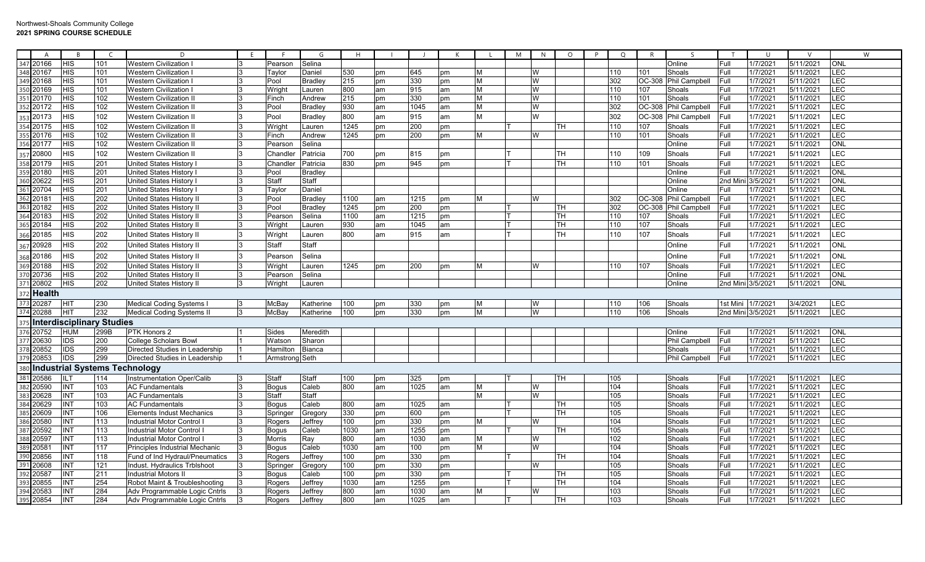| A                    | <b>R</b>                         | $\epsilon$ | D                                 | F. |                | G              | H    |    |      |    |   | M | N | $\circ$   | $\circ$<br>P | R      | $\varsigma$          |                   | $\cup$   |           |            | W |
|----------------------|----------------------------------|------------|-----------------------------------|----|----------------|----------------|------|----|------|----|---|---|---|-----------|--------------|--------|----------------------|-------------------|----------|-----------|------------|---|
| 20166<br>347         | <b>HIS</b>                       | 101        | Western Civilization              |    | Pearson        | Selina         |      |    |      |    |   |   |   |           |              |        | Online               | Full              | 1/7/2021 | 5/11/2021 | <b>ONL</b> |   |
| 348<br>20167         | <b>HIS</b>                       | 101        | Western Civilization              |    | Taylor         | Daniel         | 530  | pm | 645  | pm | M |   | W |           | 110          | 101    | Shoals               | Full              | 1/7/2021 | 5/11/2021 | LEC        |   |
| 349 20168            | <b>HIS</b>                       | 101        | Western Civilization              |    | Pool           | <b>Bradley</b> | 215  | pm | 330  | pm | M |   | W |           | 302          | OC-30  | <b>Phil Campbell</b> | Full              | 1/7/2021 | 5/11/2021 | LEC        |   |
| 350<br>20169         | <b>HIS</b>                       | 101        | Western Civilization l            |    | Wright         | Lauren         | 800  | am | 915  | am | М |   | W |           | 110          | 107    | Shoals               | Full              | 1/7/2021 | 5/11/2021 | LEC        |   |
| 351<br>20170         | <b>HIS</b>                       | 102        | Western Civilization II           |    | Finch          | Andrew         | 215  | pm | 330  | pm | м |   | W |           | 110          | 101    | Shoals               | Full              | 1/7/2021 | 5/11/2021 | E          |   |
| 352<br>20172         | <b>HIS</b>                       | 102        | <b>Western Civilization II</b>    |    | Pool           | Bradley        | 930  | am | 1045 | am | М |   | W |           | 302          | OC-308 | <b>Phil Campbell</b> | Full              | 1/7/2021 | 5/11/2021 | LEC        |   |
| 20173<br>353         | <b>HIS</b>                       | 102        | <b>Western Civilization II</b>    |    | Pool           | Bradley        | 800  | am | 915  | am | M |   | W |           | 302          | OC-308 | <b>Phil Campbell</b> | Full              | 1/7/2021 | 5/11/2021 | LEC        |   |
| 354<br>20175         | <b>HIS</b>                       | 102        | <b>Western Civilization II</b>    |    | Wright         | Lauren         | 1245 | pm | 200  | pm |   |   |   | TH        | 110          | 107    | Shoals               | Full              | 1/7/2021 | 5/11/2021 | LEC        |   |
| 355 20176            | <b>HIS</b>                       | 102        | <b>Western Civilization II</b>    |    | Finch          | Andrew         | 1245 | pm | 200  | pm | M |   | W |           | 110          | 101    | Shoals               | Full              | 1/7/2021 | 5/11/2021 | LEC        |   |
| 356 20177            | <b>HIS</b>                       | 102        | <b>Western Civilization II</b>    |    | Pearson        | Selina         |      |    |      |    |   |   |   |           |              |        | Online               | Full              | 1/7/2021 | 5/11/2021 | <b>ONL</b> |   |
| 20800<br>357         | <b>HIS</b>                       | 102        | <b>Western Civilization II</b>    |    | Chandler       | Patricia       | 700  | pm | 815  | pm |   |   |   | <b>TH</b> | 110          | 109    | Shoals               | Full              | 1/7/2021 | 5/11/2021 | LEC        |   |
| 358<br>20179         | <b>HIS</b>                       | 201        | United States History             |    | Chandler       | Patricia       | 830  | pm | 945  | pm |   |   |   | TН        | 110          | 101    | Shoals               | Full              | 1/7/2021 | 5/11/2021 | LEC        |   |
| 359<br>20180         | <b>HIS</b>                       | 201        | United States History             |    | Pool           | <b>Bradley</b> |      |    |      |    |   |   |   |           |              |        | Online               | Full              | 1/7/2021 | 5/11/2021 | ONL        |   |
| 360<br>20622         | <b>HIS</b>                       | 201        | Jnited States History             |    | Staff          | Staff          |      |    |      |    |   |   |   |           |              |        | Online               | 2nd Min           | 3/5/2021 | 5/11/2021 | ONL        |   |
| 361<br>20704         | <b>HIS</b>                       | 201        | United States History I           |    | Taylor         | Daniel         |      |    |      |    |   |   |   |           |              |        | Online               | Full              | 1/7/2021 | 5/11/2021 | <b>ONL</b> |   |
| 362<br>2018'         | <b>HIS</b>                       | 202        | Jnited States History I           |    | Pool           | <b>Bradley</b> | 1100 | am | 1215 | pm | М |   | W |           | 302          |        | OC-308 Phil Campbell | Full              | 1/7/2021 | 5/11/2021 | LEC        |   |
| 363 20182            | <b>HIS</b>                       | 202        | United States History II          |    | Pool           | <b>Bradley</b> | 1245 | pm | 200  | pm |   |   |   | TН        | 302          | OC-308 | <b>Phil Campbell</b> | Full              | 1/7/2021 | 5/11/2021 | LEC        |   |
| 364 20183            | <b>HIS</b>                       | 202        | United States History II          |    | Pearsor        | Selina         | 1100 | am | 1215 | pm |   |   |   | TН        | 110          | 107    | Shoals               | Full              | 1/7/2021 | 5/11/2021 | LEC        |   |
| 365<br>20184         | <b>HIS</b>                       | 202        | United States History II          |    | Wright         | Lauren         | 930  | am | 1045 | am |   |   |   | TН        | 110          | 107    | Shoals               | Full              | 1/7/2021 | 5/11/2021 | LEC        |   |
| 20185<br>366         | <b>HIS</b>                       | 202        | United States History II          |    | Wright         | Lauren         | 800  | am | 915  | am |   |   |   | TН        | 110          | 107    | Shoals               | Full              | 1/7/2021 | 5/11/2021 | LEC        |   |
| 20928<br>367         | <b>HIS</b>                       | 202        | United States History II          |    | Staff          | Staff          |      |    |      |    |   |   |   |           |              |        | Online               | Full              | 1/7/2021 | 5/11/2021 | <b>ONL</b> |   |
| 20186                | <b>HIS</b>                       | 202        | United States History II          |    | Pearson        | Selina         |      |    |      |    |   |   |   |           |              |        | Online               | Full              | 1/7/2021 | 5/11/2021 | <b>ONL</b> |   |
| 369<br>20188         | <b>HIS</b>                       | 202        | United States History II          |    | Wright         | Lauren         | 1245 | pm | 200  | pm | М |   | W |           | 110          | 107    | Shoals               | Full              | 1/7/2021 | 5/11/2021 | LEC        |   |
| 20736                | <b>HIS</b>                       | 202        | United States History II          |    | Pearsor        | Selina         |      |    |      |    |   |   |   |           |              |        | Online               | Full              | 1/7/2021 | 5/11/2021 | ONL        |   |
| 20802<br>371         | <b>HIS</b>                       | 202        | United States History II          |    | Wright         | Lauren         |      |    |      |    |   |   |   |           |              |        | Online               | 2nd Mini 3/5/2021 |          | 5/11/2021 | ONL        |   |
| <b>Health</b><br>372 |                                  |            |                                   |    |                |                |      |    |      |    |   |   |   |           |              |        |                      |                   |          |           |            |   |
| 373 20287            | <b>HIT</b>                       | 230        | <b>Medical Coding Systems</b>     |    | McBay          | Katherine      | 100  | pm | 330  | pm | М |   | W |           | 110          | 106    | Shoals               | 1st Mini 1/7/2021 |          | 3/4/2021  | LEC        |   |
| 20288<br>374         | <b>IHIT</b>                      | 232        | <b>Medical Coding Systems I</b>   |    | McBay          | Katherine      | 100  | pm | 330  | pm | M |   | W |           | 110          | 106    | Shoals               | 2nd Mini 3/5/2021 |          | 5/11/2021 | LEC        |   |
|                      | <b>Interdisciplinary Studies</b> |            |                                   |    |                |                |      |    |      |    |   |   |   |           |              |        |                      |                   |          |           |            |   |
| 376 20752            | <b>HUM</b>                       | 299B       | PTK Honors 2                      |    | Sides          | Meredith       |      |    |      |    |   |   |   |           |              |        | Online               | Full              | 1/7/2021 | 5/11/2021 | <b>ONL</b> |   |
| 377<br>20630         | <b>IDS</b>                       | 200        | College Scholars Bowl             |    | Watson         | Sharon         |      |    |      |    |   |   |   |           |              |        | <b>Phil Campbell</b> | Full              | 1/7/2021 | 5/11/2021 | LEC        |   |
| 20852                | <b>IDS</b>                       | 299        | Directed Studies in Leadership    |    | Hamilton       | <b>Bianca</b>  |      |    |      |    |   |   |   |           |              |        | Shoals               | Full              | 1/7/2021 | 5/11/2021 | LEC        |   |
| 379<br>20853         | <b>IDS</b>                       | 299        | Directed Studies in Leadership    |    | Armstrong Seth |                |      |    |      |    |   |   |   |           |              |        | <b>Phil Campbell</b> | Full              | 1/7/2021 | 5/11/2021 | <b>LEC</b> |   |
| 380                  |                                  |            | Industrial Systems Technology     |    |                |                |      |    |      |    |   |   |   |           |              |        |                      |                   |          |           |            |   |
| 381<br>20586         | <b>IILT</b>                      | 114        | <b>Instrumentation Oper/Calib</b> |    | Staff          | Staff          | 100  | pm | 325  | pm |   |   |   | TН        | 105          |        | Shoals               | Full              | 1/7/2021 | 5/11/2021 | <b>LEC</b> |   |
| 382 20590            | INT                              | 103        | <b>AC Fundamentals</b>            |    | <b>Bogus</b>   | Caleb          | 800  | am | 1025 | am | M |   | W |           | 104          |        | Shoals               | Full              | 1/7/2021 | 5/11/2021 | LEC        |   |
| 383 20628            | INT                              | 103        | <b>AC Fundamentals</b>            |    | Staff          | Staff          |      |    |      |    | M |   | W |           | 105          |        | Shoals               | Full              | 1/7/2021 | 5/11/2021 | <b>LEC</b> |   |
| 384<br>20629         | <b>INT</b>                       | 103        | <b>AC Fundamentals</b>            |    | <b>Bogus</b>   | Caleb          | 800  | am | 1025 | am |   |   |   | TН        | 105          |        | Shoals               | Full              | 1/7/2021 | 5/11/2021 | LEC        |   |
| 385<br>20609         | INT                              | 106        | Elements Indust Mechanics         |    | Springer       | Gregory        | 330  | pm | 600  | pm |   |   |   | ГH        | 105          |        | Shoals               | Full              | 1/7/2021 | 5/11/2021 | LEC        |   |
| 386 20580            | INT                              | 113        | Industrial Motor Control          |    | Rogers         | Jeffrey        | 100  | pm | 330  | pm | M |   | W |           | 104          |        | Shoals               | Full              | 1/7/2021 | 5/11/2021 | LEC        |   |
| 387<br>20592         | INT                              | 113        | ndustrial Motor Control           |    | <b>Bogus</b>   | Caleb          | 1030 | am | 1255 | pm |   |   |   | TН        | 105          |        | Shoals               | Full              | 1/7/2021 | 5/11/2021 | LEC        |   |
| 388<br>20597         | INT                              | 113        | ndustrial Motor Control I         |    | <b>Morris</b>  | Ray            | 800  | am | 1030 | am | M |   | W |           | 102          |        | Shoals               | Full              | 1/7/2021 | 5/11/2021 | LEC        |   |
| 389<br>20581         | INT                              | 117        | Principles Industrial Mechanic    |    | <b>Bogus</b>   | Caleb          | 1030 | am | 100  | pm | M |   | W |           | 104          |        | Shoals               | Full              | 1/7/2021 | 5/11/2021 | LEC        |   |
| 390<br>20856         | INT                              | 118        | Fund of Ind Hydraul/Pneumatics    |    | Rogers         | Jeffrey        | 100  | pm | 330  | pm |   |   |   | TН        | 104          |        | Shoals               | Full              | 1/7/2021 | 5/11/2021 | LEC        |   |
| 391<br>20608         | INT                              | 121        | Indust. Hydraulics Trblshoot      |    | Springe        | Gregory        | 100  | pm | 330  | pm |   |   | W |           | 105          |        | Shoals               | Full              | 1/7/2021 | 5/11/2021 | LEC        |   |
| 392<br>20587         | <b>INT</b>                       | 211        | Industrial Motors II              |    | <b>Bogus</b>   | Caleb          | 100  | pm | 330  | pm |   |   |   | TН        | 105          |        | Shoals               | Full              | 1/7/2021 | 5/11/2021 | LEC        |   |
| 20855<br>393         | INT                              | 254        | Robot Maint & Troubleshooting     |    | Rogers         | Jeffrey        | 1030 | am | 1255 | pm |   |   |   | TН        | 104          |        | Shoals               | Full              | 1/7/2021 | 5/11/2021 | LEC        |   |
| 394 20583            | INT                              | 284        | Adv Programmable Logic Cntrls     |    | Rogers         | Jeffrey        | 800  | am | 1030 | am | м |   | W |           | 103          |        | Shoals               | Full              | 1/7/2021 | 5/11/2021 | LEC        |   |
| 395 20854            | INT                              | 284        | Adv Programmable Logic Cntrls     |    | Rogers         | Jeffrey        | 800  | am | 1025 | am |   |   |   | TН        | 103          |        | Shoals               | Full              | 1/7/2021 | 5/11/2021 | LEC        |   |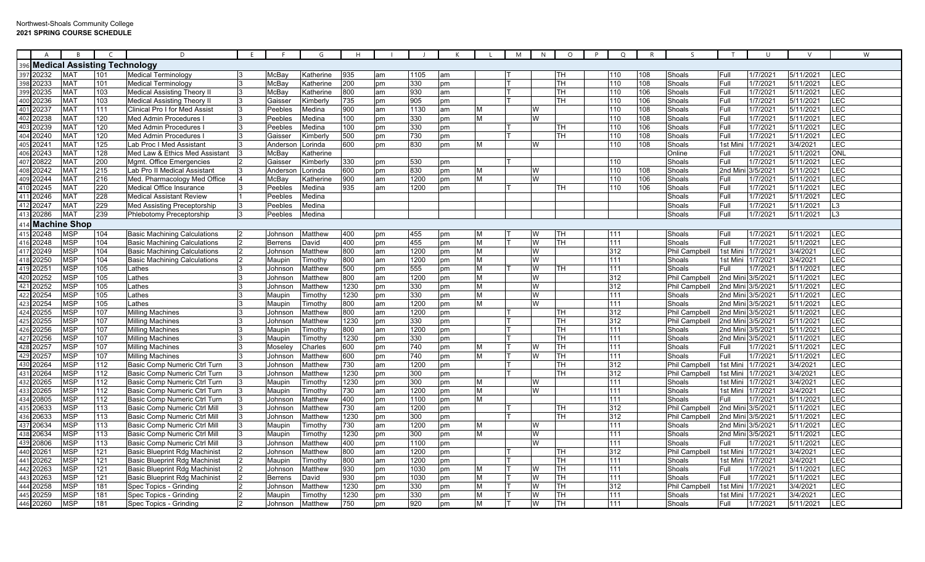|     | A                   |                 |                                 | D                                    |                | G                |      |    |      |    |   | M | N        | $\circ$   | $\circ$ | R   | $\varsigma$          |                   | $\cup$            |           | W              |
|-----|---------------------|-----------------|---------------------------------|--------------------------------------|----------------|------------------|------|----|------|----|---|---|----------|-----------|---------|-----|----------------------|-------------------|-------------------|-----------|----------------|
|     |                     |                 | 96 Medical Assisting Technology |                                      |                |                  |      |    |      |    |   |   |          |           |         |     |                      |                   |                   |           |                |
|     | 397 20232           | <b>MAT</b>      | 101                             | Medical Terminology                  | McBay          | Katherine        | 935  | am | 1105 | am |   |   |          | TН        | 110     | 108 | Shoals               | Full              | 1/7/2021          | 5/11/2021 | LEC            |
|     | 398 20233           | <b>MAT</b>      | 101                             | <b>Medical Terminology</b>           | McBav          | Katherine        | 200  | pm | 330  | pm |   |   |          | TH        | 110     | 108 | Shoals               | Full              | 1/7/2021          | 5/11/2021 | <b>LEC</b>     |
| :99 | 20235               | MA <sub>1</sub> | 103                             | <b>Medical Assisting Theory II</b>   | McBay          | Katherine        | 300  | am | 930  | am |   |   |          | TН        | 110     | 106 | Shoals               | Full              | 1/7/202           | 5/11/2021 | LEC            |
|     | 400 20236           | <b>MAT</b>      | 103                             | <b>Medical Assisting Theory II</b>   | Gaisser        | <b>Kimberly</b>  | 735  | pm | 905  | pm |   |   |          | TН        | 110     | 106 | Shoals               | Full              | 1/7/2021          | 5/11/2021 | LEC            |
|     | 401 20237           | <b>MAT</b>      | 111                             | <b>Clinical Pro I for Med Assist</b> | Peebles        | Medina           | 900  | am | 1130 | am | M |   | W        |           | 110     | 108 | Shoals               | Full              | 1/7/2021          | 5/11/2021 | <b>LEC</b>     |
|     | 402 20238           | <b>MAT</b>      | 120                             | Med Admin Procedures                 | Peebles        | Medina           | 100  | pm | 330  | pm | M |   | W        |           | 110     | 108 | Shoals               | Full              | 1/7/202           | 5/11/2021 | LEC            |
|     | 403 20239           | <b>MAT</b>      | 120                             | Med Admin Procedures                 | Peebles        | Medina           | 100  | pm | 330  | pm |   |   |          | TН        | 110     | 106 | Shoals               | Full              | 1/7/2021          | 5/11/2021 | LEC            |
|     | 404 20240           | MA <sub>1</sub> | 120                             | Med Admin Procedures                 | Gaisser        | Kimberly         | 500  | pm | 730  | pm |   |   |          | TН        | 110     | 108 | Shoals               | Full              | 1/7/2021          | 5/11/2021 | <b>LEC</b>     |
|     | 405 20241           | MA <sub>1</sub> | 125                             | Lab Proc I Med Assistant             | Anderson       | .orinda          | 600  | pm | 830  | pm | M |   | W        |           | 110     | 108 | Shoals               | 1st Mir           | 1/7/202           | 3/4/2021  | LEC            |
|     | 406 20243           | <b>MAT</b>      | 128                             | Med Law & Ethics Med Assistant       | МсВау          | <b>Katherine</b> |      |    |      |    |   |   |          |           |         |     | Online               | Full              | 1/7/2021          | 5/11/2021 | <b>ONL</b>     |
|     | 407 20822           | MA <sub>1</sub> | 200                             | Mgmt. Office Emergencies             | Gaisser        | <b>Kimberly</b>  | 330  | pm | 530  | pm |   |   |          |           | 110     |     | Shoals               | Full              | 1/7/2021          | 5/11/2021 | <b>LEC</b>     |
| 408 | 20242               | <b>MAT</b>      | 215                             | Lab Pro II Medical Assistant         | Andersor       | .orinda          | 600  | pm | 830  | pm | M |   | W        |           | 110     | 108 | Shoals               | 2nd Mir           | 3/5/2021          | 5/11/2021 | LEC            |
|     | 409 20244           | MA <sub>1</sub> | 216                             | Med. Pharmacology Med Office         | McBay          | <b>Katherine</b> | 900  | am | 1200 | pm | M |   | W        |           | 110     | 106 | Shoals               | Full              | 1/7/202           | 5/11/2021 | LEC            |
|     | 410 20245           | MA <sub>1</sub> | 220                             | <b>Medical Office Insurance</b>      | Peebles        | Medina           | 935  | am | 1200 | pm |   |   |          | TН        | 110     | 106 | Shoals               | Full              | 1/7/2021          | 5/11/2021 | <b>LEC</b>     |
|     | 411 20246           | <b>MAT</b>      | 228                             | <b>Medical Assistant Review</b>      | Peebles        | Medina           |      |    |      |    |   |   |          |           |         |     | Shoals               | Full              | 1/7/2021          | 5/11/2021 | LEC            |
|     | 412 20247           | MA <sub>1</sub> | 229                             | Med Assisting Preceptorship          | Peebles        | Medina           |      |    |      |    |   |   |          |           |         |     | Shoals               | Full              | 1/7/2021          | 5/11/2021 | L <sub>3</sub> |
| 413 | 20286               | <b>MAT</b>      | 239                             | Phlebotomy Preceptorship             | Peebles        | Medina           |      |    |      |    |   |   |          |           |         |     | Shoals               | Full              | 1/7/2021          | 5/11/2021 | L <sub>3</sub> |
|     | <b>Machine Shop</b> |                 |                                 |                                      |                |                  |      |    |      |    |   |   |          |           |         |     |                      |                   |                   |           |                |
|     | 415 20248           | <b>MSP</b>      | 104                             | <b>Basic Machining Calculations</b>  | Johnson        | Matthew          | 400  | рm | 455  | pm | M |   | W        | TН        | 111     |     | Shoals               | Full              | 1/7/202           | 5/11/2021 | <b>LEC</b>     |
|     | 416 20248           | MSP             | 104                             | <b>Basic Machining Calculations</b>  | <b>Berrens</b> | <b>David</b>     | 400  | pm | 455  | pm | M |   | W        | TН        | 111     |     | Shoals               | Full              | 1/7/2021          | 5/11/2021 | LEC            |
|     | 417 20249           | <b>MSP</b>      | 104                             | <b>Basic Machining Calculations</b>  | Johnsor        | Matthew          | 800  | am | 1200 | pm | M |   | <b>W</b> |           | 312     |     | <b>Phil Campbell</b> | 1st Mir           | 1/7/2021          | 3/4/2021  | <b>LEC</b>     |
|     | 418 20250           | <b>MSP</b>      | 104                             | <b>Basic Machining Calculations</b>  | Maupin         | Fimothy          | 800  | am | 1200 | pm | M |   | W        |           | 111     |     | Shoals               | 1st Mini          | 1/7/2021          | 3/4/2021  | LEC            |
|     | 419 20251           | <b>MSP</b>      | 105                             | Lathes                               | Johnson        | Matthew          | 500  | pm | 555  | pm | M |   | W        | TН        | 111     |     | Shoals               | Full              | 1/7/2021          | 5/11/2021 | LEC            |
|     | 420 20252           | <b>MSP</b>      | 105                             | Lathes                               | Johnson        | Matthew          | 800  | am | 1200 | pm | M |   | W        |           | 312     |     | <b>Phil Campbell</b> | 2nd Mini 3/5/2021 |                   | 5/11/2021 | <b>LEC</b>     |
| 421 | 20252               | MSP             | 105                             | .athes                               | Johnson        | Matthew          | 1230 | pm | 330  | pm | M |   | W        |           | 312     |     | Phil Campbell        |                   | 2nd Mini 3/5/2021 | 5/11/2021 | LEC            |
|     | 20254               | MSP             | 105                             | _athes                               | Maupin         | Fimothy          | 1230 | pm | 330  | om | M |   | W        |           | 111     |     | Shoals               | 2nd Mini          | 3/5/2021          | 5/11/2021 | LEC            |
|     | 423 20254           | MSP             | 105                             | Lathes                               | Maupin         | <b>Fimothy</b>   | 800  | am | 1200 | pm | M |   | W        |           | 111     |     | Shoals               | 2nd Mini          | 3/5/2021          | 5/11/2021 | <b>LEC</b>     |
|     | 424 20255           | <b>MSP</b>      | 107                             | <b>Milling Machines</b>              | Johnson        | Matthew          | 800  | am | 1200 | pm |   |   |          | TН        | 312     |     | Phil Campbell        | 2nd Mini          | 3/5/2021          | 5/11/2021 | LEC            |
|     | 425 20255           | <b>MSP</b>      | 107                             | <b>Milling Machines</b>              | Johnson        | Matthew          | 1230 | pm | 330  | pm |   |   |          | TH        | 312     |     | <b>Phil Campbell</b> | 2nd Mini          | 3/5/2021          | 5/11/2021 | <b>LEC</b>     |
| 126 | 20256               | <b>MSP</b>      | 107                             | <b>Milling Machines</b>              | Maupin         | Fimothy          | 800  | am | 1200 | pm |   |   |          | TН        | 111     |     | Shoals               | 2nd Mini 3/5/2021 |                   | 5/11/2021 | LEC            |
|     | 427 20256           | MSP             | 107                             | <b>Milling Machines</b>              | Maupin         | <b>Fimothy</b>   | 1230 | pm | 330  | рm |   |   |          | TН        | 111     |     | Shoals               | 2nd Mini          | 3/5/2021          | 5/11/2021 | LEC            |
|     | 428 20257           | <b>MSP</b>      | 107                             | <b>Milling Machines</b>              | <b>Mosele</b>  | Charles          | 600  | pm | 740  | pm | M |   | W        | TH        | 111     |     | Shoals               | Full              | 1/7/2021          | 5/11/2021 | <b>LEC</b>     |
| 429 | 20257               | <b>MSP</b>      | 107                             | <b>Milling Machines</b>              | Johnson        | Matthew          | 600  | pm | 740  | pm | M |   | W        | TH        | 111     |     | Shoals               | Full              | 1/7/2021          | 5/11/2021 | LEC            |
|     | 430 20264           | <b>MSP</b>      | 112                             | Basic Comp Numeric Ctrl Turn         | Johnson        | Matthew          | 730  | am | 1200 | pm |   |   |          | TH        | 312     |     | Phil Campbell        | 1st Min           | 1/7/2021          | 3/4/2021  | LEC            |
|     | 431 20264           | MSP             | 112                             | Basic Comp Numeric Ctrl Turn         | Johnson        | Matthew          | 1230 | pm | 300  | pm |   |   |          | TН        | 312     |     | <b>Phil Campbell</b> | Ist Mini          | 1/7/2021          | 3/4/2021  | LEC            |
|     | 432 20265           | <b>MSP</b>      | 112                             | Basic Comp Numeric Ctrl Turn         | Maupin         | Γimothγ          | 1230 | pm | 300  | pm | M |   | W        |           | 111     |     | Shoals               | Ist Mini          | 1/7/2021          | 3/4/2021  | LEC            |
| 433 | 20265               | MSP             | 112                             | Basic Comp Numeric Ctrl Turn         | Maupin         | Fimothy          | 730  | am | 1200 | pm | M |   | W        |           | 111     |     | Shoals               | 1st Mini          | 1/7/2021          | 3/4/2021  | LEC            |
|     | 434 20805           | <b>MSP</b>      | 112                             | Basic Comp Numeric Ctrl Turn         | Johnsor        | Matthew          | 400  | pm | 1100 | pm | M |   |          |           | 111     |     | Shoals               | Full              | 1/7/2021          | 5/11/2021 | <b>LEC</b>     |
| 435 | 20633               | <b>MSP</b>      | 113                             | Basic Comp Numeric Ctrl Mill         | Johnsor        | Matthew          | 730  | am | 1200 | pm |   |   |          | <b>TH</b> | 312     |     | <b>Phil Campbell</b> | 2nd Min           | 3/5/2021          | 5/11/2021 | LEC            |
|     | 436 20633           | <b>MSP</b>      | 113                             | Basic Comp Numeric Ctrl Mil          | Johnson        | Matthew          | 1230 | pm | 300  | pm |   |   |          | <b>TH</b> | 312     |     | Phil Campbell        | 2nd Mini          | 3/5/2021          | 5/11/2021 | <b>LEC</b>     |
|     | 437 20634           | <b>MSP</b>      | 113                             | Basic Comp Numeric Ctrl Mil          | Maupin         | <b>Timothy</b>   | 730  | am | 1200 | pm | M |   | W        |           | 111     |     | Shoals               | 2nd Mini 3/5/2021 |                   | 5/11/2021 | LEC            |
|     | 438 20634           | MSP             | 113                             | Basic Comp Numeric Ctrl Mill         | Maupin         | Fimothv          | 1230 | pm | 300  | pm | M |   | W        |           | 111     |     | Shoals               | 2nd Mini 3/5/2021 |                   | 5/11/2021 | LEC            |
| 439 | 20806               | <b>MSP</b>      | 113                             | Basic Comp Numeric Ctrl Mil          | Johnsor        | Matthew          | 400  | pm | 1100 | om |   |   | W        |           | 111     |     | Shoals               | Full              | 1/7/2021          | 5/11/2021 | <b>LEC</b>     |
|     | 440 20261           | <b>MSP</b>      | 121                             | <b>Basic Blueprint Rdg Machinist</b> | Johnsor        | Matthew          | 800  | am | 1200 | pm |   |   |          | TН        | 312     |     | <b>Phil Campbell</b> | 1st Mini          | 1/7/202           | 3/4/2021  | LEC            |
|     | 441 20262           | <b>MSP</b>      | 121                             | <b>Basic Blueprint Rdg Machinist</b> | Maupin         | Timothy          | 800  | am | 1200 | pm |   |   |          | TH        | 111     |     | Shoals               | 1st Min           | 1/7/2021          | 3/4/2021  | LEC            |
|     | 442 20263           | <b>MSP</b>      | 121                             | Basic Blueprint Rdg Machinist        | Johnson        | Matthew          | 930  | pm | 1030 | pm | M |   | W        | <b>TH</b> | 111     |     | Shoals               | Full              | 1/7/202           | 5/11/2021 | <b>LEC</b>     |
| 443 | 20263               | <b>MSP</b>      | 121                             | <b>Basic Blueprint Rdg Machinist</b> | <b>Berrens</b> | David            | 930  | pm | 1030 | pm | M |   | W        | TН        | 111     |     | Shoals               | Full              | 1/7/202'          | 5/11/2021 | LEC            |
| 444 | 20258               | MSP             | 181                             | Spec Topics - Grinding               | Johnsor        | Matthew          | 1230 | pm | 330  | pm | M |   | W        | TН        | 312     |     | Phil Campbell        | 1st Min           | 1/7/2021          | 3/4/2021  | LEC            |
|     | 445 20259           | MSP             | 181                             | Spec Topics - Grinding               | Maupin         | Fimothv          | 1230 | pm | 330  | pm | M |   | W        | <b>TH</b> | 111     |     | Shoals               | 1st Mini          | 1/7/2021          | 3/4/2021  | LEC            |
|     | 446 20260           | <b>MSP</b>      | 181                             | Spec Topics - Grinding               | Johnson        | Matthew          | 750  | pm | 920  | pm | M |   | <b>W</b> | <b>TH</b> | 111     |     | Shoals               | Full              | 1/7/2021          | 5/11/2021 | <b>LEC</b>     |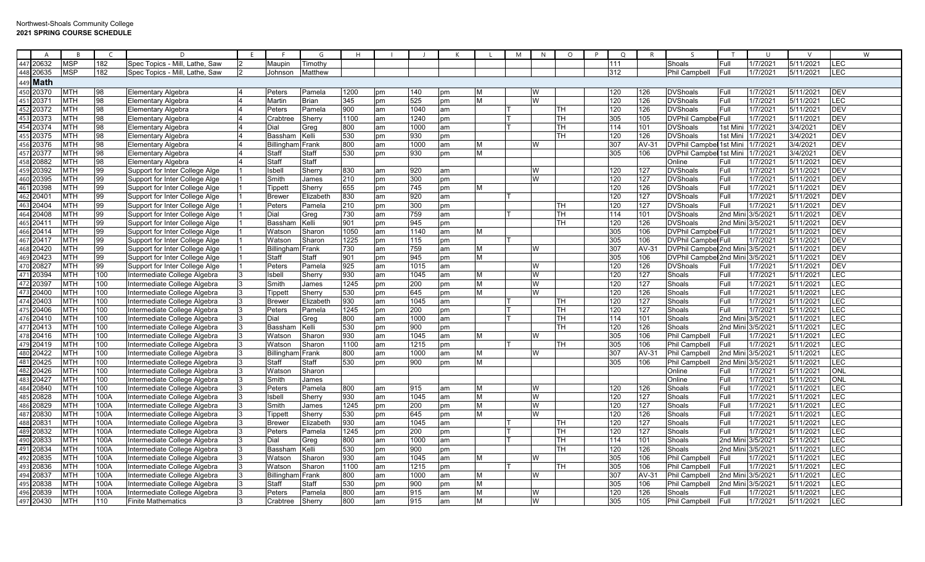|     | A               |                           |      | D                              |                   | G            |                  |    |      |    |   | M | N  | $\circ$ | $\circ$ | R            |                            |                   | U        |           | W          |
|-----|-----------------|---------------------------|------|--------------------------------|-------------------|--------------|------------------|----|------|----|---|---|----|---------|---------|--------------|----------------------------|-------------------|----------|-----------|------------|
|     | 447 20632       | <b>MSP</b>                | 182  | Spec Topics - Mill, Lathe, Saw | Maupin            | Timothy      |                  |    |      |    |   |   |    |         | 111     |              | Shoals                     | Full              | 1/7/202  | 5/11/2021 | LEC        |
|     | 448 20635       | <b>MSP</b>                | 182  | Spec Topics - Mill, Lathe, Saw | Johnson           | Matthew      |                  |    |      |    |   |   |    |         | 312     |              | Phil Campbell              | Full              | 1/7/2021 | 5/11/2021 | LEC        |
|     | 449 <b>Math</b> |                           |      |                                |                   |              |                  |    |      |    |   |   |    |         |         |              |                            |                   |          |           |            |
|     | 450 20370       | <b>MTH</b>                | 98   | Elementary Algebra             | Peters            | Pamela       | 1200             | pm | 140  | pm | M |   | IW |         | 120     | 126          | <b>DVShoals</b>            | Full              | 1/7/202  | 5/11/2021 | <b>DEV</b> |
|     | 15120371        | <b>MTH</b>                | 98   | <b>Elementary Algebra</b>      | <b>Martin</b>     | <b>Brian</b> | 345              | pm | 525  | pm | M |   | W  |         | 120     | 126          | <b>DVShoals</b>            | Full              | 1/7/202  | 5/11/2021 | <b>LEC</b> |
|     | 452 20372       | <b>MTH</b>                | 98   | Elementary Algebra             | Peters            | Pamela       | 900              | am | 1040 | am |   |   |    | TН      | 120     | 126          | <b>DVShoals</b>            | Full              | 1/7/202' | 5/11/2021 | <b>DEV</b> |
| 453 | 20373           | MTH                       | 98   | Elementary Algebra             | Crabtree          | Sherry       | 1100             | am | 1240 | pm |   |   |    | TН      | 305     | 105          | <b>DVPhil Campbel Full</b> |                   | 1/7/202  | 5/11/2021 | DEV        |
|     | 454 20374       | <b>MTH</b>                | 98   | <b>Elementary Algebra</b>      | Dial              | Greg         | 800              | am | 1000 | am |   |   |    | TН      | 114     | 101          | <b>DVShoals</b>            | 1st Min           | 1/7/2021 | 3/4/2021  | DEV        |
| 455 | 20375           | <b>MTH</b>                | 98   | Elementary Algebra             | Bassham           | Kelli        | 530              | pm | 930  | pm |   |   |    | TН      | 120     | 126          | <b>DVShoals</b>            | 1st Min           | 1/7/202' | 3/4/2021  | <b>DEV</b> |
|     | 456 20376       | MTH                       | 98   | Elementary Algebra             | <b>Billingham</b> | Frank        | 800              | am | 1000 | am | M |   | W  |         | 307     | AV-31        | DVPhil Campbel 1st Mini    |                   | 1/7/2021 | 3/4/2021  | <b>DEV</b> |
|     | 457 20377       | MTH                       | 98   | Elementary Algebra             | Staff             | Staff        | $\overline{530}$ | pm | 930  | pm | M |   |    |         | 305     | 106          | DVPhil Campbel 1st Mini    |                   | 1/7/202  | 3/4/2021  | DEV        |
|     | 458 20882       | MTH                       | 98   | <b>Elementary Algebra</b>      | Staff             | Staff        |                  |    |      |    |   |   |    |         |         |              | Online                     | Full              | 1/7/202  | 5/11/2021 | <b>DEV</b> |
|     | 459 20392       | <b>MTH</b>                | 99   | Support for Inter College Alge | Isbell            | Sherry       | 830              | am | 920  | am |   |   | W  |         | 120     | 127          | <b>DVShoals</b>            | Full              | 1/7/202  | 5/11/2021 | <b>DEV</b> |
| 460 | 20395           | <b>MTH</b>                | 99   | Support for Inter College Alge | Smith             | James        | 210              | pm | 300  | pm |   |   | W  |         | 120     | 127          | <b>DVShoals</b>            | Full              | 1/7/202' | 5/11/2021 | <b>DEV</b> |
|     | 461 20398       | <b>MTH</b>                | 99   | Support for Inter College Alge | Tippett           | Sherry       | 655              | pm | 745  | pm | M |   |    |         | 120     | 126          | <b>DVShoals</b>            | Full              | 1/7/202  | 5/11/2021 | <b>DEV</b> |
| 462 | 20401           | MTH                       | 99   | Support for Inter College Alge | <b>Brewer</b>     | Elizabeth    | 830              | am | 920  | am |   |   |    |         | 120     | 127          | <b>DVShoals</b>            | Full              | 1/7/2021 | 5/11/2021 | <b>DEV</b> |
|     | 463 20404       | <b>MTH</b>                | 99   | Support for Inter College Alge | Peters            | Pamela       | 210              | pm | 300  | pm |   |   |    | TН      | 120     | 127          | <b>DVShoals</b>            | Full              | 1/7/202  | 5/11/2021 | <b>DEV</b> |
|     | 464 20408       | MTH                       | 99   | Support for Inter College Alge | Dial              | Greg         | 730              | am | 759  | am |   |   |    | TН      | 114     | 101          | <b>DVShoals</b>            | 2nd Mini 3/5/2021 |          | 5/11/2021 | <b>DEV</b> |
|     | 465 20411       | <b>MTH</b>                | 99   | Support for Inter College Alge | <b>Basshar</b>    | Kelli        | 901              | pm | 945  | pm |   |   |    | TН      | 120     | 126          | <b>DVShoals</b>            | 2nd Mini          | 3/5/202' | 5/11/2021 | <b>DEV</b> |
|     | 466 20414       | <b>MTH</b>                | 99   | Support for Inter College Alge | Watson            | Sharon       | 1050             | am | 1140 | am | M |   |    |         | 305     | 106          | <b>DVPhil Campbel Full</b> |                   | 1/7/202  | 5/11/2021 | <b>DEV</b> |
|     | 467 20417       | <b>MTH</b>                | 99   | Support for Inter College Alge | Watson            | Sharon       | 1225             | pm | 115  | pm |   |   |    |         | 305     | 106          | <b>DVPhil Campbel Full</b> |                   | 1/7/2021 | 5/11/2021 | <b>DEV</b> |
|     | 468 20420       | <b>MTH</b>                | 99   | Support for Inter College Alge | Billinghar        | Frank        | 730              | am | 759  | am | М |   | W  |         | 307     | AV-3 $\cdot$ | DVPhil Campbel 2nd Mini    |                   | 3/5/202' | 5/11/2021 | <b>DEV</b> |
|     | 469 20423       | <b>MTH</b>                | 99   | Support for Inter College Alge | Staff             | Staff        | $\overline{901}$ | pm | 945  | pm | M |   |    |         | 305     | 106          | DVPhil Campbel 2nd Mini    |                   | 3/5/202' | 5/11/2021 | <b>DEV</b> |
|     | 470 20827       | <b>MTH</b>                | 99   | Support for Inter College Alge | Peters            | Pamela       | 925              | am | 1015 | am |   |   | W  |         | 120     | 126          | <b>DVShoals</b>            | Full              | 1/7/202  | 5/11/2021 | <b>DEV</b> |
|     | 471 20394       | MTH                       | 100  | Intermediate College Algebra   | Isbell            | Sherry       | $\overline{930}$ | am | 1045 | am | M |   | W  |         | 120     | 127          | Shoals                     | Full              | 1/7/202' | 5/11/2021 | <b>LEC</b> |
|     | 472 20397       | <b>MTH</b>                | 100  | ntermediate College Algebra    | Smith             | James        | 1245             | pm | 200  | pm | M |   | W  |         | 120     | 127          | Shoals                     | Full              | 1/7/202' | 5/11/2021 | LEC        |
|     | 473 20400       | <b>MTH</b>                | 100  | ntermediate College Algebra    | Tippett           | Sherry       | 530              | pm | 645  | pm | M |   | W  |         | 120     | 126          | Shoals                     | Full              | 1/7/202' | 5/11/2021 | <b>LEC</b> |
|     | 474 20403       | <b>MTH</b>                | 100  | Intermediate College Algebra   | <b>Brewer</b>     | Elizabeth    | 930              | am | 1045 | am |   |   |    | TН      | 120     | 127          | Shoals                     | Full              | 1/7/202  | 5/11/2021 | LEC        |
|     | 475 20406       | <b>MTH</b>                | 100  | Intermediate College Algebra   | Peters            | Pamela       | 1245             | pm | 200  | pm |   |   |    | TН      | 120     | 127          | Shoals                     | Full              | 1/7/202  | 5/11/2021 | LEC        |
|     | 476 20410       | <b>MTH</b>                | 100  | Intermediate College Algebra   | Dial              | Greg         | 800              | am | 1000 | am |   |   |    | TH      | 114     | 101          | Shoals                     | 2nd Mini          | 3/5/2021 | 5/11/2021 | LEC        |
|     | 477 20413       | MTH                       | 100  | Intermediate College Algebra   | Basshar           | Kelli        | 530              | pm | 900  | pm |   |   |    | TН      | 120     | 126          | Shoals                     | 2nd Mini          | 3/5/202' | 5/11/2021 | LEC        |
|     | 478 20416       | <b>MTH</b>                | 100  | Intermediate College Algebra   | Watson            | Sharon       | 930              | am | 1045 | am | М |   | W  |         | 305     | 106          | Phil Campbell              | Full              | 1/7/202' | 5/11/2021 | LEC        |
| 479 | 20419           | <b>MTH</b>                | 100  | ntermediate College Algebra    | Watson            | Sharon       | 1100             | am | 1215 | pm |   |   |    | TН      | 305     | 106          | Phil Campbell              | Full              | 1/7/202' | 5/11/2021 | LEC        |
| 480 | 20422           | <b>MTH</b>                | 100  | ntermediate College Algebra    | Billingham Frank  |              | 800              | am | 1000 | am | М |   | W  |         | 307     | AV-31        | Phil Campbell              | 2nd Mini          | 3/5/2021 | 5/11/2021 | LEC        |
|     | 481 20425       | <b>MTH</b>                | 100  | Intermediate College Algebra   | Staff             | Staff        | 530              | pm | 900  | pm | M |   |    |         | 305     | 106          | Phil Campbell              | 2nd Mini          | 3/5/2021 | 5/11/2021 | LEC        |
|     | 482 20426       | <b>MTH</b>                | 100  | Intermediate College Algebra   | Watsor            | Sharon       |                  |    |      |    |   |   |    |         |         |              | Online                     | Full              | 1/7/202  | 5/11/2021 | ONL        |
|     | 483 20427       | MTH                       | 100  | Intermediate College Algebra   | Smith             | James        |                  |    |      |    |   |   |    |         |         |              | Online                     | Full              | 1/7/2021 | 5/11/2021 | ONL        |
|     | 484 20840       | <b>MTH</b>                | 100  | Intermediate College Algebra   | Peters            | Pamela       | 800              | am | 915  | am | M |   | W  |         | 120     | 126          | Shoals                     | Full              | 1/7/202' | 5/11/2021 | <b>LEC</b> |
|     | 485 20828       | <b>MTH</b>                | 100A | Intermediate College Algebra   | Isbell            | Sherry       | $\overline{930}$ | am | 1045 | am | M |   | W  |         | 120     | 127          | Shoals                     | Full              | 1/7/202  | 5/11/2021 | LEC        |
|     | 486 20829       | <b>MTH</b>                | 100A | ntermediate College Algebra    | Smith             | James        | 1245             | pm | 200  | pm | M |   | W  |         | 120     | 127          | Shoals                     | Full              | 1/7/202' | 5/11/2021 | LEC        |
|     | 487 20830       | <b>MTH</b>                | 100A | ntermediate College Algebra    | Tippett           | Sherry       | 530              | pm | 645  | pm | M |   | W  |         | 120     | 126          | Shoals                     | Full              | 1/7/202  | 5/11/2021 | <b>LEC</b> |
|     | 488 20831       | <b>MTH</b>                | 100A | Intermediate College Algebra   | <b>Brewer</b>     | Elizabeth    | 930              | am | 1045 | am |   |   |    | TН      | 120     | 127          | Shoals                     | Full              | 1/7/2021 | 5/11/2021 | LEC        |
| 489 | 20832           | <b>MTH</b>                | 100A | Intermediate College Algebra   | Peters            | Pamela       | 1245             | pm | 200  | pm |   |   |    | TН      | 120     | 127          | Shoals                     | Full              | 1/7/202  | 5/11/2021 | LEC        |
|     | 490 20833       | <b>MTH</b>                | 100A | ntermediate College Algebra    | Dial              | Greg         | 800              | am | 1000 | am |   |   |    | TН      | 114     | 101          | Shoals                     | 2nd Mini          | 3/5/2021 | 5/11/2021 | LEC        |
|     | 491 20834       | MTH                       | 100A | Intermediate College Algebra   | Basshar           | Kelli        | 530              | pm | 900  | pm |   |   |    | TН      | 120     | 126          | Shoals                     | 2nd Mini 3/5/2021 |          | 5/11/2021 | LEC        |
|     | 492 20835       | <b>MTH</b>                | 100A | Intermediate College Algebra   | Watson            | Sharon       | 930              | am | 1045 | am | М |   | W  |         | 305     | 106          | Phil Campbell              | Full              | 1/7/202  | 5/11/2021 | LEC        |
| 493 | 20836           | $\overline{\mathsf{MTH}}$ | 100A | ntermediate College Algebra    | Watson            | Sharon       | 1100             | am | 1215 | pm |   |   |    | TН      | 305     | 106          | Phil Campbell              | Full              | 1/7/202  | 5/11/2021 | E          |
|     | 494 20837       | <b>MTH</b>                | 100A | ntermediate College Algebra    | <b>Billingha</b>  | Frank        | 800              | am | 1000 | am | M |   | W  |         | 307     | $AV-3'$      | Phil Campbell              | 2nd Mini          | 3/5/202  | 5/11/2021 | <b>LEC</b> |
|     | 495 20838       | <b>MTH</b>                | 100A | Intermediate College Algebra   | <b>Staff</b>      | Staff        | 530              | pm | 900  | pm | M |   |    |         | 305     | 106          | Phil Campbell              | 2nd Mini          | 3/5/202' | 5/11/2021 | LEC        |
|     | 496 20839       | <b>MTH</b>                | 100A | ntermediate College Algebra    | Peters            | Pamela       | 800              | am | 915  | am | M |   | W  |         | 120     | 126          | Shoals                     | Full              | 1/7/202  | 5/11/2021 | LEC        |
|     | 497 20430       | <b>MTH</b>                | 110  | <b>Finite Mathematics</b>      | Crabtree          | Sherry       | 800              | am | 915  | am | M |   | W  |         | 305     | 105          | Phil Campbell              | Full              | 1/7/2021 | 5/11/2021 | LEC        |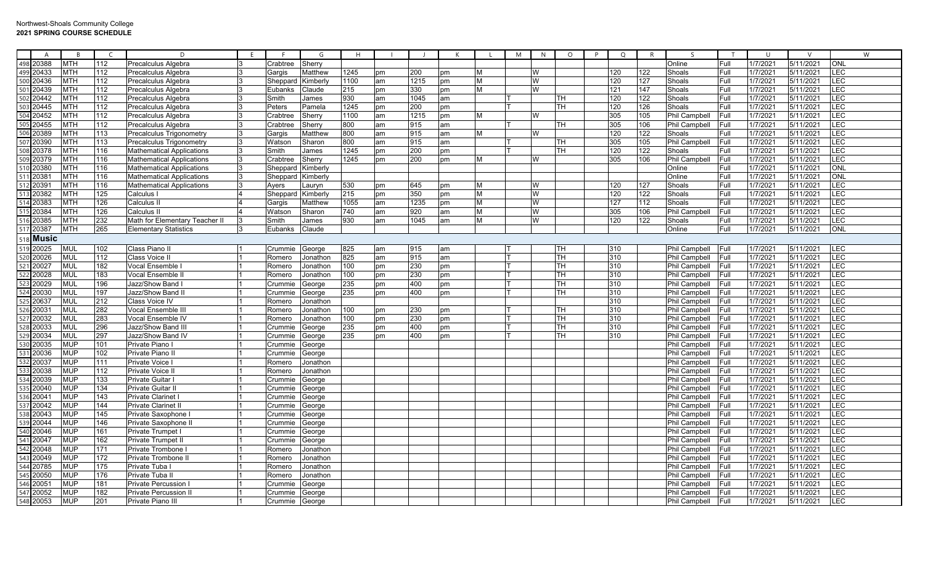| $\overline{A}$                      | $\overline{B}$           | $\mathcal{C}$           | D                                 | F. | -F.      | G        | H    |          |      | K  |   | M | N | $\circ$   | P | $\circ$ | $\mathsf{R}$ |                      | ਾ            | $\cup$             | $\mathsf{V}$           | W          |
|-------------------------------------|--------------------------|-------------------------|-----------------------------------|----|----------|----------|------|----------|------|----|---|---|---|-----------|---|---------|--------------|----------------------|--------------|--------------------|------------------------|------------|
| 498 20388                           | <b>MTH</b>               | 112                     | Precalculus Algebra               |    | crabtree | Sherry   |      |          |      |    |   |   |   |           |   |         |              | Online               | Full         | 1/7/202            | 5/11/2021              | <b>ONL</b> |
| 499 20433                           | <b>MTH</b>               | 112                     | Precalculus Algebra               |    | Gargis   | Matthew  | 1245 | pm       | 200  | pm | M |   | W |           |   | 120     | 122          | Shoals               | Full         | 1/7/2021           | 5/11/2021              | LEC        |
| 500 20436                           | <b>MTH</b>               | 112                     | Precalculus Algebra               |    | Sheppa   | Kimberly | 1100 | am       | 1215 | pm | м |   | W |           |   | 120     | 127          | Shoals               | Full         | 1/7/2021           | 5/11/2021              | LEC        |
| 501 20439                           | <b>MTH</b>               | 112                     |                                   |    |          |          | 215  |          | 330  |    | M |   | W |           |   | 121     | 147          | Shoals               | Full         | 1/7/2021           | 5/11/2021              | LEC        |
|                                     |                          |                         | Precalculus Algebra               |    | Eubanks  | Claude   |      | pm       |      | pm |   |   |   |           |   |         |              |                      |              |                    |                        |            |
| 502 20442                           | <b>MTH</b>               | 112                     | Precalculus Algebra               |    | Smith    | James    | 930  | am       | 1045 | am |   |   |   | TН        |   | 120     | 122          | Shoals               | Full         | 1/7/2021           | 5/11/2021              | LEC        |
|                                     | <b>MTH</b>               | 112                     | Precalculus Algebra               |    | Peters   | Pamela   | 1245 | pm       | 200  | pm |   |   |   | TН        |   | 120     | 126          | Shoals               | Full         | 1/7/2021           | 5/11/2021              | LEC        |
| 504 20452                           | <b>MTH</b>               | 112                     | Precalculus Algebra               |    | ≿rabtree | Sherry   | 1100 | am       | 1215 | pm | M |   | W |           |   | 305     | 105          | Phil Campbell        | Full         | 1/7/202            | 5/11/2021              | LEC        |
|                                     | <b>MTH</b>               | 112                     | Precalculus Algebra               |    | crabtree | Sherry   | 800  | am       | 915  | am |   |   |   | TН        |   | 305     | 106          | Phil Campbell        | Full         | 1/7/202            | 5/11/2021              | LEC        |
| 506 20389                           | <b>MTH</b>               | 113                     | Precalculus Trigonometry          |    | Gargis   | Matthew  | 800  | am       | 915  | am | M |   | W |           |   | 120     | 122          | Shoals               | Full         | 1/7/202            | 5/11/2021              | <b>LEC</b> |
|                                     | <b>MTH</b>               | 113                     | Precalculus Trigonometr           |    | Watson   | Sharon   | 800  | am       | 915  | am |   |   |   | TH        |   | 305     | 105          | Phil Campbell        | Full         | 1/7/2021           | 5/11/2021              | LEC        |
| 508 20378<br>509 20379<br>510 20380 | <b>MTH</b>               | 116                     | <b>Mathematical Applications</b>  |    | Smith    | James    | 1245 | pm       | 200  | pm |   |   |   | TH        |   | 120     | 122          | Shoals               | Full         | 1/7/2021           | 5/11/2021              | LEC        |
|                                     | <b>MTH</b>               | 116                     | <b>Mathematical Applications</b>  |    | Crabtree | Sherry   | 1245 | pm       | 200  | pm | M |   | W |           |   | 305     | 106          | Phil Campbell        | Full         | 1/7/202            | 5/11/2021              | <b>LEC</b> |
|                                     | <b>MTH</b>               | 116                     | <b>Mathematical Applications</b>  |    | Sheppard | Kimberly |      |          |      |    |   |   |   |           |   |         |              | Online               | Full         | 1/7/202            | 5/11/2021              | ONL        |
| 511 2038                            | <b>MTH</b>               | 116                     | <b>Mathematical Applications</b>  |    | Sheppard | Kimberly |      |          |      |    |   |   |   |           |   |         |              | Online               | Full         | 1/7/2021           | 5/11/2021              | ONL        |
| 512 2039                            | <b>MTH</b>               | 116                     | <b>Mathematical Applications</b>  |    | Avers    | Lauryn   | 530  | pm       | 645  | pm | М |   | W |           |   | 120     | 127          | Shoals               | Full         | 1/7/202            | 5/11/2021              | LEC        |
| 513 20382                           | <b>MTH</b>               | 125                     | Calculus                          |    | Sheppa   | Kimberly | 215  | pm       | 350  | pm | M |   | W |           |   | 120     | 122          | Shoals               | Full         | 1/7/2021           | 5/11/2021              | LEC        |
| 514 20383                           | <b>MTH</b>               | 126                     | Calculus II                       |    | Gargis   | Matthew  | 1055 | am       | 1235 | pm | м |   | W |           |   | 127     | 112          | Shoals               | Full         | 1/7/2021           | 5/11/2021              | LEC        |
| 515 20384                           | <b>MTH</b>               | 126                     | Calculus I                        |    | Watson   | Sharon   | 740  | am       | 920  | am | M |   | W |           |   | 305     | 106          | <b>Phil Campbell</b> | Full         | 1/7/202            | 5/11/2021              | LEC        |
| 516 20385                           | <b>MTH</b>               | 232                     | Math for Elementary Teacher II    |    | Smith    | James    | 930  | am       | 1045 | am | M |   | W |           |   | 120     | 122          | Shoals               | Full         | 1/7/202            | 5/11/2021              | LEC        |
| 517 20387                           | <b>MTH</b>               | 265                     | <b>Elementary Statistics</b>      |    | Eubanks  | Claude   |      |          |      |    |   |   |   |           |   |         |              | Online               | Full         | 1/7/2021           | 5/11/2021              | <b>ONL</b> |
| 518 Music                           |                          |                         |                                   |    |          |          |      |          |      |    |   |   |   |           |   |         |              |                      |              |                    |                        |            |
| 519 20025                           | <b>MUL</b>               | 102                     | Class Piano II                    |    | Crummie  | George   | 825  | am       | 915  | am |   |   |   | TН        |   | 310     |              | Phil Campbell        | Full         | 1/7/2021           | 5/11/2021              | LEC        |
| 520 20026                           | <b>MUI</b>               | 112                     | Class Voice                       |    | Romero   | Jonathon | 825  | am       | 915  | am |   |   |   | TН        |   | 310     |              | Phil Campbell        | Full         | 1/7/202            | 5/11/2021              | <b>LEC</b> |
| $\frac{20028}{521}$ 20027           | <b>MUL</b>               | 182                     | Vocal Ensemble                    |    | Romero   | Jonathon | 100  | pm       | 230  | pm |   |   |   | TН        |   | 310     |              | Phil Campbell        | Full         | 1/7/202            | 5/11/2021              | LEC        |
|                                     | <b>MUL</b>               | 183                     | Vocal Ensemble l                  |    | Romero   | Jonathon | 100  | pm       | 230  | pm |   |   |   | TН        |   | 310     |              | Phil Campbell        | Full         | 1/7/202            | 5/11/2021              | LEC        |
| 522 20028                           | <b>MUL</b>               | 196                     | Jazz/Show Band                    |    | rummi    | George   | 235  | pm       | 400  | pm |   |   |   | TH        |   | 310     |              | Phil Campbell        | Full         | 1/7/202            | 5/11/2021              | LEC        |
| 524 20030                           | <b>MUL</b>               | 197                     | Jazz/Show Band I                  |    | Crummie  | George   | 235  | pm       | 400  | pm |   |   |   | TН        |   | 310     |              | Phil Campbell        | Full         | 1/7/2021           | 5/11/2021              | LEC        |
|                                     | <b>MUL</b>               | 212                     | <b>Class Voice IV</b>             |    | Romero   | Jonathon |      |          |      |    |   |   |   |           |   | 310     |              | Phil Campbell        | Full         | 1/7/202            | 5/11/2021              | <b>LEC</b> |
| 525 20637<br>526 20031              | <b>MUL</b>               | 282                     | Vocal Ensemble III                |    | Romero   | Jonathon | 100  | pm       | 230  | pm |   |   |   | TН        |   | 310     |              | Phil Campbell        | Full         | 1/7/202            | 5/11/2021              | LEC        |
| 527 20032                           | <b>MUL</b>               | 283                     | Vocal Ensemble IV                 |    | Romero   | Jonathon | 100  |          | 230  | pm |   |   |   | TН        |   | 310     |              | Phil Campbell        | Full         | 1/7/202            | 5/11/2021              | LEC        |
|                                     | <b>MUL</b>               | 296                     | Jazz/Show Band III                |    | rummie:  |          | 235  | pm<br>pm | 400  | pm |   |   |   | <b>TH</b> |   | 310     |              |                      | Full         | 1/7/202            | 5/11/2021              | LEC        |
| 528 20033<br>529 20034              | <b>MUL</b>               | 297                     | Jazz/Show Band IV                 |    |          | George   | 235  |          | 400  | pm |   |   |   | TН        |   | 310     |              | Phil Campbell        | Full         | 1/7/2021           | 5/11/2021              | LEC        |
| 530 20035                           |                          |                         |                                   |    | rummie:  | George   |      | pm       |      |    |   |   |   |           |   |         |              | Phil Campbell        |              | 1/7/2021           |                        | LEC        |
| 531 20036                           | <b>MUP</b><br><b>MUP</b> | 101<br>102              | Private Piano<br>Private Piano II |    | crummie  | George   |      |          |      |    |   |   |   |           |   |         |              | Phil Campbell        | Full<br>Full | 1/7/202            | 5/11/2021<br>5/11/2021 | LEC        |
|                                     |                          |                         |                                   |    | crummie: | George   |      |          |      |    |   |   |   |           |   |         |              | Phil Campbell        |              |                    |                        | LEC        |
| 532 20037                           | <b>MUP</b>               | 111<br>$\overline{112}$ | Private Voice                     |    | Romero   | Jonathon |      |          |      |    |   |   |   |           |   |         |              | Phil Campbell        | Full         | 1/7/202<br>1/7/202 | 5/11/2021<br>5/11/2021 | LEC        |
|                                     | <b>MUP</b>               |                         | Private Voice II                  |    | Romero   | Jonathon |      |          |      |    |   |   |   |           |   |         |              | Phil Campbell        | Full         |                    |                        |            |
|                                     | <b>MUP</b>               | 133                     | Private Guitar                    |    | rummie:  | George   |      |          |      |    |   |   |   |           |   |         |              | Phil Campbell        | Full         | 1/7/2021           | 5/11/2021              | LEC        |
| 534 20039<br>535 20040<br>536 20041 | <b>MUP</b>               | 134                     | Private Guitar I                  |    | tummie   | George   |      |          |      |    |   |   |   |           |   |         |              | Phil Campbell        | Full         | 1/7/202            | 5/11/2021              | LEC        |
|                                     | <b>MUP</b>               | 143                     | <b>Private Clarinet</b>           |    | tummie   | George   |      |          |      |    |   |   |   |           |   |         |              | Phil Campbell        | Full         | 1/7/2021           | 5/11/2021              | LEC        |
| 537 20042                           | <b>MUP</b>               | 144                     | <b>Private Clarinet I</b>         |    | crummie  | George   |      |          |      |    |   |   |   |           |   |         |              | Phil Campbell        | Full         | 1/7/2021           | 5/11/2021              | <b>LEC</b> |
| 538 20043                           | <b>MUP</b>               | 145                     | Private Saxophone                 |    | rummie:  | George   |      |          |      |    |   |   |   |           |   |         |              | Phil Campbell        | Full         | 1/7/202            | 5/11/2021              | LEC        |
| 539 20044                           | <b>MUP</b>               | 146                     | Private Saxophone                 |    | rummie:  | George   |      |          |      |    |   |   |   |           |   |         |              | Phil Campbell        | Full         | 1/7/202            | 5/11/2021              | LEC        |
| 540 20046                           | <b>MUP</b>               | 161                     | <b>Private Trumpet</b>            |    | rummie   | George   |      |          |      |    |   |   |   |           |   |         |              | Phil Campbell        | Full         | 1/7/202            | 5/11/2021              | LEC        |
| 541 20047                           | <b>MUP</b>               | 162                     | <b>Private Trumpet II</b>         |    | rummie:  | George   |      |          |      |    |   |   |   |           |   |         |              | Phil Campbell        | Full         | 1/7/2021           | 5/11/2021              | LEC        |
|                                     | <b>MUP</b>               | 171                     | Private Trombone                  |    | Romero   | Jonathon |      |          |      |    |   |   |   |           |   |         |              | Phil Campbell        | Full         | 1/7/2021           | 5/11/2021              | LEC        |
| 543 20049                           | <b>MUP</b>               | 172                     | Private Trombone II               |    | Romero   | Jonathon |      |          |      |    |   |   |   |           |   |         |              | Phil Campbell        | Full         | 1/7/202            | 5/11/2021              | LEC        |
| 544 20785                           | <b>MUP</b>               | 175                     | Private Tuba                      |    | Romero   | Jonathon |      |          |      |    |   |   |   |           |   |         |              | Phil Campbell        | Full         | 1/7/202            | 5/11/2021              | LEC        |
| 545 20050                           | <b>MUP</b>               | 176                     | Private Tuba I                    |    | Romerc   | Jonathon |      |          |      |    |   |   |   |           |   |         |              | Phil Campbell        | Full         | 1/7/202            | 5/11/2021              | LEC        |
| 546 20051                           | <b>MUP</b>               | 181                     | <b>Private Percussion</b>         |    | ንrummie  | George   |      |          |      |    |   |   |   |           |   |         |              | Phil Campbell        | Full         | 1/7/2021           | 5/11/2021              | <b>LEC</b> |
| 547 20052                           | <b>MUP</b>               | 182                     | <b>Private Percussion I</b>       |    | Crummie  | George   |      |          |      |    |   |   |   |           |   |         |              | Phil Campbell        | Full         | 1/7/202            | 5/11/2021              | LEC        |
| 548 20053                           | <b>MUP</b>               | 201                     | Private Piano II                  |    | Crummie  | George   |      |          |      |    |   |   |   |           |   |         |              | Phil Campbell        | Full         | 1/7/2021           | 5/11/2021              | LEC        |
|                                     |                          |                         |                                   |    |          |          |      |          |      |    |   |   |   |           |   |         |              |                      |              |                    |                        |            |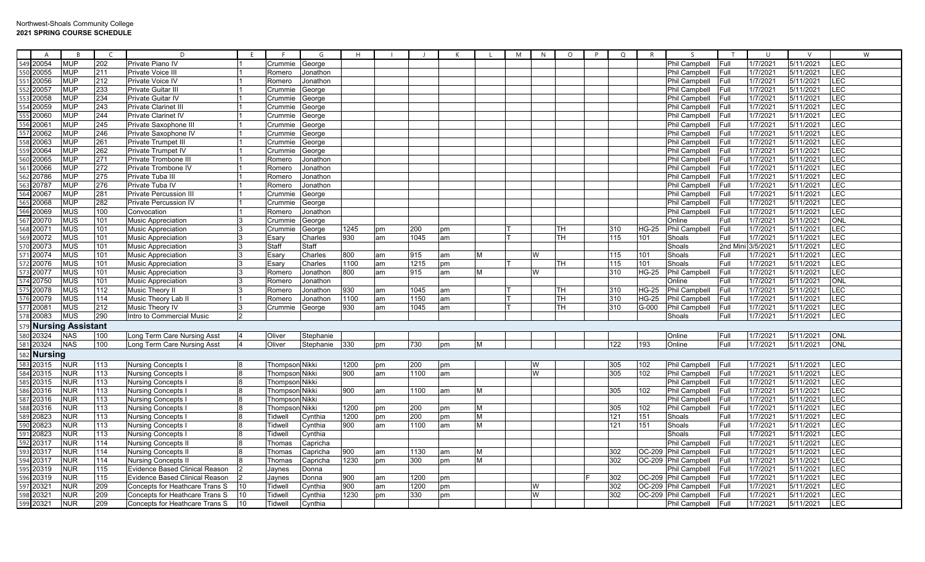| $\overline{A}$        | R                 | $\epsilon$ | D                                     | F.              |                       | G         | H    |    |      |    |   | M | N  | $\circ$ | P<br>Q | R            | $\varsigma$          |                   | <sup>U</sup> | $\mathcal{N}$ | W          |
|-----------------------|-------------------|------------|---------------------------------------|-----------------|-----------------------|-----------|------|----|------|----|---|---|----|---------|--------|--------------|----------------------|-------------------|--------------|---------------|------------|
| 549<br>20054          | <b>MUP</b>        | 202        | Private Piano IV                      |                 | Crummie               | George    |      |    |      |    |   |   |    |         |        |              | Phil Campbell        | <b>Full</b>       | 1/7/2021     | 5/11/2021     | LEC        |
| 20055                 | <b>MUP</b>        | 211        | Private Voice III                     |                 | Romero                | Jonathon  |      |    |      |    |   |   |    |         |        |              | <b>Phil Campbell</b> | Full              | 1/7/2021     | 5/11/2021     | LEC        |
| 551<br>20056          | <b>MUP</b>        | 212        | Private Voice IV                      |                 | Romero                | Jonathon  |      |    |      |    |   |   |    |         |        |              | Phil Campbell        | <b>Full</b>       | 1/7/2021     | 5/11/2021     | LEC        |
| 552<br>20057          | <b>MUP</b>        | 233        | Private Guitar III                    |                 | Crummie               | George    |      |    |      |    |   |   |    |         |        |              | Phil Campbell        | Full              | 1/7/2021     | 5/11/2021     | LEC        |
| 553<br>20058          | <b>MUP</b>        | 234        | <b>Private Guitar IV</b>              |                 | Crummie               |           |      |    |      |    |   |   |    |         |        |              |                      | <b>IFull</b>      | 1/7/2021     | 5/11/2021     | <b>LEC</b> |
| 554<br>20059          |                   | 243        |                                       |                 |                       | George    |      |    |      |    |   |   |    |         |        |              | <b>Phil Campbell</b> |                   | 1/7/2021     | 5/11/2021     | LEC        |
|                       | <b>MUP</b>        |            | <b>Private Clarinet II</b>            |                 | Crummie               | George    |      |    |      |    |   |   |    |         |        |              | <b>Phil Campbell</b> | <b>IFull</b>      |              |               |            |
| 20060                 | <b>MUP</b>        | 244        | Private Clarinet IV                   |                 | Crummie               | George    |      |    |      |    |   |   |    |         |        |              | Phil Campbell        | Full              | 1/7/2021     | 5/11/2021     | LEC        |
| 2006<br>556           | <b>MUP</b>        | 245        | Private Saxophone III                 |                 | Crummie               | George    |      |    |      |    |   |   |    |         |        |              | <b>Phil Campbell</b> | <b>Full</b>       | 1/7/2021     | 5/11/2021     | LEC        |
| 557<br>20062          | <b>MUP</b>        | 246        | Private Saxophone IV                  |                 | Crummie               | George    |      |    |      |    |   |   |    |         |        |              | Phil Campbell        | <b>Full</b>       | 1/7/2021     | 5/11/2021     | LEC        |
| 20063                 | <b>MUP</b>        | 261        | <b>Private Trumpet III</b>            |                 | Crummie               | George    |      |    |      |    |   |   |    |         |        |              | Phil Campbell        | Full              | 1/7/2021     | 5/11/2021     | LEC        |
| 20064                 | <b>MUP</b>        | 262        | Private Trumpet IV                    |                 | Crummie               | George    |      |    |      |    |   |   |    |         |        |              | Phil Campbell        | <b>Full</b>       | 1/7/2021     | 5/11/2021     | LEC        |
| 560<br>20065          | <b>MUP</b>        | 271        | Private Trombone III                  |                 | Romero                | Jonathon  |      |    |      |    |   |   |    |         |        |              | <b>Phil Campbell</b> | Full              | 1/7/2021     | 5/11/2021     | LEC        |
| 561<br>20066          | <b>MUP</b>        | 272        | Private Trombone IV                   |                 | Romero                | Jonathon  |      |    |      |    |   |   |    |         |        |              | Phil Campbell        | Full              | 1/7/2021     | 5/11/2021     | LEC        |
| 562<br>20786          | <b>MUP</b>        | 275        | Private Tuba III                      |                 | Romero                | Jonathon  |      |    |      |    |   |   |    |         |        |              | <b>Phil Campbell</b> | <b>IFull</b>      | 1/7/2021     | 5/11/2021     | LEC        |
| 563<br>20787          | <b>MUP</b>        | 276        | Private Tuba IV                       |                 | Romero                | Jonathon  |      |    |      |    |   |   |    |         |        |              | <b>Phil Campbell</b> | Full              | 1/7/2021     | 5/11/2021     | LEC        |
| 564<br>20067          | <b>MUP</b>        | 281        | <b>Private Percussion III</b>         |                 | Crummie               | George    |      |    |      |    |   |   |    |         |        |              | <b>Phil Campbell</b> | Full              | 1/7/2021     | 5/11/2021     | LEC        |
| 20068                 | <b>MUP</b>        | 282        | <b>Private Percussion IV</b>          |                 | Crummie               | George    |      |    |      |    |   |   |    |         |        |              | Phil Campbell        | Full              | 1/7/2021     | 5/11/2021     | LEC        |
| 566<br>20069          | <b>MUS</b>        | 100        | Convocation                           |                 | Romero                | Jonathon  |      |    |      |    |   |   |    |         |        |              | Phil Campbell        | Full              | 1/7/2021     | 5/11/2021     | LEC        |
| 20070<br>567          | <b>MUS</b>        | 101        | <b>Music Appreciation</b>             |                 | Crummie               | George    |      |    |      |    |   |   |    |         |        |              | Online               | Full              | 1/7/2021     | 5/11/2021     | ONL        |
| 568<br>2007           | <b>MUS</b>        | 101        | <b>Music Appreciation</b>             |                 | Crummie               | George    | 1245 | pm | 200  | pm |   |   |    | TН      | 310    | <b>HG-25</b> | <b>Phil Campbell</b> | Full              | 1/7/2021     | 5/11/2021     | LEC        |
| 20072                 | <b>MUS</b>        | 101        | <b>Music Appreciation</b>             |                 | Esary                 | Charles   | 930  | am | 1045 | am |   |   |    | TН      | 115    | 101          | Shoals               | Full              | 1/7/2021     | 5/11/2021     | LEC        |
| 20073                 | <b>MUS</b>        | 101        | <b>Music Appreciation</b>             |                 | Staff                 | Staff     |      |    |      |    |   |   |    |         |        |              | Shoals               | 2nd Mini 3/5/2021 |              | 5/11/2021     | LEC        |
| 571<br>20074          | <b>MUS</b>        | 101        | <b>Music Appreciation</b>             |                 | Esary                 | Charles   | 800  | am | 915  | am | М |   | W  |         | 115    | 101          | Shoals               | Full              | 1/7/2021     | 5/11/2021     | LEC        |
| 572 20076             | <b>MUS</b>        | 101        | <b>Music Appreciation</b>             |                 | Esary                 | Charles   | 1100 | am | 1215 | pm |   |   |    | TН      | 115    | 101          | Shoals               | Full              | 1/7/2021     | 5/11/2021     | LEC        |
| 573<br>2007           | <b>MUS</b>        | 101        | <b>Music Appreciation</b>             |                 | Romerc                | Jonathon  | 800  | am | 915  | am | М |   | W  |         | 310    | <b>HG-25</b> | Phil Campbell        | Full              | 1/7/2021     | 5/11/2021     | LEC        |
| 574 20750             | <b>MUS</b>        | 101        | <b>Music Appreciation</b>             |                 | Romero                | Jonathon  |      |    |      |    |   |   |    |         |        |              | Online               | Full              | 1/7/2021     | 5/11/2021     | ONL        |
| 20078                 | <b>MUS</b>        | 112        | Music Theory I                        |                 | Romero                | Jonathon  | 930  | am | 1045 | am |   |   |    | TН      | 310    | <b>HG-25</b> | <b>Phil Campbell</b> | Full              | 1/7/2021     | 5/11/2021     | LEC        |
| 20079                 | <b>MUS</b>        | 114        | Music Theory Lab II                   |                 | Romero                | Jonathon  | 1100 | am | 1150 | am |   |   |    | TН      | 310    | <b>HG-25</b> | <b>Phil Campbell</b> | Full              | 1/7/2021     | 5/11/2021     | LEC        |
| 2008<br>577           | <b>MUS</b>        | 212        | Music Theory IV                       |                 | Crummie               | George    | 930  | am | 1045 | am |   |   |    | TН      | 310    | $G-000$      | <b>Phil Campbell</b> | Full              | 1/7/2021     | 5/11/2021     | LEC        |
| 20083<br>578          | <b>MUS</b>        | 290        | Intro to Commercial Music             |                 |                       |           |      |    |      |    |   |   |    |         |        |              | Shoals               | <b>Full</b>       | 1/7/2021     | 5/11/2021     | LEC        |
|                       | Nursing Assistant |            |                                       |                 |                       |           |      |    |      |    |   |   |    |         |        |              |                      |                   |              |               |            |
| 579                   |                   |            |                                       |                 |                       |           |      |    |      |    |   |   |    |         |        |              |                      |                   |              |               |            |
| 580<br>20324          | <b>NAS</b>        | 100        | Long Term Care Nursing Ass            |                 | Oliver                | Stephanie |      |    |      |    |   |   |    |         |        |              | Online               | Full              | 1/7/2021     | 5/11/2021     | <b>ONL</b> |
| 20324<br>581          | <b>NAS</b>        | 100        | Long Term Care Nursing Asst           |                 | Oliver                | Stephanie | 330  | pm | 730  | pm | М |   |    |         | 122    | 193          | Online               | Full              | 1/7/2021     | 5/11/2021     | <b>ONL</b> |
| <b>Nursing</b><br>582 |                   |            |                                       |                 |                       |           |      |    |      |    |   |   |    |         |        |              |                      |                   |              |               |            |
| 583<br>20315          | <b>NUR</b>        | 113        | Nursing Concepts                      |                 | <b>Thompson Nikki</b> |           | 1200 | pm | 200  | pm |   |   | IW |         | 305    | 102          | Phil Campbell        | Full              | 1/7/2021     | 5/11/2021     | LEC        |
| 584<br>20315          | <b>NUR</b>        | 113        | <b>Nursing Concepts I</b>             |                 | Thompson Nikki        |           | 900  | am | 1100 | am |   |   | W  |         | 305    | 102          | <b>Phil Campbell</b> | Full              | 1/7/2021     | 5/11/2021     | LEC        |
| 20315                 | <b>NUR</b>        | 113        | Nursing Concepts I                    |                 | Thompson Nikki        |           |      |    |      |    |   |   |    |         |        |              | <b>Phil Campbell</b> | Full              | 1/7/2021     | 5/11/2021     | LEC        |
| 586 20316             | <b>NUR</b>        | 113        | Nursing Concepts ∣                    |                 | Thompson Nikki        |           | 900  | am | 1100 | am | М |   |    |         | 305    | 102          | Phil Campbell        | Full              | 1/7/2021     | 5/11/2021     | LEC        |
| 587<br>20316          | <b>NUR</b>        | 113        | Nursing Concepts                      |                 | Thompson Nikki        |           |      |    |      |    |   |   |    |         |        |              | <b>Phil Campbell</b> | <b>Full</b>       | 1/7/2021     | 5/11/2021     | LEC        |
| 588<br>20316          | <b>NUR</b>        | 113        | Nursing Concepts                      |                 | Thompson Nikki        |           | 1200 | pm | 200  | pm | М |   |    |         | 305    | 102          | Phil Campbell        | Full              | 1/7/2021     | 5/11/2021     | LEC        |
| 20823                 | <b>NUR</b>        | 113        | Nursing Concepts                      |                 | Tidwell               | Cynthia   | 1200 | pm | 200  | pm | М |   |    |         | 121    | 151          | Shoals               | Full              | 1/7/2021     | 5/11/2021     | LEC        |
| 590<br>20823          | <b>NUR</b>        | 113        | <b>Nursing Concepts I</b>             |                 | Tidwel                | Cynthia   | 900  | am | 1100 | am | М |   |    |         | 121    | 151          | Shoals               | Full              | 1/7/2021     | 5/11/2021     | LEC        |
| 591<br>20823          | <b>NUR</b>        | 113        | <b>Nursing Concepts</b>               |                 | Tidwell               | Cynthia   |      |    |      |    |   |   |    |         |        |              | Shoals               | Full              | 1/7/2021     | 5/11/2021     | LEC        |
| 20317<br>592          | <b>NUR</b>        | 114        | Nursing Concepts II                   |                 | Thomas                | Capricha  |      |    |      |    |   |   |    |         |        |              | <b>Phil Campbell</b> | <b>Full</b>       | 1/7/2021     | 5/11/2021     | LEC        |
| 593<br>2031           | <b>NUR</b>        | 114        | Nursing Concepts II                   |                 | Thomas                | Capricha  | 900  | am | 1130 | am | M |   |    |         | 302    |              | OC-209 Phil Campbell | Full              | 1/7/202      | 5/11/2021     | LEC        |
| 594<br>20317          | <b>NUR</b>        | 114        | <b>Nursing Concepts II</b>            |                 | Thomas                | Capricha  | 1230 | pm | 300  | pm | M |   |    |         | 302    |              | OC-209 Phil Campbell | Full              | 1/7/2021     | 5/11/2021     | LEC        |
| 595<br>20319          | <b>NUR</b>        | 115        | <b>Evidence Based Clinical Reason</b> |                 | Jaynes                | Donna     |      |    |      |    |   |   |    |         |        |              | <b>Phil Campbell</b> | <b>Full</b>       | 1/7/2021     | 5/11/2021     | LEC        |
| 596<br>20319          | <b>NUR</b>        | 115        | Evidence Based Clinical Reason        |                 | Jaynes                | Donna     | 900  | am | 1200 | pm |   |   |    |         | 302    |              | OC-209 Phil Campbell | Full              | 1/7/202      | 5/11/2021     | LEC        |
| 597<br>2032           | <b>NUR</b>        | 209        | Concepts for Heathcare Trans S        | 10              | Tidwel                | Cynthia   | 900  | am | 1200 | pm |   |   | W  |         | 302    |              | OC-209 Phil Campbell | lFull.            | 1/7/202      | 5/11/2021     | LEC        |
| 598<br>2032           | <b>NUR</b>        | 209        |                                       | 10              | <b>Tidwel</b>         |           | 1230 | pm | 330  | pm |   |   | W  |         | 302    |              |                      | Full              | 1/7/202      | 5/11/2021     | LEC        |
|                       |                   |            | Concepts for Heathcare Trans S        |                 |                       | Cynthia   |      |    |      |    |   |   |    |         |        |              | OC-209 Phil Campbell |                   |              |               | LEC        |
| 599 20321             | <b>NUR</b>        | 209        | Concepts for Heathcare Trans S        | 10 <sup>°</sup> | Tidwell               | Cynthia   |      |    |      |    |   |   |    |         |        |              | <b>Phil Campbell</b> | Full              | 1/7/2021     | 5/11/2021     |            |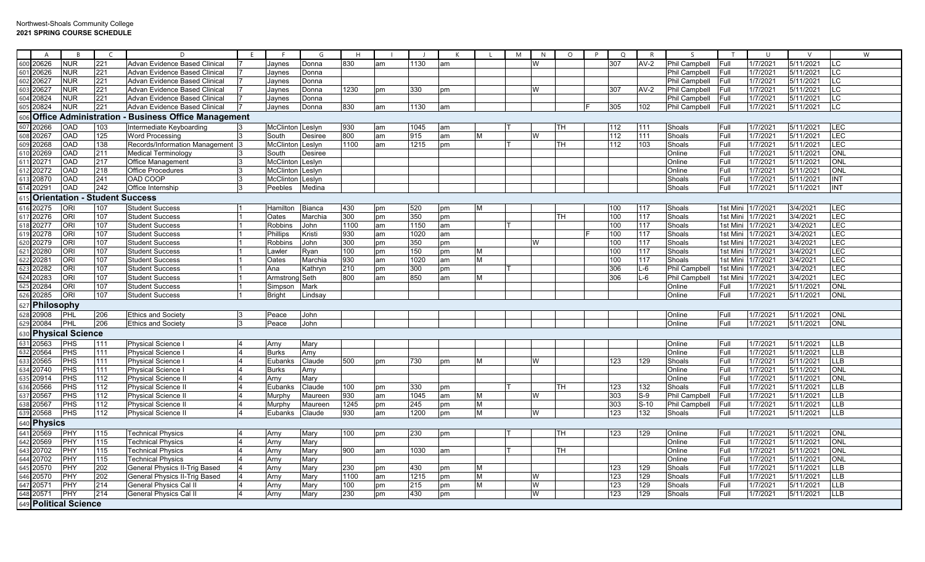|                   | A          | <b>B</b>                         |                               | D                                    | E. |                  | G              | H                |    |      | K  |   | M | N | $\circ$   | $\circ$<br>P | R <sub>1</sub> | $\varsigma$          | T        | $\cup$   | $\vee$    |                          | W |
|-------------------|------------|----------------------------------|-------------------------------|--------------------------------------|----|------------------|----------------|------------------|----|------|----|---|---|---|-----------|--------------|----------------|----------------------|----------|----------|-----------|--------------------------|---|
|                   | 600 20626  | <b>NUR</b>                       | 221                           | Advan Evidence Based Clinical        |    | Jaynes           | Donna          | 830              | am | 1130 | am |   |   | W |           | 307          | $AV-2$         | <b>Phil Campbell</b> | Full     | 1/7/2021 | 5/11/2021 | LC                       |   |
| 601               | 20626      | <b>NUR</b>                       | 221                           | Advan Evidence Based Clinical        |    | Jaynes           | Donna          |                  |    |      |    |   |   |   |           |              |                | <b>Phil Campbell</b> | Full     | 1/7/2021 | 5/11/2021 | LC                       |   |
|                   | 602 20627  | <b>NUR</b>                       | 221                           | Advan Evidence Based Clinical        |    | Jaynes           | Donna          |                  |    |      |    |   |   |   |           |              |                | Phil Campbell        | Full     | 1/7/2021 | 5/11/2021 | LC                       |   |
|                   | 603 20627  | <b>NUR</b>                       | 221                           | Advan Evidence Based Clinical        |    | Jaynes           | Donna          | 1230             | pm | 330  | pm |   |   | W |           | 307          | $AV-2$         | Phil Campbell        | Full     | 1/7/202  | 5/11/2021 | <b>LC</b>                |   |
|                   | 604 208 24 | <b>NUR</b>                       | 221                           | Advan Evidence Based Clinical        |    | Jaynes           | Donna          |                  |    |      |    |   |   |   |           |              |                | Phil Campbell        | Full     | 1/7/2021 | 5/11/2021 | FC                       |   |
|                   | 605 20824  | <b>NUR</b>                       | 221                           | Advan Evidence Based Clinical        |    | Jaynes           | Donna          | 830              | am | 1130 | am |   |   |   |           | 305          | 102            | <b>Phil Campbell</b> | Full     | 1/7/2021 | 5/11/2021 | <b>LC</b>                |   |
|                   | 606 Office | Administration                   |                               | <b>Business Office Management</b>    |    |                  |                |                  |    |      |    |   |   |   |           |              |                |                      |          |          |           |                          |   |
|                   | 607 20266  | OAD                              | 103                           | Intermediate Keyboarding             |    | McClinton        | Leslyn         | 930              | am | 1045 | am |   |   |   | TН        | 112          | 111            | Shoals               | Full     | 1/7/2021 | 5/11/2021 | <b>LEC</b>               |   |
|                   | 608 20267  | OAD                              | 125                           | <b>Word Processing</b>               |    | South            | <b>Desiree</b> | 800              | am | 915  | am | M |   | W |           | 112          | 111            | Shoals               | Full     | 1/7/2021 | 5/11/2021 | <b>LEC</b>               |   |
|                   | 609 20268  | <b>OAD</b>                       | 138                           | Records/Information Management 3     |    | McClinton Leslyn |                | 1100             | am | 1215 | pm |   |   |   | TH        | 112          | 103            | Shoals               | Full     | 1/7/2021 | 5/11/2021 | LEC                      |   |
|                   | 610 20269  | OAD                              | 211                           | <b>Medical Terminology</b>           |    | South            | Desiree        |                  |    |      |    |   |   |   |           |              |                | Online               | Full     | 1/7/2021 | 5/11/2021 | <b>NO</b>                |   |
|                   | 611 20271  | OAD                              | 217                           | Office Management                    |    | McClinton        | Leslyn         |                  |    |      |    |   |   |   |           |              |                | Online               | Full     | 1/7/2021 | 5/11/2021 | <b>ONL</b>               |   |
|                   | 612 20272  | OAD                              | 218                           | <b>Office Procedures</b>             |    | McClinton        | Leslyn         |                  |    |      |    |   |   |   |           |              |                | Online               | Full     | 1/7/2021 | 5/11/2021 | <b>ONL</b>               |   |
|                   | 613 20870  | OAD                              | 241                           | OAD COOP                             |    | McClinton        | Leslyn         |                  |    |      |    |   |   |   |           |              |                | Shoals               | Full     | 1/7/2021 | 5/11/2021 | <b>INT</b>               |   |
|                   | 614 20291  | OAD                              | 242                           | Office Internship                    |    | Peebles          | Medina         |                  |    |      |    |   |   |   |           |              |                | Shoals               | Full     | 1/7/2021 | 5/11/2021 | <b>INT</b>               |   |
|                   |            |                                  | Orientation - Student Success |                                      |    |                  |                |                  |    |      |    |   |   |   |           |              |                |                      |          |          |           |                          |   |
|                   | 516 20275  | <b>ORI</b>                       | 107                           | <b>Student Success</b>               |    | Hamilton         | Bianca         | 430              | pm | 520  | pm | м |   |   |           | 100          | 117            | Shoals               | 1st Mini | 1/7/2021 | 3/4/2021  | <b>LEC</b>               |   |
|                   | 617 20276  | ORI                              | 107                           | <b>Student Success</b>               |    | Oates            | Marchia        | $\overline{300}$ | pm | 350  | pm |   |   |   | TН        | 100          | 117            | Shoals               | 1st Mini | 1/7/2021 | 3/4/2021  | LEC                      |   |
|                   | 618 20277  | ORI                              | 107                           | <b>Student Success</b>               |    | Robbins          | John           | 1100             | am | 1150 | am |   |   |   |           | 100          | 117            | Shoals               | 1st Mini | 1/7/2021 | 3/4/2021  | LEC                      |   |
|                   | 619 20278  | ORI                              | 107                           | <b>Student Success</b>               |    | Phillips         | Kristi         | 930              | am | 1020 | am |   |   |   |           | 100          | 117            | Shoals               | 1st Mini | 1/7/2021 | 3/4/2021  | LEC                      |   |
| 620               | 20279      | ORI                              | 107                           | <b>Student Success</b>               |    | Robbins          | John           | 300              | pm | 350  | pm |   |   | W |           | 100          | 117            | Shoals               | 1st Mini | 1/7/2021 | 3/4/2021  | LEC                      |   |
| 521               | 20280      | ORI                              | 107                           | <b>Student Success</b>               |    | Lawler           | Ryan           | 100              | pm | 150  | pm | M |   |   |           | 100          | 117            | Shoals               | 1st Mini | 1/7/2021 | 3/4/2021  | LEC                      |   |
|                   | 20281      | ORI                              | 107                           | <b>Student Success</b>               |    | Oates            | Marchia        | 930              | am | 1020 | am | M |   |   |           | 100          | 117            | Shoals               | 1st Mini | 1/7/2021 | 3/4/2021  | LEC                      |   |
|                   | 20282      | ORI                              | 107                           | <b>Student Success</b>               |    | Ana              | Kathryn        | 210              | pm | 300  | pm |   |   |   |           | 306          | L-6            | Phil Campbell        | 1st Mini | 1/7/2021 | 3/4/2021  | <b>LEC</b>               |   |
|                   | 524 20283  | ORI                              | 107                           | <b>Student Success</b>               |    | Armstron         | ISeth          | 800              | am | 850  | am | M |   |   |           | 306          | L-6            | Phil Campbell        | 1st Mini | 1/7/2021 | 3/4/2021  | LEC                      |   |
| 625               | 20284      | $\overline{ORI}$                 | 107                           | <b>Student Success</b>               |    | Simpson          | Mark           |                  |    |      |    |   |   |   |           |              |                | Online               | Full     | 1/7/2021 | 5/11/2021 | ONL                      |   |
|                   | 26 20285   | ORI                              | 107                           | <b>Student Success</b>               |    | <b>Bright</b>    | Lindsay        |                  |    |      |    |   |   |   |           |              |                | Online               | Full     | 1/7/2021 | 5/11/2021 | ONL                      |   |
| Philosophy<br>527 |            |                                  |                               |                                      |    |                  |                |                  |    |      |    |   |   |   |           |              |                |                      |          |          |           |                          |   |
| 628               | 20908      | <b>PHL</b>                       | 206                           | <b>Ethics and Society</b>            | ı٩ | Peace            | John           |                  |    |      |    |   |   |   |           |              |                | Online               | Full     | 1/7/2021 | 5/11/2021 | <b>ONI</b>               |   |
|                   | 529 20084  | <b>PHL</b>                       | 206                           | Ethics and Society                   |    | Peace            | John           |                  |    |      |    |   |   |   |           |              |                | Online               | Full     | 1/7/2021 | 5/11/2021 | ONL                      |   |
| 530               |            | <b>Physical Science</b>          |                               |                                      |    |                  |                |                  |    |      |    |   |   |   |           |              |                |                      |          |          |           |                          |   |
| 631               | 20563      | $\overline{\text{PHS}}$          | 111                           | <b>Physical Science</b>              |    | Arny             | Mary           |                  |    |      |    |   |   |   |           |              |                | Online               | Full     | 1/7/2021 | 5/11/2021 | ШB                       |   |
| 532               | 20564      | PHS                              | 111                           | <b>Physical Science</b>              |    | <b>Burks</b>     | Amy            |                  |    |      |    |   |   |   |           |              |                | Online               | Full     | 1/7/2021 | 5/11/2021 | LLB                      |   |
| 633               | 20565      | PHS                              | 111                           | <b>Physical Science</b>              |    | Eubanks          | Claude         | 500              | pm | 730  | pm | М |   | W |           | 123          | 129            | Shoals               | Full     | 1/7/2021 | 5/11/2021 | <b>LLB</b>               |   |
|                   | 534 20740  | PHS                              | 111                           | <b>Physical Science</b>              |    | <b>Burks</b>     | Amy            |                  |    |      |    |   |   |   |           |              |                | Online               | Full     | 1/7/2021 | 5/11/2021 | <b>ONL</b>               |   |
|                   | 20914      | <b>PHS</b>                       | 112                           | <b>Physical Science II</b>           |    | Arny             | Mary           |                  |    |      |    |   |   |   |           |              |                | Online               | Full     | 1/7/2021 | 5/11/2021 | ONL                      |   |
|                   | 36 20566   | PHS                              | 112                           | <b>Physical Science II</b>           |    | Eubanks          | Claude         | 100              | pm | 330  | pm |   |   |   | TН        | 123          | 132            | Shoals               | Full     | 1/7/2021 | 5/11/2021 | <b>LLB</b>               |   |
| 537               | 20567      | PHS                              | 112                           | Physical Science II                  |    | Murphy           | Maureen        | 930              | am | 1045 | am | M |   | W |           | 303          | $S-9$          | <b>Phil Campbell</b> | Full     | 1/7/2021 | 5/11/2021 | <b>LLB</b>               |   |
|                   | 638 20567  | PHS                              | 112                           | Physical Science I                   |    | Murphy           | Maureen        | 1245             | pm | 245  | pm | M |   |   |           | 303          | $S-10$         | Phil Campbell        | Full     | 1/7/2021 | 5/11/2021 | ШB                       |   |
|                   | 539 20568  | <b>PHS</b>                       | 112                           | <b>Physical Science II</b>           |    | Eubanks          | Claude         | 930              | am | 1200 | pm | M |   | W |           | 123          | 132            | Shoals               | Full     | 1/7/2021 | 5/11/2021 | <b>LLB</b>               |   |
| 540               | Physics    |                                  |                               |                                      |    |                  |                |                  |    |      |    |   |   |   |           |              |                |                      |          |          |           |                          |   |
|                   | 641 20569  | PHY                              | 115                           | <b>Technical Physics</b>             |    | Arny             | Mary           | 100              | pm | 230  | pm |   |   |   | TН        | 123          | 129            | Online               | Full     | 1/7/2021 | 5/11/2021 | <b>ONL</b>               |   |
|                   | 642 20569  | PHY                              | 115                           | <b>Technical Physics</b>             |    | Arny             | Mary           |                  |    |      |    |   |   |   |           |              |                | Online               | Full     | 1/7/2021 | 5/11/2021 | ONL                      |   |
| 643               | 20702      | PHY                              | 115                           | <b>Technical Physics</b>             |    | Arny             | Mary           | 900              | am | 1030 | am |   |   |   | <b>TH</b> |              |                | Online               | Full     | 1/7/2021 | 5/11/2021 | <b>ONL</b>               |   |
|                   | 544 20702  | PHY                              | 115                           | <b>Technical Physics</b>             |    | Arny             | Mary           |                  |    |      |    |   |   |   |           |              |                | Online               | Full     | 1/7/2021 | 5/11/2021 | <b>ONL</b>               |   |
|                   | 545 20570  | PHY                              | 202                           | General Physics II-Trig Based        |    | Arny             | Mary           | 230              | pm | 430  | pm | м |   |   |           | 123          | 129            | Shoals               | Full     | 1/7/2021 | 5/11/2021 | <b>LLB</b>               |   |
|                   | 546 20570  | PHY                              | 202                           | <b>General Physics II-Trig Based</b> |    | Arny             | Mary           | 1100             | am | 1215 | pm | M |   | W |           | 123          | 129            | Shoals               | Full     | 1/7/2021 | 5/11/2021 | LLB                      |   |
|                   | 647 20571  | PHY                              | 214                           | General Physics Cal II               |    | Arny             | Mary           | 100              | pm | 215  | pm | M |   | W |           | 123          | 129            | Shoals               | Full     | 1/7/2021 | 5/11/2021 | $\overline{\mathsf{HB}}$ |   |
|                   | 648 20571  | $\overline{\mathsf{PHY}}$        | 214                           | <b>General Physics Cal II</b>        |    | Arny             | Mary           | 230              | pm | 430  | pm |   |   | W |           | 123          | 129            | Shoals               | Full     | 1/7/2021 | 5/11/2021 | $\overline{\mathsf{HB}}$ |   |
|                   |            | <sup>549 Political Science</sup> |                               |                                      |    |                  |                |                  |    |      |    |   |   |   |           |              |                |                      |          |          |           |                          |   |
|                   |            |                                  |                               |                                      |    |                  |                |                  |    |      |    |   |   |   |           |              |                |                      |          |          |           |                          |   |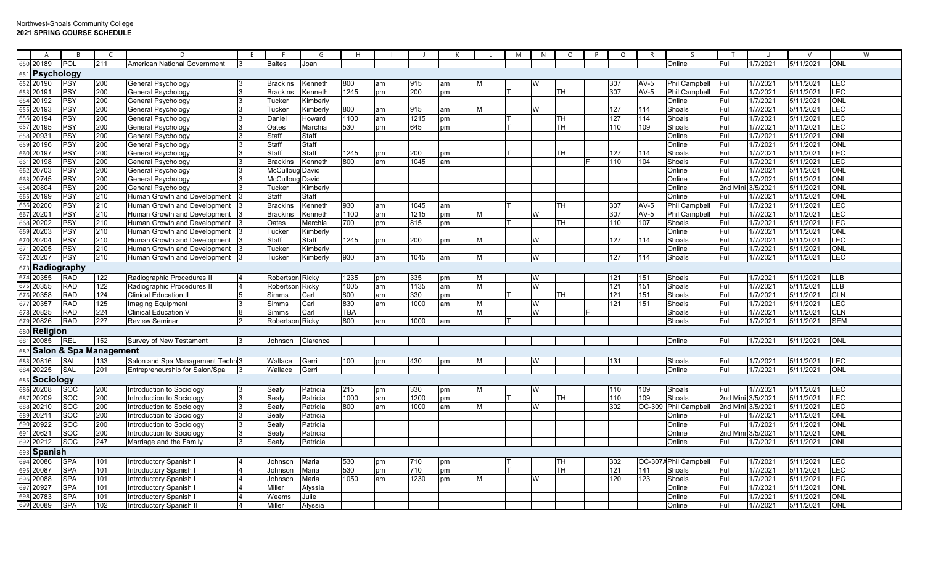|                    | A              | <b>B</b>                          |     |                                               |    |                 | G              |            |    |      |    |   | M | N. | $\circ$   | $\circ$ |        |                       |        | U        |           |            | W |
|--------------------|----------------|-----------------------------------|-----|-----------------------------------------------|----|-----------------|----------------|------------|----|------|----|---|---|----|-----------|---------|--------|-----------------------|--------|----------|-----------|------------|---|
| 650                | 20189          | POL                               | 211 | American National Government                  |    | <b>Baltes</b>   | Joan           |            |    |      |    |   |   |    |           |         |        | Online                | Full   | 1/7/2021 | 5/11/2021 | <b>ONL</b> |   |
|                    | 651 Psychology |                                   |     |                                               |    |                 |                |            |    |      |    |   |   |    |           |         |        |                       |        |          |           |            |   |
|                    | 652 20190      | PSY                               | 200 | General Psychology                            |    | <b>Brackins</b> | Kenneth        | 800        | am | 915  | am | м |   | W  |           | 307     | $AV-5$ | <b>Phil Campbell</b>  | Full   | 1/7/2021 | 5/11/2021 | <b>LEC</b> |   |
| 653                | 20191          | PSY                               | 200 | General Psychology                            |    | <b>Brackins</b> | <b>Kenneth</b> | 1245       | pm | 200  | pm |   |   |    | TH        | 307     | AV-5   | <b>Phil Campbell</b>  | Full   | 1/7/2021 | 5/11/2021 | <b>LEC</b> |   |
| 654                | 20192          | PSY                               | 200 | General Psychology                            |    | Tucker          | Kimberly       |            |    |      |    |   |   |    |           |         |        | Online                | Full   | 1/7/2021 | 5/11/2021 | ONL        |   |
| 655                | 20193          | PSY                               | 200 | General Psychology                            |    | Tucker          | Kimberly       | 800        | am | 915  | am | M |   | W  |           | 127     | 114    | Shoals                | Full   | 1/7/2021 | 5/11/2021 | <b>LEC</b> |   |
| 656                | 20194          | PSY                               | 200 | General Psychology                            |    | Daniel          | Howard         | 1100       | am | 1215 | pm |   |   |    | TH        | 127     | 114    | Shoals                | Full   | 1/7/2021 | 5/11/2021 | LEC        |   |
| 657                | 20195          | PSY                               | 200 | General Psychology                            |    | Oates           | Marchia        | 530        | pm | 645  | pm |   |   |    | TH        | 110     | 109    | Shoals                | Full   | 1/7/2021 | 5/11/2021 | LEC        |   |
| 658                | 20931          | PSY                               | 200 | General Psychology                            |    | Staff           | Staff          |            |    |      |    |   |   |    |           |         |        | Online                | Full   | 1/7/2021 | 5/11/2021 | ONL        |   |
| 659                | 20196          | PSY                               | 200 | General Psychology                            |    | Staff           | Staff          |            |    |      |    |   |   |    |           |         |        | Online                | Full   | 1/7/2021 | 5/11/2021 | ONL        |   |
| 660                | 20197          | PSY                               | 200 | General Psychology                            |    | Staff           | Staff          | 1245       | pm | 200  | pm |   |   |    | <b>TH</b> | 127     | 114    | Shoals                | Full   | 1/7/2021 | 5/11/2021 | <b>LEC</b> |   |
| 661                | 20198          | PSY                               | 200 | General Psychology                            |    | <b>Brackins</b> | Kenneth        | 800        | am | 1045 | am |   |   |    |           | 110     | 104    | Shoals                | Full   | 1/7/2021 | 5/11/2021 | LEC        |   |
| 662                | 20703          | PSY                               | 200 | General Psychology                            |    | McCulloug David |                |            |    |      |    |   |   |    |           |         |        | Online                | Full   | 1/7/2021 | 5/11/2021 | <b>ONL</b> |   |
| 663                | 20745          | PSY                               | 200 | General Psychology                            |    | McCulloug David |                |            |    |      |    |   |   |    |           |         |        | Online                | Full   | 1/7/2021 | 5/11/2021 | <b>ONL</b> |   |
| 664                | 20804          | PSY                               | 200 | General Psychology                            |    | Tucker          | Kimberly       |            |    |      |    |   |   |    |           |         |        | Online                | 2nd Mi | 3/5/2021 | 5/11/2021 | ONL        |   |
| 665                | 20199          | PSY                               | 210 | Human Growth and Development                  |    | Staff           | Staff          |            |    |      |    |   |   |    |           |         |        | Online                | Full   | 1/7/2021 | 5/11/2021 | <b>ONL</b> |   |
| 666                | 20200          | PSY                               | 210 | Human Growth and Development                  |    | <b>Brackins</b> | Kenneth        | 930        | am | 1045 | am |   |   |    | TH        | 307     | $AV-5$ | Phil Campbell         | Full   | 1/7/2021 | 5/11/2021 | LEC        |   |
| 667                | 20201          | PSY                               | 210 | Human Growth and Development                  |    | <b>Brackins</b> | Kenneth        | 1100       | am | 1215 | pm | м |   | W  |           | 307     | $AV-5$ | Phil Campbell         | Full   | 1/7/2021 | 5/11/2021 | <b>LEC</b> |   |
| 668                | 20202          | PSY                               | 210 | Human Growth and Development                  |    | Oates           | Marchia        | 700        | pm | 815  | pm |   |   |    | TH        | 110     | 107    | Shoals                | Full   | 1/7/2021 | 5/11/2021 | <b>LEC</b> |   |
| 669                | 20203          | PSY                               | 210 | Human Growth and Development                  |    | Tucker          | Kimberly       |            |    |      |    |   |   |    |           |         |        | Online                | Full   | 1/7/2021 | 5/11/2021 | ONL        |   |
| 670                | 20204          | PSY                               | 210 | Human Growth and Development                  |    | Staff           | Staff          | 1245       | pm | 200  | pm | м |   | W  |           | 127     | 114    | Shoals                | Full   | 1/7/2021 | 5/11/2021 | <b>LEC</b> |   |
| 671                | 20205          | <b>PSY</b>                        | 210 | Human Growth and Development                  |    | Tucker          | Kimberly       |            |    |      |    |   |   |    |           |         |        | Online                | Full   | 1/7/2021 | 5/11/2021 | <b>ONL</b> |   |
| 672                | 20207          | PSY                               | 210 | Human Growth and Development                  |    | Tucker          | Kimberly       | 930        | am | 1045 | am | м |   | W  |           | 127     | 114    | Shoals                | Full   | 1/7/2021 | 5/11/2021 | <b>LEC</b> |   |
| Radiography<br>673 |                |                                   |     |                                               |    |                 |                |            |    |      |    |   |   |    |           |         |        |                       |        |          |           |            |   |
| 674                | 20355          | <b>RAD</b>                        | 122 | Radiographic Procedures II                    |    | Robertson Ricky |                | 1235       | pm | 335  | pm |   |   |    |           | 121     | 151    | Shoals                | Full   | 1/7/2021 | 5/11/2021 | <b>LLB</b> |   |
| 675                | 20355          | RAD                               | 122 | Radiographic Procedures II                    |    | Robertson Ricky |                | 1005       | am | 1135 | am | M |   | W  |           | 121     | 151    | Shoals                | Full   | 1/7/2021 | 5/11/2021 | <b>LLB</b> |   |
| 676                | 20358          | RAD                               | 124 | <b>Clinical Education II</b>                  |    | Simms           | Carl           | 800        | am | 330  | pm |   |   |    | TH        | 121     | 151    | Shoals                | Full   | 1/7/2021 | 5/11/2021 | <b>CLN</b> |   |
| 677                | 20357          | <b>RAD</b>                        | 125 | Imaging Equipment                             |    | Simms           | Carl           | 830        | am | 1000 | am | м |   | W  |           | 121     | 151    | Shoals                | Full   | 1/7/2021 | 5/11/2021 | <b>LEC</b> |   |
|                    | 20825          | RAD                               | 224 | Clinical Education V                          |    | Simms           | Carl           | <b>TBA</b> |    |      |    | М |   | w  |           |         |        | Shoals                | Full   | 1/7/2021 | 5/11/2021 | <b>CLN</b> |   |
| 679                | 20826          | <b>RAD</b>                        | 227 | Review Seminar                                |    | Robertson Ricky |                | 800        | am | 1000 | am |   |   |    |           |         |        | Shoals                | Full   | 1/7/2021 | 5/11/2021 | <b>SEM</b> |   |
|                    | 680 Religion   |                                   |     |                                               |    |                 |                |            |    |      |    |   |   |    |           |         |        |                       |        |          |           |            |   |
|                    | 681 20085      | <b>REL</b>                        | 152 | Survey of New Testament                       | 13 | Johnson         | Clarence       |            |    |      |    |   |   |    |           |         |        | Online                | Full   | 1/7/2021 | 5/11/2021 | ONL        |   |
| 682                |                | <b>Salon &amp; Spa Management</b> |     |                                               |    |                 |                |            |    |      |    |   |   |    |           |         |        |                       |        |          |           |            |   |
| 683                | 20816          | SAL                               | 133 | Salon and Spa Management Techn <sup>l</sup> 3 |    | Wallace         | Gerri          | 100        | рm | 430  | pm | м |   |    |           | 131     |        | Shoals                | Full   | 1/7/2021 | 5/11/2021 | <b>LEC</b> |   |
| 684                | 20225          | SAL                               | 201 | Entrepreneurship for Salon/Spa                |    | Wallace         | Gerri          |            |    |      |    |   |   |    |           |         |        | Online                | Full   | 1/7/2021 | 5/11/2021 | ONL        |   |
|                    |                |                                   |     |                                               |    |                 |                |            |    |      |    |   |   |    |           |         |        |                       |        |          |           |            |   |
| 685                | Sociology      |                                   |     |                                               |    |                 |                |            |    |      |    |   |   |    |           |         |        |                       |        |          |           |            |   |
| 686                | 20208          | soc                               | 200 | Introduction to Sociology                     |    | Sealy           | Patricia       | 215        | pm | 330  | pm | М |   |    |           | 110     | 109    | Shoals                | Full   | 1/7/202  | 5/11/2021 | <b>LEC</b> |   |
|                    | 20209          | SOC                               | 200 | Introduction to Sociology                     |    | Sealy           | Patricia       | 1000       | am | 1200 | pm |   |   |    | TH.       | 110     | 109    | Shoals                | 2nd Mi | 3/5/2021 | 5/11/2021 | <b>LEC</b> |   |
| 688                | 20210          | soc                               | 200 | Introduction to Sociology                     |    | Sealy           | Patricia       | 800        | am | 1000 | am | м |   | W  |           | 302     | OC-309 | <b>Phil Campbell</b>  | 2nd Mi | 3/5/2021 | 5/11/2021 | <b>LEC</b> |   |
| 689                | 20211          | soc                               | 200 | Introduction to Sociology                     |    | Sealy           | Patricia       |            |    |      |    |   |   |    |           |         |        | Online                | Full   | 1/7/2021 | 5/11/2021 | <b>ONL</b> |   |
| 690                | 20922          | SOC                               | 200 | Introduction to Sociology                     | 3  | Sealy           | Patricia       |            |    |      |    |   |   |    |           |         |        | Online                | Full   | 1/7/2021 | 5/11/2021 | <b>ONL</b> |   |
| 691                | 20621          | soc                               | 200 | Introduction to Sociology                     |    | Sealy           | Patricia       |            |    |      |    |   |   |    |           |         |        | Online                | 2nd Mi | 3/5/2021 | 5/11/2021 | ONL        |   |
| 692                | 20212          | soc                               | 247 | Marriage and the Family                       |    | Sealy           | Patricia       |            |    |      |    |   |   |    |           |         |        | Online                | Full   | 1/7/2021 | 5/11/2021 | <b>ONL</b> |   |
|                    | 693 Spanish    |                                   |     |                                               |    |                 |                |            |    |      |    |   |   |    |           |         |        |                       |        |          |           |            |   |
|                    | 694 20086      | <b>SPA</b>                        | 101 | Introductory Spanish I                        | 14 | Johnson         | Maria          | 530        | pm | 710  | pm |   |   |    | TH        | 302     |        | OC-307A Phil Campbell | Full   | 1/7/2021 | 5/11/2021 | LEC        |   |
| 695                | 20087          | <b>SPA</b>                        | 101 | Introductory Spanish                          |    | Johnson         | Maria          | 530        | pm | 710  | pm |   |   |    | TH        | 121     | 141    | Shoals                | Full   | 1/7/2021 | 5/11/2021 | <b>LEC</b> |   |
| 696                | 20088          | SPA                               | 101 | Introductory Spanish I                        |    | Johnson         | Maria          | 1050       | am | 1230 | pm | м |   | W  |           | 120     | 123    | Shoals                | Full   | 1/7/2021 | 5/11/2021 | <b>LEC</b> |   |
| 697                | 20927          | <b>SPA</b>                        | 101 | Introductory Spanish I                        |    | Miller          | Alyssia        |            |    |      |    |   |   |    |           |         |        | Online                | Full   | 1/7/2021 | 5/11/2021 | ONI        |   |
| 698                | 20783          | SPA                               | 101 | Introductory Spanish                          |    | Weems           | Julie          |            |    |      |    |   |   |    |           |         |        | Online                | Full   | 1/7/2021 | 5/11/2021 | ONL        |   |
|                    | 699 20089      | SPA                               | 102 | Introductory Spanish I                        | 14 | Miller          | Alyssia        |            |    |      |    |   |   |    |           |         |        | Online                | Full   | 1/7/2021 | 5/11/2021 | <b>ONL</b> |   |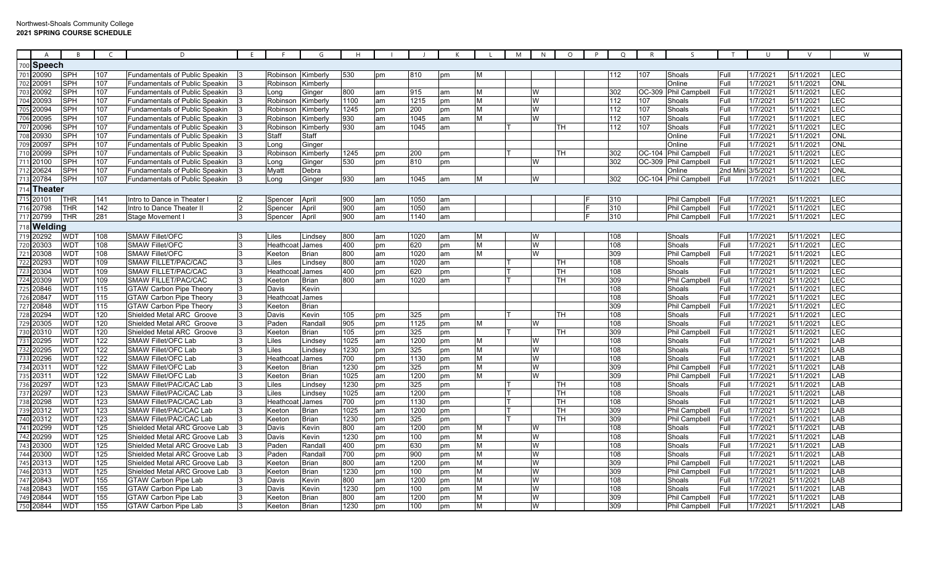## Northwest-Shoals Community College **2021 SPRING COURSE SCHEDULE**

| A                      | <b>B</b>        | C   | D                                     | F |                 | G            |      |    |                  |          |   | M | N | $\circ$                 | $\circ$ | R      | $\varsigma$          |          | $\cup$   |           |            | W |
|------------------------|-----------------|-----|---------------------------------------|---|-----------------|--------------|------|----|------------------|----------|---|---|---|-------------------------|---------|--------|----------------------|----------|----------|-----------|------------|---|
| <sub>700</sub>  Speech |                 |     |                                       |   |                 |              |      |    |                  |          |   |   |   |                         |         |        |                      |          |          |           |            |   |
| 701 20090              | <b>SPH</b>      | 107 | <b>Fundamentals of Public Speakin</b> |   | Robinson        | Kimberly     | 530  | pm | 810              | pm       | M |   |   |                         | 112     | 107    | Shoals               | Full     | 1/7/2021 | 5/11/2021 | <b>LEC</b> |   |
| 702 20091              | <b>SPH</b>      | 107 | <b>Fundamentals of Public Speakin</b> |   | Robinson        | Kimberly     |      |    |                  |          |   |   |   |                         |         |        | Online               | Full     | 1/7/2021 | 5/11/2021 | <b>ONL</b> |   |
| 703 20092              | <b>SPH</b>      | 107 | Fundamentals of Public Speakin        |   | Long            | Ginger       | 800  | am | 915              | am       | M |   | W |                         | 302     | OC-309 | <b>Phil Campbell</b> | Full     | 1/7/2021 | 5/11/2021 | LEC        |   |
| 704<br>20093           | <b>SPH</b>      | 107 | Fundamentals of Public Speakin        |   | Robinson        | Kimberly     | 1100 | am | 1215             | om       | M |   | W |                         | 112     | 107    | Shoals               | Full     | 1/7/2021 | 5/11/2021 | LEC        |   |
| 20094<br>705           | <b>SPH</b>      | 107 | <b>Fundamentals of Public Speakin</b> |   | Robinson        | Kimberly     | 1245 | pm | 200              | pm       | M |   | W |                         | 112     | 107    | Shoals               | Full     | 1/7/2021 | 5/11/2021 | LEC        |   |
| 706 20095              | <b>SPH</b>      | 107 | <b>Fundamentals of Public Speakin</b> |   | Robinson        | Kimberly     | 930  | am | 1045             | am       | M |   | W |                         | 112     | 107    | Shoals               | Full     | 1/7/2021 | 5/11/2021 | <b>LEC</b> |   |
| 707 20096              | <b>SPH</b>      | 107 | <b>Fundamentals of Public Speakin</b> |   | Robinson        | Kimberly     | 930  | am | 1045             | am       |   |   |   | <b>TH</b>               | 112     | 107    | Shoals               | Full     | 1/7/2021 | 5/11/2021 | LEC        |   |
| 708<br>20930           | <b>SPH</b>      | 107 | Fundamentals of Public Speakin        |   | Staff           | Staff        |      |    |                  |          |   |   |   |                         |         |        | Online               | Full     | 1/7/202  | 5/11/2021 | ONL        |   |
| 20097<br>709           | <b>SPH</b>      | 107 | Fundamentals of Public Speakin        |   | Long            | Ginger       |      |    |                  |          |   |   |   |                         |         |        | Online               | Full     | 1/7/202  | 5/11/2021 | ONL        |   |
| 20099<br>710           | <b>SPH</b>      | 107 | <b>Fundamentals of Public Speakin</b> |   | Robinso         | Kimberly     | 1245 | pm | 200              | pm       |   |   |   | <b>TH</b>               | 302     |        | OC-104 Phil Campbell | Full     | 1/7/2021 | 5/11/2021 | <b>LEC</b> |   |
| 711 20100              | <b>SPH</b>      | 107 | Fundamentals of Public Speakin        |   | Long            | Ginger       | 530  | pm | 810              | pm       |   |   | W |                         | 302     | OC-309 | <b>Phil Campbell</b> | Full     | 1/7/2021 | 5/11/2021 | LEC        |   |
| 712 20624              | <b>SPH</b>      | 107 | <b>Fundamentals of Public Speakin</b> |   | Myatt           | Debra        |      |    |                  |          |   |   |   |                         |         |        | Online               | 2nd Mini | 3/5/2021 | 5/11/2021 | <b>ONL</b> |   |
| 713 20784              | <b>SPH</b>      | 107 | Fundamentals of Public Speakin        |   | Long            | Ginger       | 930  | am | 1045             | am       | M |   | W |                         | 302     |        | OC-104 Phil Campbell | Full     | 1/7/2021 | 5/11/2021 | LEC        |   |
| 714 Theater            |                 |     |                                       |   |                 |              |      |    |                  |          |   |   |   |                         |         |        |                      |          |          |           |            |   |
| 715 20101              | <b>THR</b>      | 141 | Intro to Dance in Theater l           |   | Spencer         | April        | 900  | am | 1050             |          |   |   |   |                         | 310     |        | Phil Campbell        | Full     | 1/7/2021 | 5/11/2021 | <b>LEC</b> |   |
| 716 20798              | <b>THR</b>      | 142 | Intro to Dance Theater II             |   | Spencer         | April        | 900  | am | 1050             | am<br>am |   |   |   |                         | 310     |        | <b>Phil Campbell</b> | Full     | 1/7/2021 | 5/11/2021 | <b>LEC</b> |   |
| 717 20799              | <b>THR</b>      | 281 | Stage Movement                        |   |                 | April        | 900  | am | 1140             | am       |   |   |   |                         | 310     |        | Phil Campbell        | Full     | 1/7/2021 | 5/11/2021 | LEC        |   |
|                        |                 |     |                                       |   | Spencer         |              |      |    |                  |          |   |   |   |                         |         |        |                      |          |          |           |            |   |
| 718 Welding            |                 |     |                                       |   |                 |              |      |    |                  |          |   |   |   |                         |         |        |                      |          |          |           |            |   |
| 719<br>20292           | WD <sub>1</sub> | 108 | <b>SMAW Fillet/OFC</b>                |   | Liles           | Lindsey      | 800  | am | 1020             | am       | M |   | W |                         | 108     |        | Shoals               | Full     | 1/7/2021 | 5/11/2021 | <b>LEC</b> |   |
| 20303<br>720           | <b>WDT</b>      | 108 | <b>SMAW Fillet/OFC</b>                |   | Heathcoat James |              | 400  | pm | 620              | pm       | M |   | W |                         | 108     |        | Shoals               | Full     | 1/7/2021 | 5/11/2021 | LEC        |   |
| 721 20308              | <b>WDT</b>      | 108 | <b>SMAW Fillet/OFC</b>                |   | Keeton          | <b>Brian</b> | 800  | am | 1020             | am       | M |   | W |                         | 309     |        | Phil Campbell        | Full     | 1/7/2021 | 5/11/2021 | <b>LEC</b> |   |
| 20293<br>722           | <b>WDT</b>      | 109 | <b>SMAW FILLET/PAC/CAC</b>            |   | _iles           | Lindsey      | 800  | am | 1020             | am       |   |   |   | TН                      | 108     |        | Shoals               | Full     | 1/7/202  | 5/11/2021 | LEC        |   |
| 723 20304              | WD <sub>1</sub> | 109 | <b>SMAW FILLET/PAC/CAC</b>            |   | Heathcc         | James        | 400  | pm | 620              | <b>m</b> |   |   |   | <b>TH</b>               | 108     |        | Shoals               | Full     | 1/7/2021 | 5/11/2021 | LEC        |   |
| 724 20309              | WD <sub>1</sub> | 109 | <b>SMAW FILLET/PAC/CAC</b>            |   | Keeton          | <b>Brian</b> | 800  | am | 1020             | am       |   |   |   | $\overline{\mathsf{H}}$ | 309     |        | Phil Campbell        | Full     | 1/7/2021 | 5/11/2021 | LEC        |   |
| 725 20846              | <b>WDT</b>      | 115 | <b>GTAW Carbon Pipe Theory</b>        |   | Davis           | Kevin        |      |    |                  |          |   |   |   |                         | 108     |        | Shoals               | Full     | 1/7/2021 | 5/11/2021 | <b>LEC</b> |   |
| 726 20847              | <b>WDT</b>      | 115 | <b>GTAW Carbon Pipe Theory</b>        |   | Heathco         | James        |      |    |                  |          |   |   |   |                         | 108     |        | Shoals               | Full     | 1/7/2021 | 5/11/2021 | LEC        |   |
| 727 20848              | WD <sub>1</sub> | 115 | <b>GTAW Carbon Pipe Theory</b>        |   | Keeton          | <b>Brian</b> |      |    |                  |          |   |   |   |                         | 309     |        | Phil Campbell        | Full     | 1/7/2021 | 5/11/2021 | LEC        |   |
| 20294<br>728           | WD <sub>1</sub> | 120 | Shielded Metal ARC Groove             |   | Davis           | Kevin        | 105  | pm | 325              | pm       |   |   |   | <b>TH</b>               | 108     |        | Shoals               | Full     | 1/7/2021 | 5/11/2021 | LEC        |   |
| 729<br>20305           | WD <sub>1</sub> | 120 | Shielded Metal ARC Groove             |   | Paden           | Randal       | 905  | pm | 1125             | pm       | M |   | W |                         | 108     |        | Shoals               | Full     | 1/7/2021 | 5/11/2021 | LEC        |   |
| 730 20310              | <b>WDT</b>      | 120 | Shielded Metal ARC Groove             |   | Keetor          | <b>Brian</b> | 105  | pm | 325              | pm       |   |   |   | <b>TH</b>               | 309     |        | Phil Campbell        | Full     | 1/7/2021 | 5/11/2021 | LEC        |   |
| 731 20295              | <b>WD1</b>      | 122 | SMAW Fillet/OFC Lab                   |   | Liles           | Lindsev      | 1025 | am | 1200             | pm       | M |   | W |                         | 108     |        | Shoals               | Full     | 1/7/2021 | 5/11/2021 | LAB        |   |
| 732 20295              | WD <sub>1</sub> | 122 | SMAW Fillet/OFC Lab                   |   | Liles           | Lindsev      | 1230 | pm | $\overline{325}$ | pm       | M |   | W |                         | 108     |        | Shoals               | Full     | 1/7/2021 | 5/11/2021 | LAB        |   |
| 20296                  | <b>WDT</b>      | 122 | SMAW Fillet/OFC Lab                   |   | Heathcc         | James        | 700  | pm | 1130             | pm       | M |   | W |                         | 108     |        | Shoals               | Full     | 1/7/2021 | 5/11/2021 | LAB        |   |
| 734 20311              | <b>WDT</b>      | 122 | <b>SMAW Fillet/OFC Lab</b>            |   | Keeton          | <b>Brian</b> | 1230 | pm | 325              | pm       | M |   | W |                         | 309     |        | Phil Campbell        | Full     | 1/7/2021 | 5/11/2021 | LAB        |   |
| 735 2031               | <b>WDT</b>      | 122 | <b>SMAW Fillet/OFC Lab</b>            |   | Keeton          | <b>Brian</b> | 1025 | am | 1200             | pm       | M |   | W |                         | 309     |        | Phil Campbell        | Full     | 1/7/2021 | 5/11/2021 | LAB        |   |
| 736 20297              | WD <sub>1</sub> | 123 | <b>SMAW Fillet/PAC/CAC Lab</b>        |   | Liles           | Lindsev      | 1230 | pm | 325              | pm       |   |   |   | TН                      | 108     |        | Shoals               | Full     | 1/7/2021 | 5/11/2021 | LAB        |   |
| 737 20297              | <b>WD1</b>      | 123 | SMAW Fillet/PAC/CAC Lab               |   | Liles.          | Lindsev      | 1025 | am | 1200             | оm       |   |   |   | TН                      | 108     |        | Shoals               | Full     | 1/7/2021 | 5/11/2021 | LAB        |   |
| 20298<br>738           | <b>WD1</b>      | 123 | SMAW Fillet/PAC/CAC Lab               |   | Heathcc         | James        | 700  | pm | 1130             | om       |   |   |   | <b>TH</b>               | 108     |        | Shoals               | Full     | 1/7/2021 | 5/11/2021 | LAB        |   |
| 20312<br>739           | WD <sub>1</sub> | 123 | SMAW Fillet/PAC/CAC Lab               |   | Keeton          | <b>Brian</b> | 1025 | am | 1200             | pm       |   |   |   | <b>TH</b>               | 309     |        | Phil Campbell        | Full     | 1/7/202  | 5/11/2021 | LAB        |   |
| 740<br>20312           | <b>WDT</b>      | 123 | SMAW Fillet/PAC/CAC Lab               |   | Keeton          | <b>Brian</b> | 1230 | pm | 325              | pm       |   |   |   | TH.                     | 309     |        | <b>Phil Campbell</b> | Full     | 1/7/2021 | 5/11/2021 | LAB        |   |
| 741 20299              | <b>WDT</b>      | 125 | Shielded Metal ARC Groove Lab         |   | Davis           | Kevin        | 800  | am | 1200             | pm       | M |   | W |                         | 108     |        | Shoals               | Full     | 1/7/2021 | 5/11/2021 | LAB        |   |
| 742 20299              | <b>WD1</b>      | 125 | Shielded Metal ARC Groove Lab         |   | Davis           | Kevin        | 1230 | pm | 100              | pm       | M |   | W |                         | 108     |        | Shoals               | Full     | 1/7/2021 | 5/11/2021 | LAB        |   |
| 20300                  | WD <sub>1</sub> | 125 | Shielded Metal ARC Groove Lab         |   | Paden           | Randal       | 400  | pm | 630              | рm       | M |   | W |                         | 108     |        | Shoals               | Full     | 1/7/2021 | 5/11/2021 | LAB        |   |
| 20300<br>744           | <b>WD1</b>      | 125 | Shielded Metal ARC Groove Lab         |   | Paden           | Randal       | 700  | pm | 900              | pm       | M |   | W |                         | 108     |        | Shoals               | Full     | 1/7/2021 | 5/11/2021 | LAB        |   |
| 20313<br>745           | <b>WDT</b>      | 125 | Shielded Metal ARC Groove Lab         |   | Keeton          | <b>Brian</b> | 800  | am | 1200             | pm       | M |   | W |                         | 309     |        | Phil Campbell        | Full     | 1/7/2021 | 5/11/2021 | LAB        |   |
| 746 20313              | <b>WDT</b>      | 125 | Shielded Metal ARC Groove Lab         |   | Keetor          | <b>Brian</b> | 1230 | pm | 100              | pm       | M |   | W |                         | 309     |        | Phil Campbell        | Full     | 1/7/2021 | 5/11/2021 | LAB        |   |
| 747 20843              | WD <sub>1</sub> | 155 | <b>GTAW Carbon Pipe Lab</b>           |   | Davis           | Kevin        | 800  | am | 1200             | pm       | M |   | W |                         | 108     |        | Shoals               | Full     | 1/7/202  | 5/11/2021 | LAB        |   |
| 748 20843              | <b>WD1</b>      | 155 | <b>GTAW Carbon Pipe Lab</b>           |   | Davis           | Kevin        | 1230 | pm | 100              | pm       | M |   | W |                         | 108     |        | Shoals               | Full     | 1/7/2021 | 5/11/2021 | LAB        |   |
| 749 20844              | <b>WD1</b>      | 155 | <b>GTAW Carbon Pipe Lab</b>           |   | Keetor          | <b>Brian</b> | 800  | am | 1200             | pm       | M |   | W |                         | 309     |        | Phil Campbell        | Full     | 1/7/202  | 5/11/2021 | LAB        |   |
| 750 20844              | WD <sub>1</sub> | 155 | GTAW Carbon Pipe Lab                  |   | Keeton          | <b>Brian</b> | 1230 | pm | 100              | pm       | M |   | W |                         | 309     |        | <b>Phil Campbell</b> | Full     | 1/7/2021 | 5/11/2021 | LAB        |   |